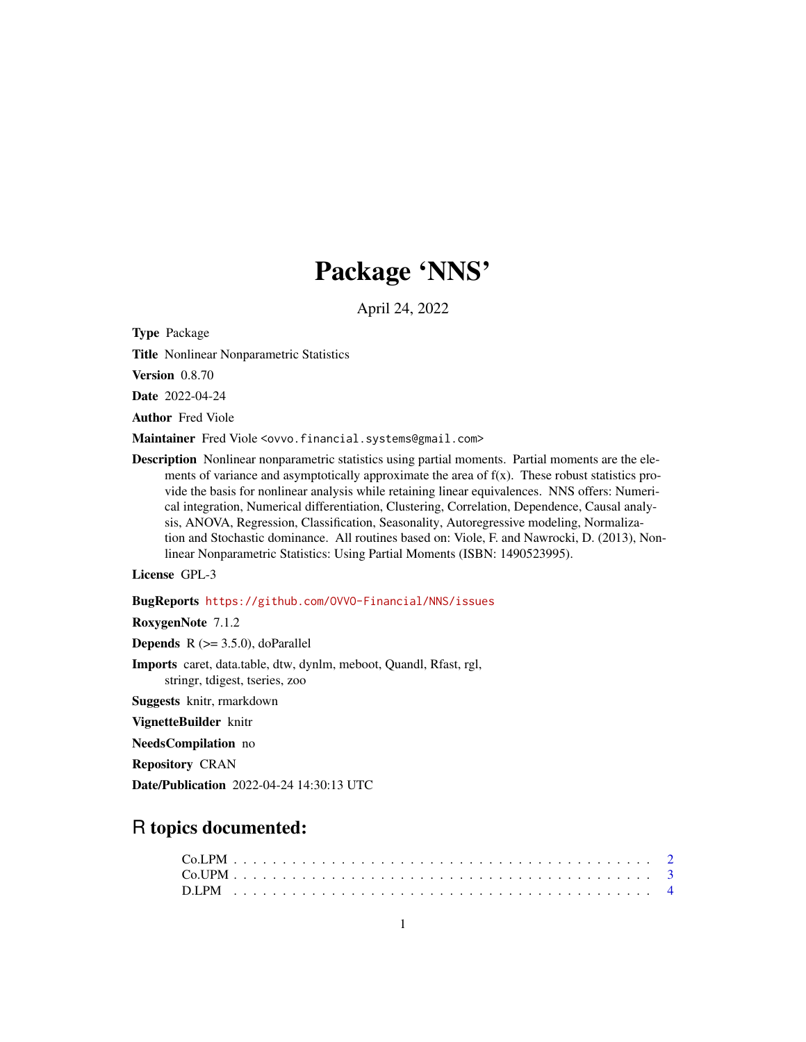# Package 'NNS'

April 24, 2022

<span id="page-0-0"></span>Type Package

Title Nonlinear Nonparametric Statistics

Version 0.8.70

Date 2022-04-24

Author Fred Viole

Maintainer Fred Viole <ovvo.financial.systems@gmail.com>

Description Nonlinear nonparametric statistics using partial moments. Partial moments are the elements of variance and asymptotically approximate the area of  $f(x)$ . These robust statistics provide the basis for nonlinear analysis while retaining linear equivalences. NNS offers: Numerical integration, Numerical differentiation, Clustering, Correlation, Dependence, Causal analysis, ANOVA, Regression, Classification, Seasonality, Autoregressive modeling, Normalization and Stochastic dominance. All routines based on: Viole, F. and Nawrocki, D. (2013), Nonlinear Nonparametric Statistics: Using Partial Moments (ISBN: 1490523995).

License GPL-3

BugReports <https://github.com/OVVO-Financial/NNS/issues>

RoxygenNote 7.1.2

**Depends**  $R$  ( $>= 3.5.0$ ), doParallel

Imports caret, data.table, dtw, dynlm, meboot, Quandl, Rfast, rgl, stringr, tdigest, tseries, zoo

Suggests knitr, rmarkdown

VignetteBuilder knitr

NeedsCompilation no

Repository CRAN

Date/Publication 2022-04-24 14:30:13 UTC

# R topics documented: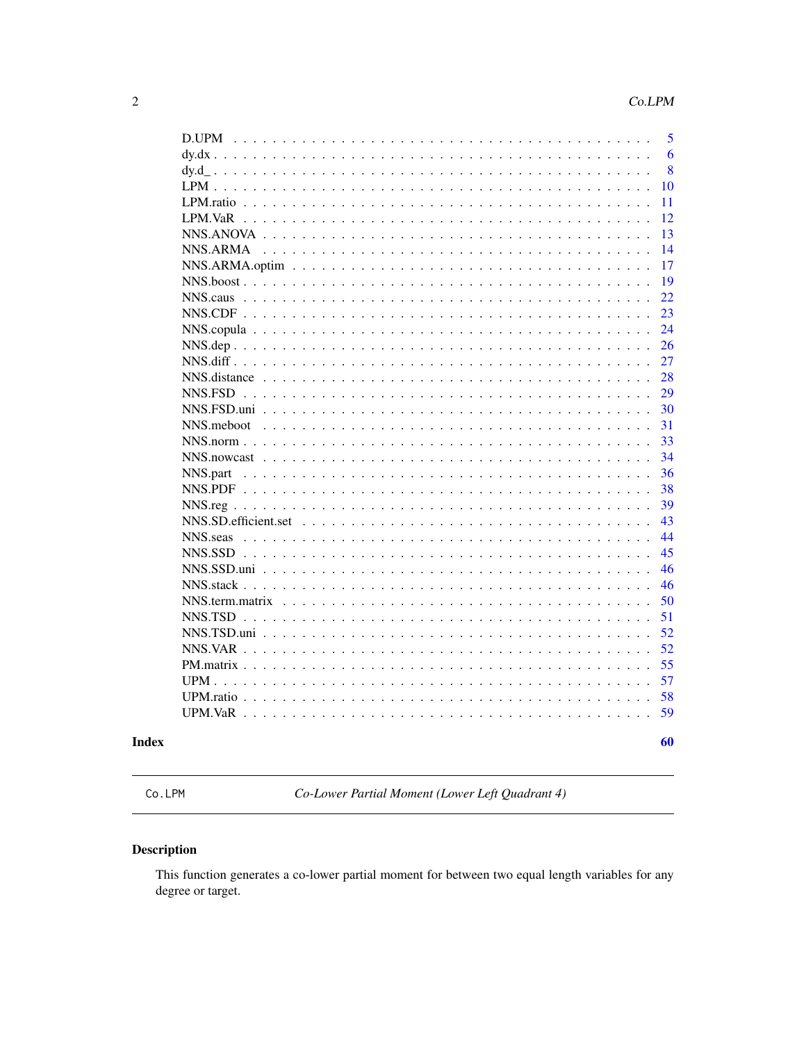<span id="page-1-0"></span>

| D.UPM                                                                                                             | 5  |
|-------------------------------------------------------------------------------------------------------------------|----|
| $dv$ . $dx$<br>$\ddot{\phantom{a}}$                                                                               | 6  |
|                                                                                                                   | 8  |
| $LPM$ .                                                                                                           | 10 |
| LPM.ratio                                                                                                         | 11 |
| LPM.VaR                                                                                                           | 12 |
| $NNS.ANOVA$                                                                                                       | 13 |
| NNS.ARMA                                                                                                          | 14 |
|                                                                                                                   | 17 |
|                                                                                                                   | 19 |
|                                                                                                                   | 22 |
|                                                                                                                   | 23 |
|                                                                                                                   | 24 |
|                                                                                                                   | 26 |
|                                                                                                                   | 27 |
| NNS.distance                                                                                                      | 28 |
| $NNS.FSD$                                                                                                         | 29 |
| NNS.FSD.uni                                                                                                       | 30 |
| NNS.meboot                                                                                                        | 31 |
|                                                                                                                   | 33 |
|                                                                                                                   | 34 |
| NNS.part                                                                                                          | 36 |
|                                                                                                                   | 38 |
|                                                                                                                   | 39 |
|                                                                                                                   | 43 |
| NNS.seas                                                                                                          | 44 |
|                                                                                                                   | 45 |
|                                                                                                                   | 46 |
|                                                                                                                   | 46 |
|                                                                                                                   | 50 |
| $NNS.TSD$<br>$\ddot{\phantom{a}}$                                                                                 | 51 |
| NNS.TSD.uni<br>$\overline{a}$                                                                                     | 52 |
| $NNS_VAR$                                                                                                         | 52 |
|                                                                                                                   | 55 |
| UPM.                                                                                                              | 57 |
|                                                                                                                   | 58 |
| $UPM.VaR$<br>$\mathbb{R}^2$<br>$\mathbf{1}$ $\mathbf{1}$ $\mathbf{1}$ $\mathbf{1}$ $\mathbf{1}$<br>$\mathbb{R}^2$ | 59 |
|                                                                                                                   |    |
|                                                                                                                   | 60 |

# **Index**

<span id="page-1-1"></span>Co.LPM

Co-Lower Partial Moment (Lower Left Quadrant 4)

# Description

This function generates a co-lower partial moment for between two equal length variables for any degree or target.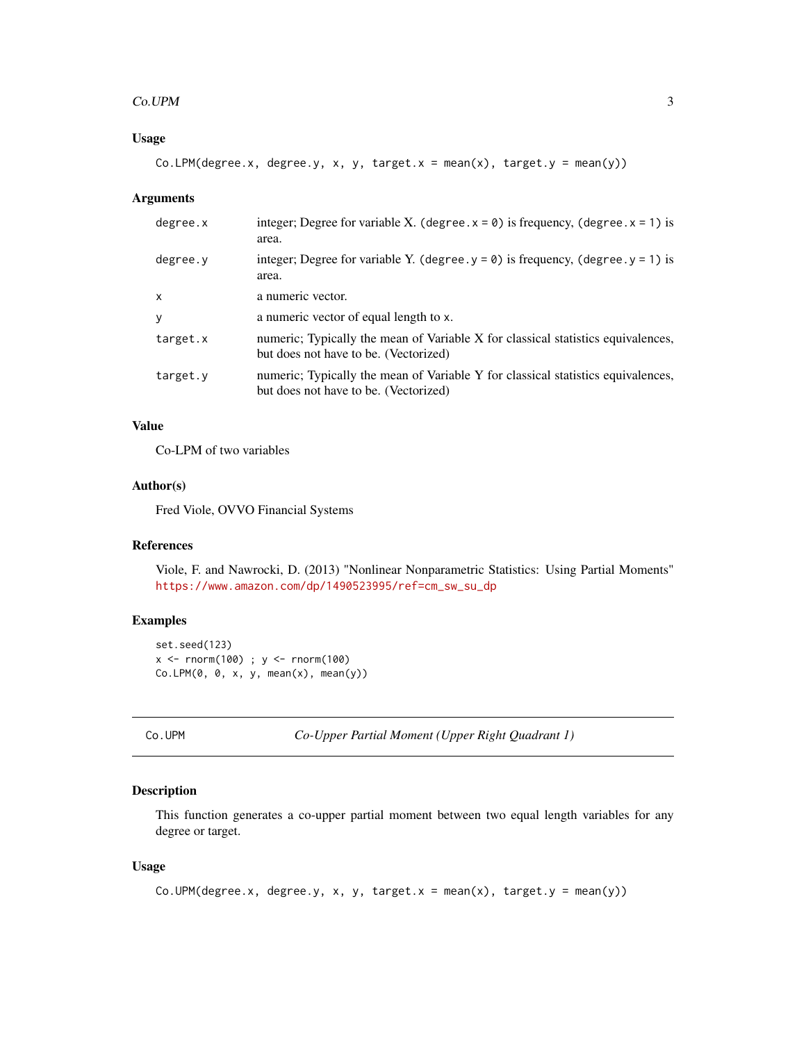#### <span id="page-2-0"></span> $Co.UPM$  3

# Usage

Co.LPM(degree.x, degree.y, x, y, target.x = mean(x), target.y = mean(y))

#### Arguments

| degree.x     | integer; Degree for variable X. (degree. $x = 0$ ) is frequency, (degree. $x = 1$ ) is<br>area.                           |
|--------------|---------------------------------------------------------------------------------------------------------------------------|
| degree.y     | integer; Degree for variable Y. (degree. $y = 0$ ) is frequency, (degree. $y = 1$ ) is<br>area.                           |
| $\mathsf{x}$ | a numeric vector.                                                                                                         |
| y            | a numeric vector of equal length to x.                                                                                    |
| target.x     | numeric; Typically the mean of Variable X for classical statistics equivalences,<br>but does not have to be. (Vectorized) |
| target.y     | numeric; Typically the mean of Variable Y for classical statistics equivalences,<br>but does not have to be. (Vectorized) |

# Value

Co-LPM of two variables

# Author(s)

Fred Viole, OVVO Financial Systems

#### References

Viole, F. and Nawrocki, D. (2013) "Nonlinear Nonparametric Statistics: Using Partial Moments" [https://www.amazon.com/dp/1490523995/ref=cm\\_sw\\_su\\_dp](https://www.amazon.com/dp/1490523995/ref=cm_sw_su_dp)

# Examples

```
set.seed(123)
x <- rnorm(100) ; y <- rnorm(100)
Co.LPM(0, 0, x, y, mean(x), mean(y))
```
<span id="page-2-1"></span>Co.UPM *Co-Upper Partial Moment (Upper Right Quadrant 1)*

#### Description

This function generates a co-upper partial moment between two equal length variables for any degree or target.

```
Co.UPM(degree.x, degree.y, x, y, target.x = mean(x), target.y = mean(y))
```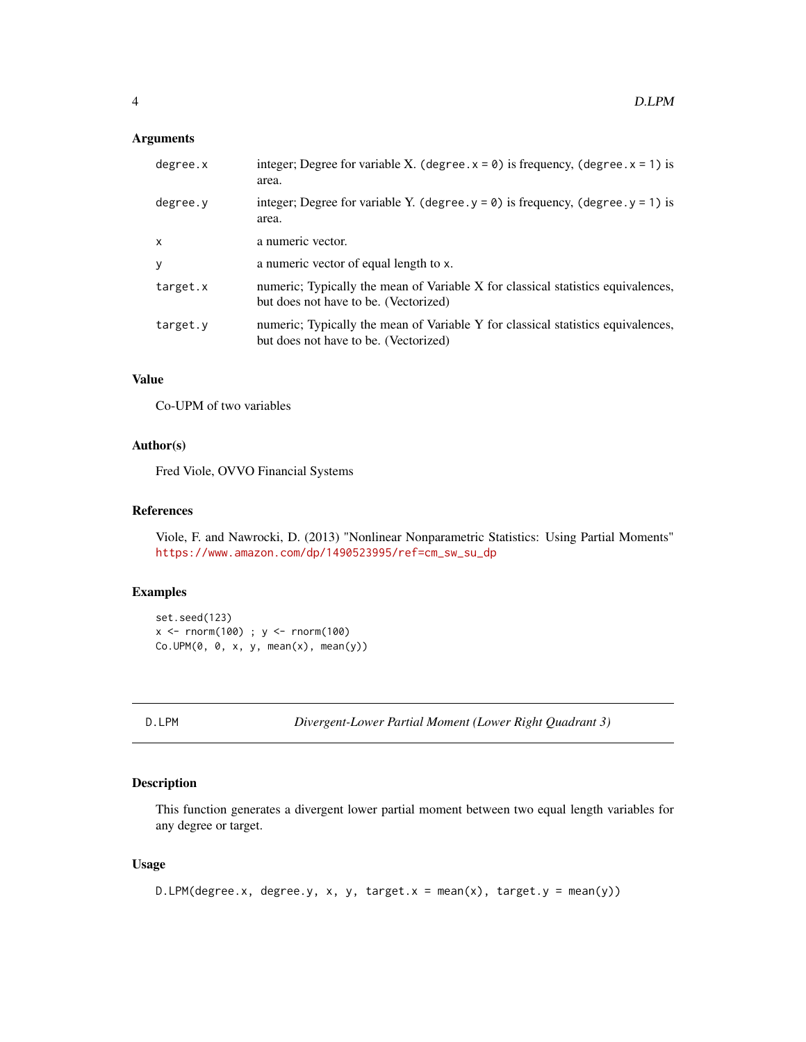# <span id="page-3-0"></span>Arguments

| degree.x | integer; Degree for variable X. (degree. $x = 0$ ) is frequency, (degree. $x = 1$ ) is<br>area.                           |
|----------|---------------------------------------------------------------------------------------------------------------------------|
| degree.y | integer; Degree for variable Y. (degree. $y = 0$ ) is frequency, (degree. $y = 1$ ) is<br>area.                           |
| X        | a numeric vector.                                                                                                         |
| У        | a numeric vector of equal length to x.                                                                                    |
| target.x | numeric; Typically the mean of Variable X for classical statistics equivalences,<br>but does not have to be. (Vectorized) |
| target.y | numeric; Typically the mean of Variable Y for classical statistics equivalences,<br>but does not have to be. (Vectorized) |

# Value

Co-UPM of two variables

# Author(s)

Fred Viole, OVVO Financial Systems

# References

Viole, F. and Nawrocki, D. (2013) "Nonlinear Nonparametric Statistics: Using Partial Moments" [https://www.amazon.com/dp/1490523995/ref=cm\\_sw\\_su\\_dp](https://www.amazon.com/dp/1490523995/ref=cm_sw_su_dp)

# Examples

```
set.seed(123)
x < - rnorm(100) ; y < - rnorm(100)
Co.UPM(\emptyset, \emptyset, x, y, mean(x), mean(y))
```
D.LPM *Divergent-Lower Partial Moment (Lower Right Quadrant 3)*

# Description

This function generates a divergent lower partial moment between two equal length variables for any degree or target.

```
D.LPM(degree.x, degree.y, x, y, target.x = mean(x), target.y = mean(y))
```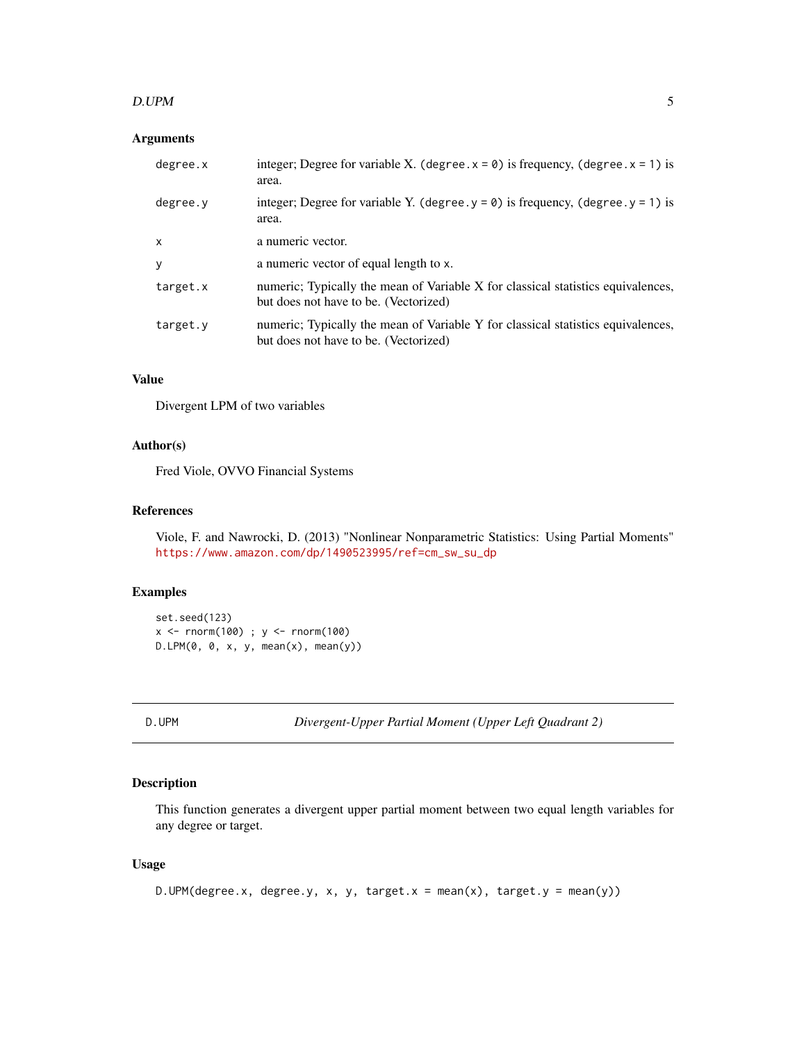#### <span id="page-4-0"></span>D.UPM 5

# Arguments

| degree.x | integer; Degree for variable X. (degree. $x = 0$ ) is frequency, (degree. $x = 1$ ) is<br>area.                           |
|----------|---------------------------------------------------------------------------------------------------------------------------|
| degree.y | integer; Degree for variable Y. (degree. $y = 0$ ) is frequency, (degree. $y = 1$ ) is<br>area.                           |
| X        | a numeric vector.                                                                                                         |
| y        | a numeric vector of equal length to x.                                                                                    |
| target.x | numeric; Typically the mean of Variable X for classical statistics equivalences,<br>but does not have to be. (Vectorized) |
| target.y | numeric; Typically the mean of Variable Y for classical statistics equivalences,<br>but does not have to be. (Vectorized) |

# Value

Divergent LPM of two variables

# Author(s)

Fred Viole, OVVO Financial Systems

# References

Viole, F. and Nawrocki, D. (2013) "Nonlinear Nonparametric Statistics: Using Partial Moments" [https://www.amazon.com/dp/1490523995/ref=cm\\_sw\\_su\\_dp](https://www.amazon.com/dp/1490523995/ref=cm_sw_su_dp)

# Examples

```
set.seed(123)
x < - rnorm(100) ; y < - rnorm(100)
D.LPM(0, 0, x, y, mean(x), mean(y))
```
D.UPM *Divergent-Upper Partial Moment (Upper Left Quadrant 2)*

# Description

This function generates a divergent upper partial moment between two equal length variables for any degree or target.

```
D.UPM(degree.x, degree.y, x, y, target.x = mean(x), target.y = mean(y))
```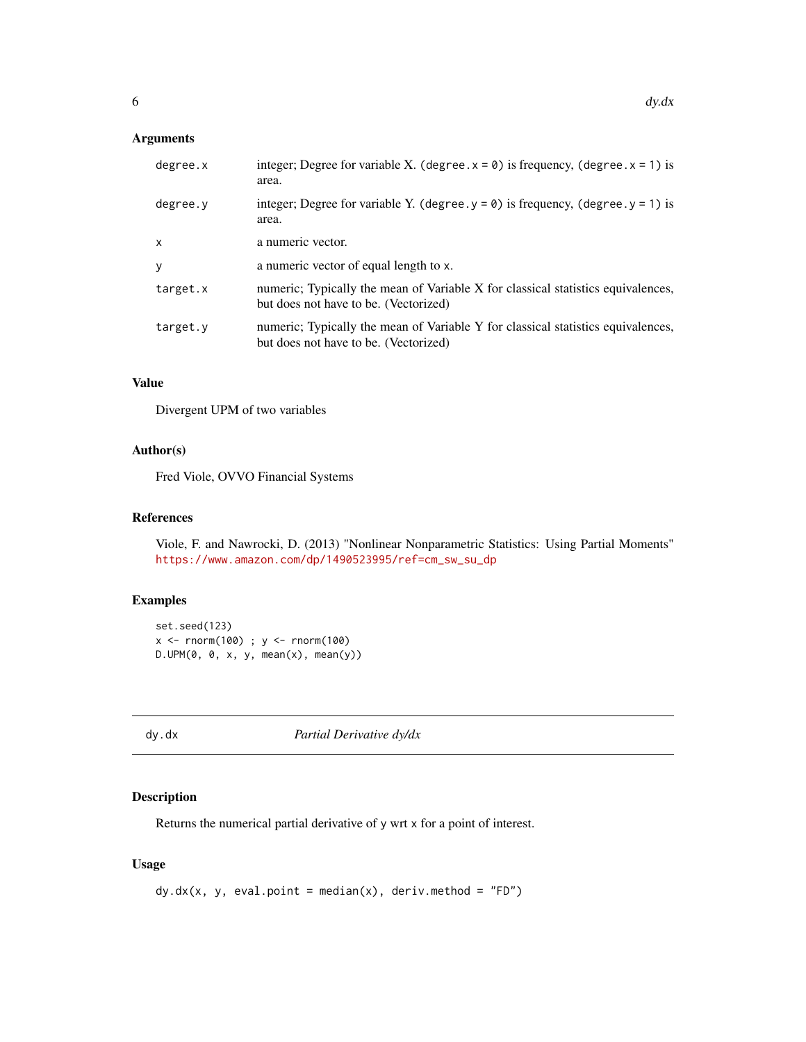# <span id="page-5-0"></span>Arguments

| degree.x | integer; Degree for variable X. (degree. $x = 0$ ) is frequency, (degree. $x = 1$ ) is<br>area.                           |
|----------|---------------------------------------------------------------------------------------------------------------------------|
| degree.y | integer; Degree for variable Y. (degree. $y = 0$ ) is frequency, (degree. $y = 1$ ) is<br>area.                           |
| X        | a numeric vector.                                                                                                         |
| у        | a numeric vector of equal length to x.                                                                                    |
| target.x | numeric; Typically the mean of Variable X for classical statistics equivalences,<br>but does not have to be. (Vectorized) |
| target.y | numeric; Typically the mean of Variable Y for classical statistics equivalences,<br>but does not have to be. (Vectorized) |

# Value

Divergent UPM of two variables

#### Author(s)

Fred Viole, OVVO Financial Systems

#### References

Viole, F. and Nawrocki, D. (2013) "Nonlinear Nonparametric Statistics: Using Partial Moments" [https://www.amazon.com/dp/1490523995/ref=cm\\_sw\\_su\\_dp](https://www.amazon.com/dp/1490523995/ref=cm_sw_su_dp)

# Examples

```
set.seed(123)
x <- rnorm(100) ; y <- rnorm(100)
D.UPM(\emptyset, \emptyset, x, y, mean(x), mean(y))
```
<span id="page-5-1"></span>

dy.dx *Partial Derivative dy/dx*

# Description

Returns the numerical partial derivative of y wrt x for a point of interest.

```
dy. dx(x, y, eval.point = median(x), deriv.method = "FD")
```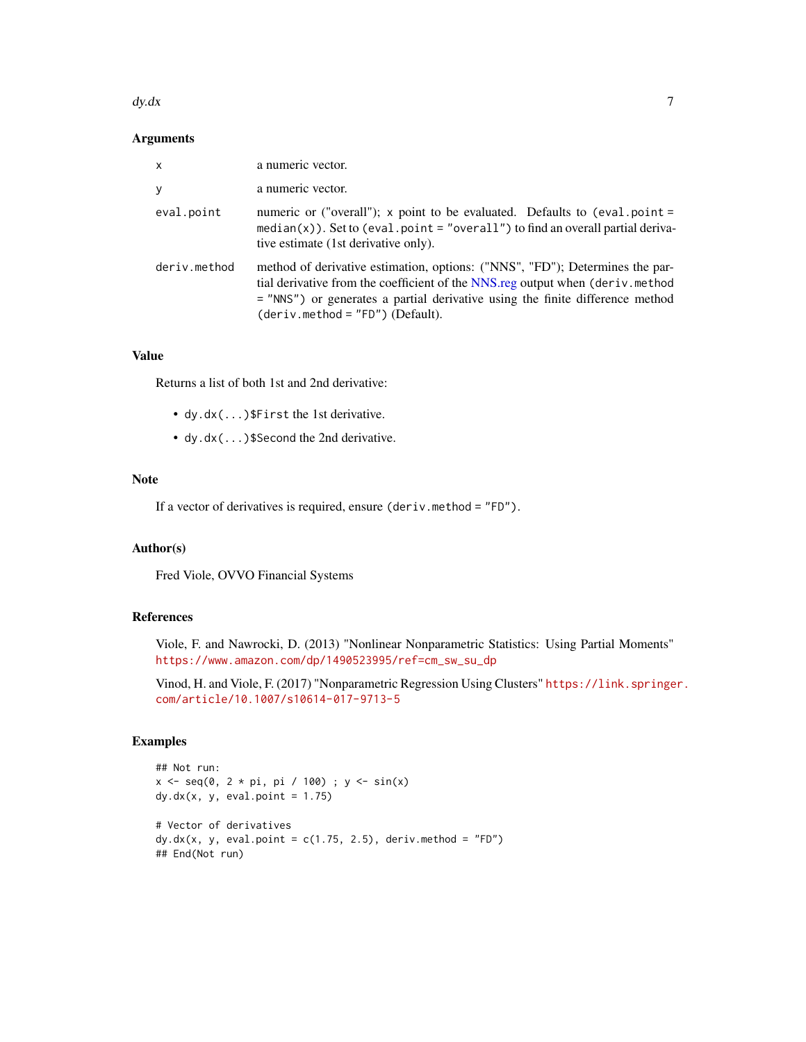#### <span id="page-6-0"></span> $dy. dx$  7

# Arguments

| X            | a numeric vector.                                                                                                                                                                                                                                                                     |
|--------------|---------------------------------------------------------------------------------------------------------------------------------------------------------------------------------------------------------------------------------------------------------------------------------------|
| y            | a numeric vector.                                                                                                                                                                                                                                                                     |
| eval.point   | numeric or ("overall"); x point to be evaluated. Defaults to (eval.point =<br>$median(x)$ ). Set to (eval.point = "overall") to find an overall partial deriva-<br>tive estimate (1st derivative only).                                                                               |
| deriv.method | method of derivative estimation, options: ("NNS", "FD"); Determines the par-<br>tial derivative from the coefficient of the NNS.reg output when (deriv.method<br>= "NNS") or generates a partial derivative using the finite difference method<br>$(deriv. method = "FD") (Default).$ |

# Value

Returns a list of both 1st and 2nd derivative:

- dy.dx(...)\$First the 1st derivative.
- dy.dx(...)\$Second the 2nd derivative.

# Note

If a vector of derivatives is required, ensure (deriv.method = "FD").

#### Author(s)

Fred Viole, OVVO Financial Systems

# References

Viole, F. and Nawrocki, D. (2013) "Nonlinear Nonparametric Statistics: Using Partial Moments" [https://www.amazon.com/dp/1490523995/ref=cm\\_sw\\_su\\_dp](https://www.amazon.com/dp/1490523995/ref=cm_sw_su_dp)

Vinod, H. and Viole, F. (2017) "Nonparametric Regression Using Clusters" [https://link.springe](https://link.springer.com/article/10.1007/s10614-017-9713-5)r. [com/article/10.1007/s10614-017-9713-5](https://link.springer.com/article/10.1007/s10614-017-9713-5)

```
## Not run:
x \leq -\text{seq}(0, 2 * \text{pi}, \text{pi} / 100); y \leq -\text{sin}(x)dy. dx(x, y, eval.point = 1.75)# Vector of derivatives
dy.dx(x, y, eval.point = c(1.75, 2.5), deriv.method = "FD")
## End(Not run)
```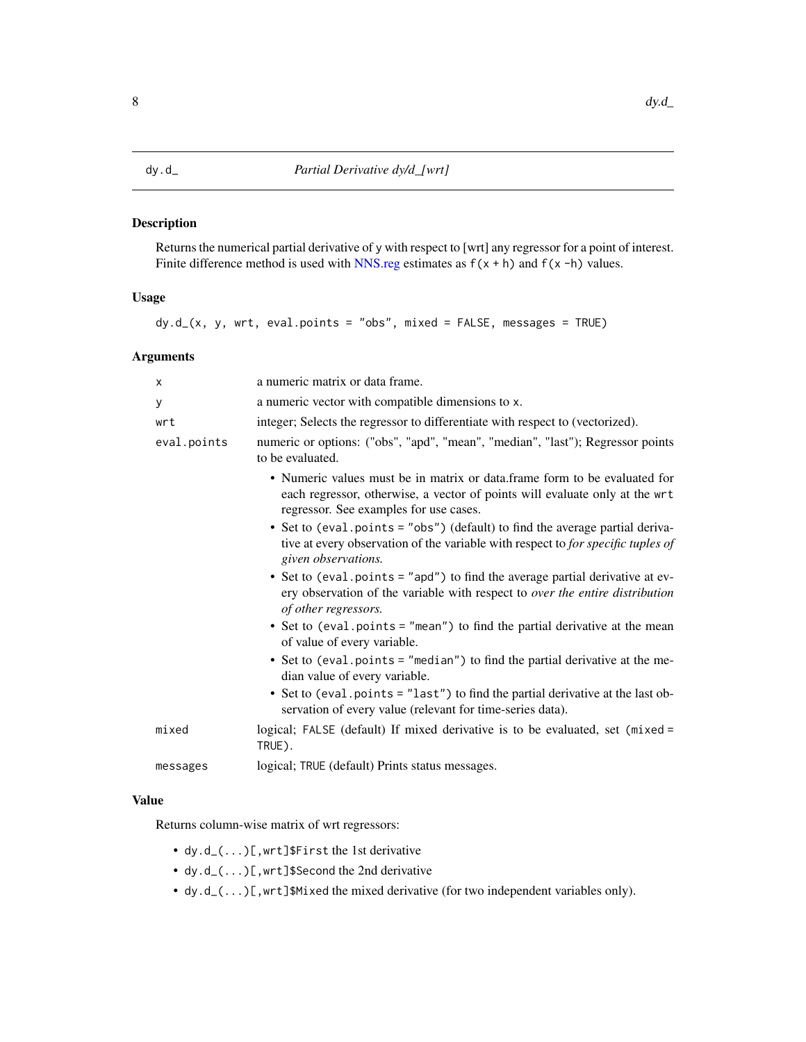<span id="page-7-0"></span>Returns the numerical partial derivative of y with respect to [wrt] any regressor for a point of interest. Finite difference method is used with [NNS.reg](#page-38-1) estimates as  $f(x + h)$  and  $f(x - h)$  values.

# Usage

 $dy.d_{-}(x, y, wrt, eval.points = "obs", mixed = FALSE, messages = TRUE)$ 

#### Arguments

| X           | a numeric matrix or data frame.                                                                                                                                                                    |
|-------------|----------------------------------------------------------------------------------------------------------------------------------------------------------------------------------------------------|
| У           | a numeric vector with compatible dimensions to x.                                                                                                                                                  |
| wrt         | integer; Selects the regressor to differentiate with respect to (vectorized).                                                                                                                      |
| eval.points | numeric or options: ("obs", "apd", "mean", "median", "last"); Regressor points<br>to be evaluated.                                                                                                 |
|             | • Numeric values must be in matrix or data.frame form to be evaluated for<br>each regressor, otherwise, a vector of points will evaluate only at the wrt<br>regressor. See examples for use cases. |
|             | • Set to (eval.points = "obs") (default) to find the average partial deriva-<br>tive at every observation of the variable with respect to for specific tuples of<br>given observations.            |
|             | • Set to (eval.points = "apd") to find the average partial derivative at ev-<br>ery observation of the variable with respect to over the entire distribution<br>of other regressors.               |
|             | • Set to (eval.points = "mean") to find the partial derivative at the mean<br>of value of every variable.                                                                                          |
|             | • Set to (eval.points = "median") to find the partial derivative at the me-<br>dian value of every variable.                                                                                       |
|             | • Set to (eval.points = "last") to find the partial derivative at the last ob-<br>servation of every value (relevant for time-series data).                                                        |
| mixed       | logical; FALSE (default) If mixed derivative is to be evaluated, set (mixed =<br>TRUE).                                                                                                            |
| messages    | logical; TRUE (default) Prints status messages.                                                                                                                                                    |

# Value

Returns column-wise matrix of wrt regressors:

- dy.d\_(...)[,wrt]\$First the 1st derivative
- dy.d\_(...)[,wrt]\$Second the 2nd derivative
- dy.d\_ $(...)$  [, wrt]\$Mixed the mixed derivative (for two independent variables only).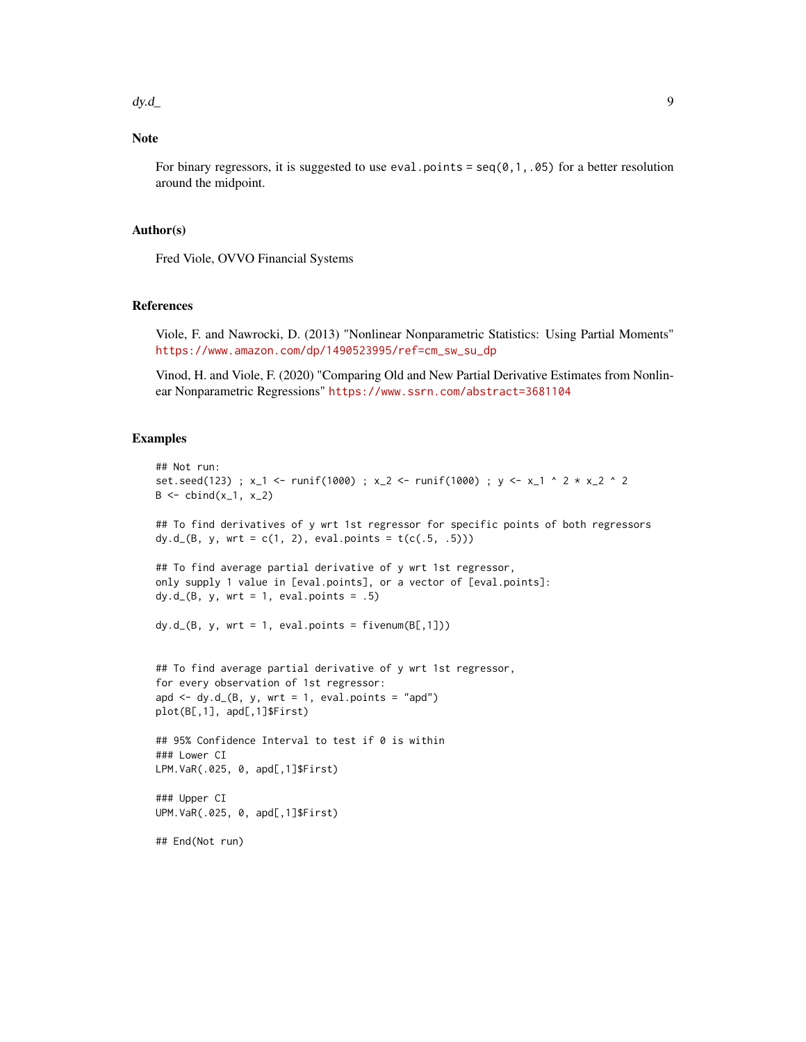$dy.d$   $dy = 9$ 

# Note

For binary regressors, it is suggested to use eval.points =  $seq(0,1,0.05)$  for a better resolution around the midpoint.

#### Author(s)

Fred Viole, OVVO Financial Systems

#### References

Viole, F. and Nawrocki, D. (2013) "Nonlinear Nonparametric Statistics: Using Partial Moments" [https://www.amazon.com/dp/1490523995/ref=cm\\_sw\\_su\\_dp](https://www.amazon.com/dp/1490523995/ref=cm_sw_su_dp)

Vinod, H. and Viole, F. (2020) "Comparing Old and New Partial Derivative Estimates from Nonlinear Nonparametric Regressions" <https://www.ssrn.com/abstract=3681104>

```
## Not run:
set.seed(123) ; x_1 <- runif(1000) ; x_2 <- runif(1000) ; y <- x_1 ^ 2 * x_2 ^ 2
B \le -\text{cbind}(x_1, x_2)## To find derivatives of y wrt 1st regressor for specific points of both regressors
dy.d_(B, y, wrt = c(1, 2), eval.points = t(c(.5, .5)))## To find average partial derivative of y wrt 1st regressor,
only supply 1 value in [eval.points], or a vector of [eval.points]:
dy.d_{-}(B, y, wrt = 1, eval.points = .5)dy.d_{-}(B, y, wrt = 1, eval.points = fivenum(B[, 1]))## To find average partial derivative of y wrt 1st regressor,
for every observation of 1st regressor:
apd \leq dy.d_(B, y, wrt = 1, eval.points = "apd")
plot(B[,1], apd[,1]$First)
## 95% Confidence Interval to test if 0 is within
### Lower CI
LPM.VaR(.025, 0, apd[,1]$First)
### Upper CI
UPM.VaR(.025, 0, apd[,1]$First)
## End(Not run)
```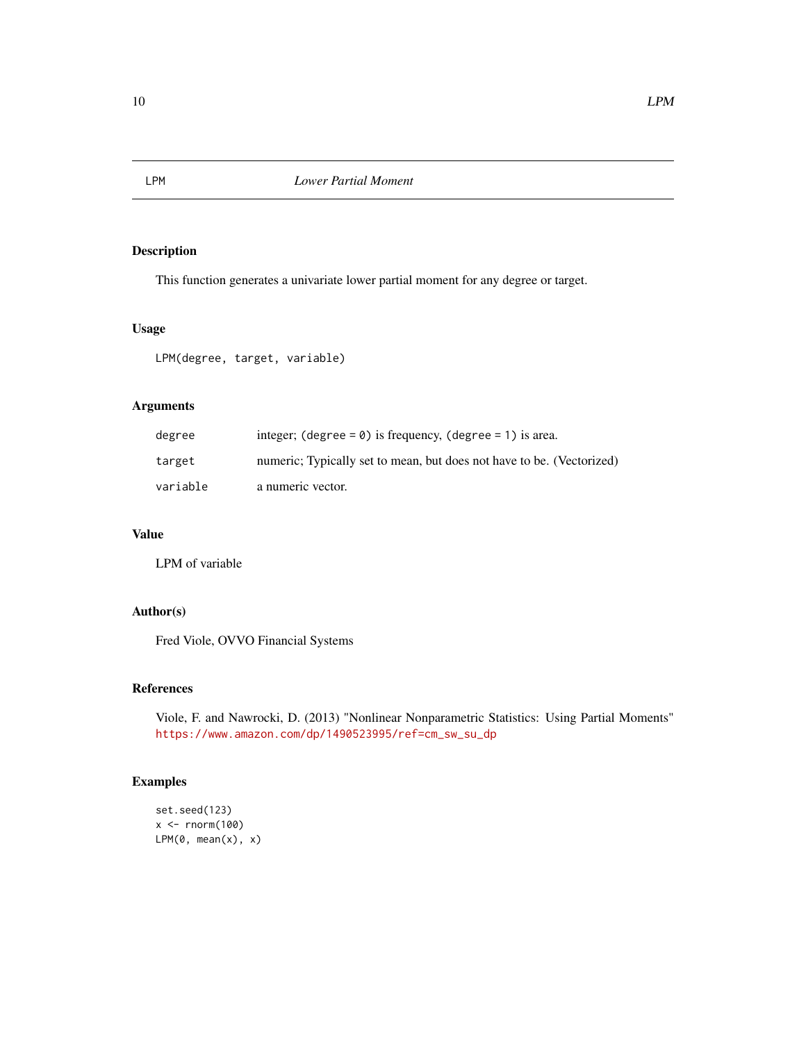<span id="page-9-0"></span>

This function generates a univariate lower partial moment for any degree or target.

#### Usage

LPM(degree, target, variable)

# Arguments

| degree   | integer; $(\text{degree} = 0)$ is frequency, $(\text{degree} = 1)$ is area. |
|----------|-----------------------------------------------------------------------------|
| target   | numeric; Typically set to mean, but does not have to be. (Vectorized)       |
| variable | a numeric vector.                                                           |

# Value

LPM of variable

# Author(s)

Fred Viole, OVVO Financial Systems

# References

Viole, F. and Nawrocki, D. (2013) "Nonlinear Nonparametric Statistics: Using Partial Moments" [https://www.amazon.com/dp/1490523995/ref=cm\\_sw\\_su\\_dp](https://www.amazon.com/dp/1490523995/ref=cm_sw_su_dp)

```
set.seed(123)
x <- rnorm(100)
LPM(\emptyset, mean(x), x)
```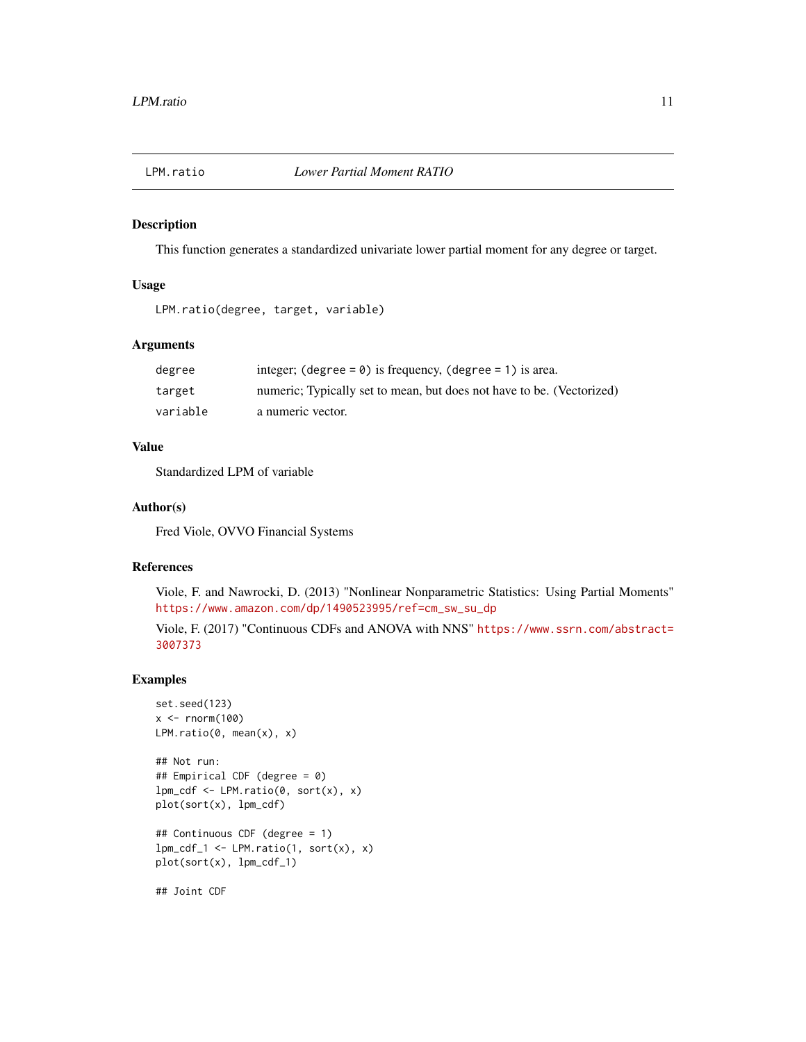<span id="page-10-1"></span><span id="page-10-0"></span>

This function generates a standardized univariate lower partial moment for any degree or target.

#### Usage

```
LPM.ratio(degree, target, variable)
```
# Arguments

| degree   | integer; (degree = $\theta$ ) is frequency, (degree = 1) is area.     |
|----------|-----------------------------------------------------------------------|
| target   | numeric; Typically set to mean, but does not have to be. (Vectorized) |
| variable | a numeric vector.                                                     |

# Value

Standardized LPM of variable

# Author(s)

Fred Viole, OVVO Financial Systems

# References

Viole, F. and Nawrocki, D. (2013) "Nonlinear Nonparametric Statistics: Using Partial Moments" [https://www.amazon.com/dp/1490523995/ref=cm\\_sw\\_su\\_dp](https://www.amazon.com/dp/1490523995/ref=cm_sw_su_dp)

Viole, F. (2017) "Continuous CDFs and ANOVA with NNS" [https://www.ssrn.com/abstract=](https://www.ssrn.com/abstract=3007373) [3007373](https://www.ssrn.com/abstract=3007373)

# Examples

```
set.seed(123)
x < - rnorm(100)
LPM.ratio(0, mean(x), x)## Not run:
## Empirical CDF (degree = 0)
lpm_cdf \leftarrow LPM.ratio(0, sort(x), x)plot(sort(x), lpm_cdf)
## Continuous CDF (degree = 1)
lpm_cdf_1 \leftarrow LPM.ratio(1, sort(x), x)plot(sort(x), lpm_cdf_1)
```
## Joint CDF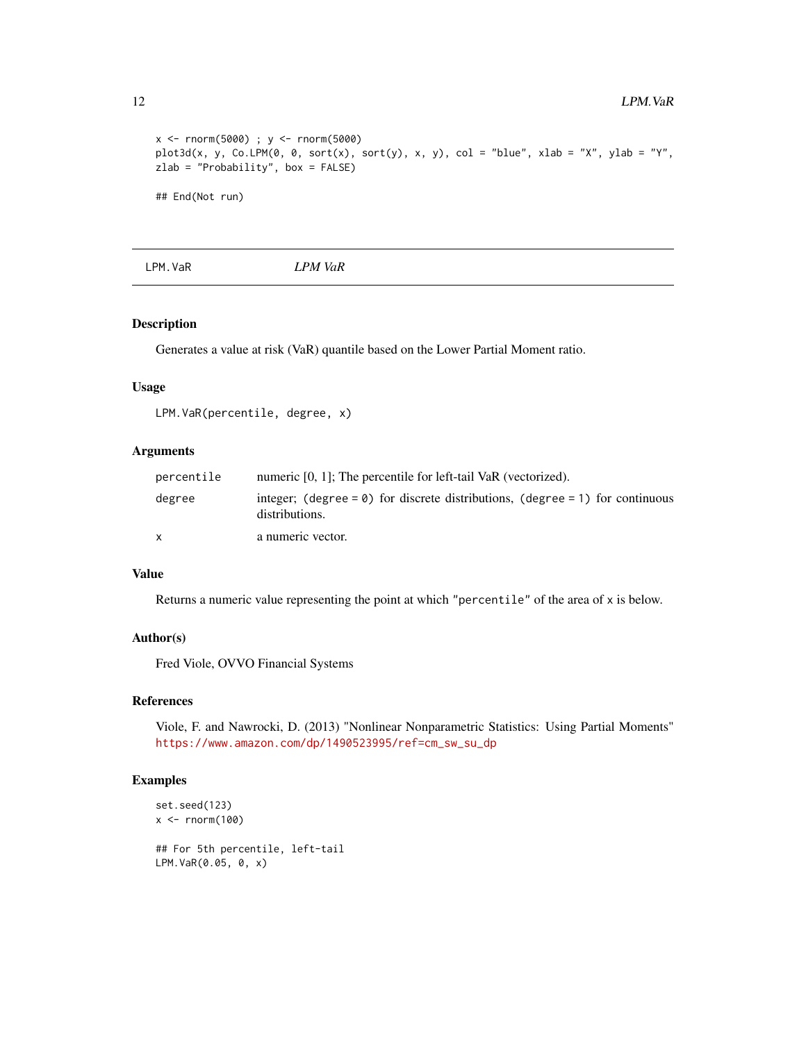```
x <- rnorm(5000) ; y <- rnorm(5000)
plot3d(x, y, Co.LPM(0, 0, sort(x), sort(y), x, y), col = "blue", xlab = "X", ylab = "Y",zlab = "Probability", box = FALSE)
## End(Not run)
```
LPM.VaR *LPM VaR*

#### Description

Generates a value at risk (VaR) quantile based on the Lower Partial Moment ratio.

#### Usage

LPM.VaR(percentile, degree, x)

#### Arguments

| percentile | numeric [0, 1]; The percentile for left-tail VaR (vectorized).                                          |
|------------|---------------------------------------------------------------------------------------------------------|
| degree     | integer; (degree = $\theta$ ) for discrete distributions, (degree = 1) for continuous<br>distributions. |
| x          | a numeric vector.                                                                                       |

## Value

Returns a numeric value representing the point at which "percentile" of the area of x is below.

#### Author(s)

Fred Viole, OVVO Financial Systems

#### References

Viole, F. and Nawrocki, D. (2013) "Nonlinear Nonparametric Statistics: Using Partial Moments" [https://www.amazon.com/dp/1490523995/ref=cm\\_sw\\_su\\_dp](https://www.amazon.com/dp/1490523995/ref=cm_sw_su_dp)

```
set.seed(123)
x < - rnorm(100)
## For 5th percentile, left-tail
LPM.VaR(0.05, 0, x)
```
<span id="page-11-0"></span>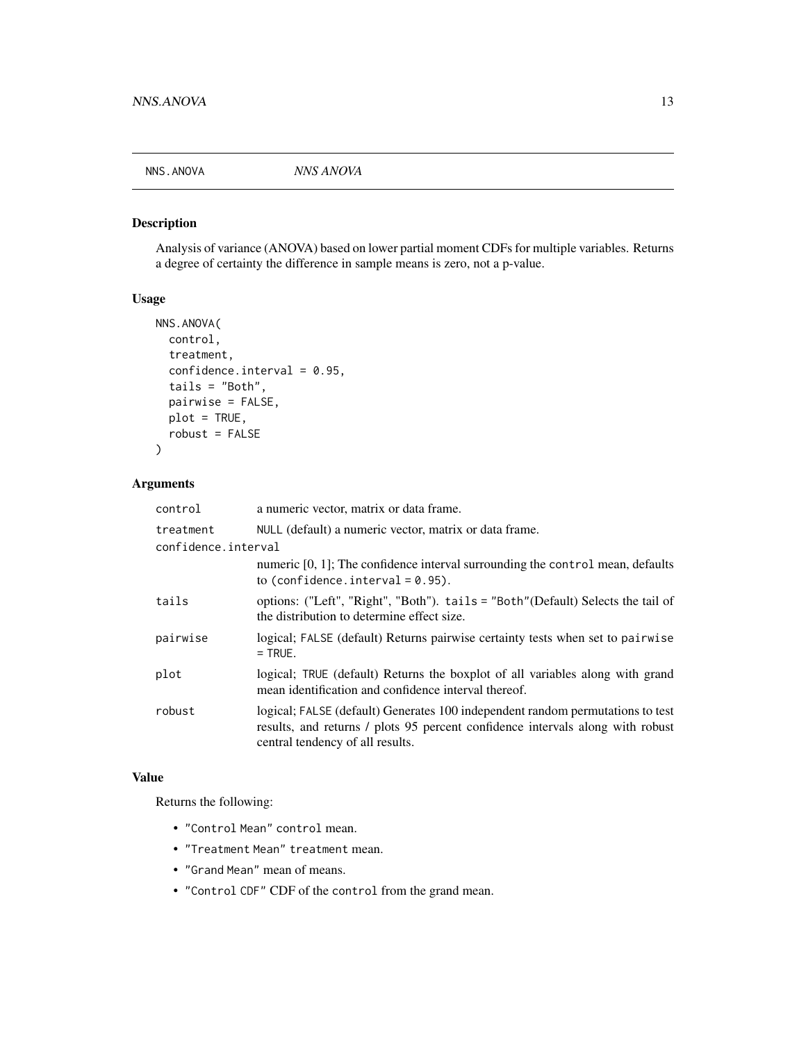<span id="page-12-0"></span>

Analysis of variance (ANOVA) based on lower partial moment CDFs for multiple variables. Returns a degree of certainty the difference in sample means is zero, not a p-value.

#### Usage

```
NNS.ANOVA(
  control,
  treatment,
  confidence.interval = 0.95,tails = "Both",
  pairwise = FALSE,
 plot = TRUE,
  robust = FALSE\mathcal{L}
```
# Arguments

| control             | a numeric vector, matrix or data frame.                                                                                                                                                              |
|---------------------|------------------------------------------------------------------------------------------------------------------------------------------------------------------------------------------------------|
| treatment           | NULL (default) a numeric vector, matrix or data frame.                                                                                                                                               |
| confidence.interval |                                                                                                                                                                                                      |
|                     | numeric $[0, 1]$ ; The confidence interval surrounding the control mean, defaults<br>to (confidence.interval = $0.95$ ).                                                                             |
| tails               | options: ("Left", "Right", "Both"). tails = "Both" (Default) Selects the tail of<br>the distribution to determine effect size.                                                                       |
| pairwise            | logical; FALSE (default) Returns pairwise certainty tests when set to pairwise<br>$=$ TRUE.                                                                                                          |
| plot                | logical; TRUE (default) Returns the boxplot of all variables along with grand<br>mean identification and confidence interval thereof.                                                                |
| robust              | logical; FALSE (default) Generates 100 independent random permutations to test<br>results, and returns / plots 95 percent confidence intervals along with robust<br>central tendency of all results. |

# Value

Returns the following:

- "Control Mean" control mean.
- "Treatment Mean" treatment mean.
- "Grand Mean" mean of means.
- "Control CDF" CDF of the control from the grand mean.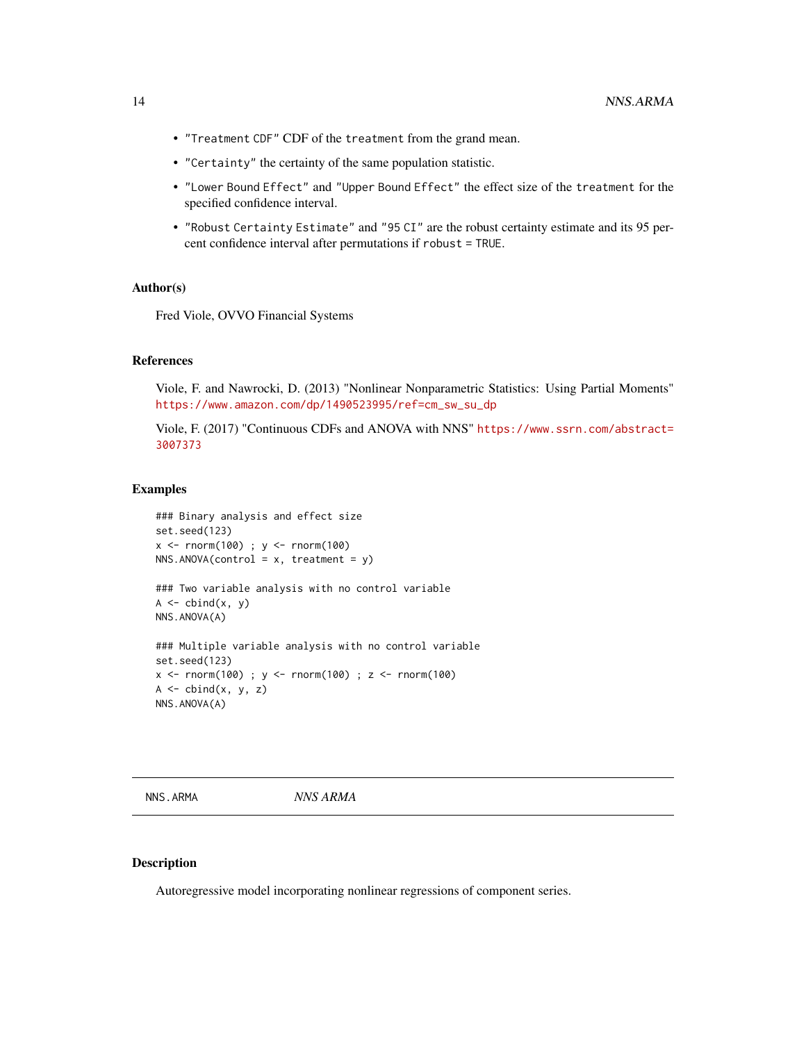- <span id="page-13-0"></span>• "Treatment CDF" CDF of the treatment from the grand mean.
- "Certainty" the certainty of the same population statistic.
- "Lower Bound Effect" and "Upper Bound Effect" the effect size of the treatment for the specified confidence interval.
- "Robust Certainty Estimate" and "95 CI" are the robust certainty estimate and its 95 percent confidence interval after permutations if robust = TRUE.

#### Author(s)

Fred Viole, OVVO Financial Systems

#### References

Viole, F. and Nawrocki, D. (2013) "Nonlinear Nonparametric Statistics: Using Partial Moments" [https://www.amazon.com/dp/1490523995/ref=cm\\_sw\\_su\\_dp](https://www.amazon.com/dp/1490523995/ref=cm_sw_su_dp)

Viole, F. (2017) "Continuous CDFs and ANOVA with NNS" [https://www.ssrn.com/abstract=](https://www.ssrn.com/abstract=3007373) [3007373](https://www.ssrn.com/abstract=3007373)

#### Examples

```
### Binary analysis and effect size
set.seed(123)
x \le - rnorm(100) ; y \le - rnorm(100)
NNS.ANOVA(control = x, treatment = y)### Two variable analysis with no control variable
A \leftarrow \text{cbind}(x, y)NNS.ANOVA(A)
### Multiple variable analysis with no control variable
set.seed(123)
x < - rnorm(100) ; y < - rnorm(100) ; z < - rnorm(100)
A \leftarrow \text{cbind}(x, y, z)NNS.ANOVA(A)
```
<span id="page-13-1"></span>NNS.ARMA *NNS ARMA*

#### Description

Autoregressive model incorporating nonlinear regressions of component series.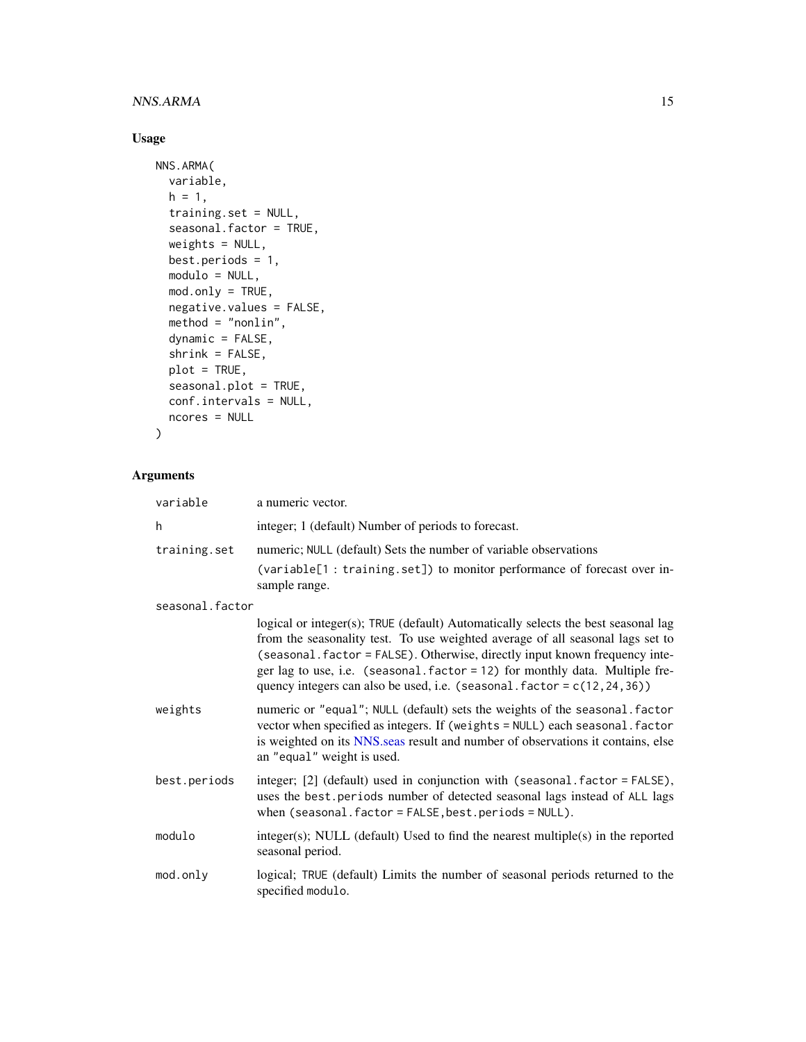# <span id="page-14-0"></span>NNS.ARMA 15

# Usage

```
NNS.ARMA(
  variable,
 h = 1,training.set = NULL,
  seasonal.factor = TRUE,
 weights = NULL,
 best.periods = 1,
 modulo = NULL,
 mod.only = TRUE,
 negative.values = FALSE,
 method = "nonlin",dynamic = FALSE,
  shrink = FALSE,
 plot = TRUE,
  seasonal.plot = TRUE,
 conf.intervals = NULL,
 ncores = NULL
\mathcal{L}
```
# Arguments

| variable        | a numeric vector.                                                                                                                                                                                                                                                                                                                                                                                                |
|-----------------|------------------------------------------------------------------------------------------------------------------------------------------------------------------------------------------------------------------------------------------------------------------------------------------------------------------------------------------------------------------------------------------------------------------|
| h               | integer; 1 (default) Number of periods to forecast.                                                                                                                                                                                                                                                                                                                                                              |
| training.set    | numeric; NULL (default) Sets the number of variable observations                                                                                                                                                                                                                                                                                                                                                 |
|                 | (variable[1 : training.set]) to monitor performance of forecast over in-<br>sample range.                                                                                                                                                                                                                                                                                                                        |
| seasonal.factor |                                                                                                                                                                                                                                                                                                                                                                                                                  |
|                 | logical or integer(s); TRUE (default) Automatically selects the best seasonal lag<br>from the seasonality test. To use weighted average of all seasonal lags set to<br>(seasonal.factor = FALSE). Otherwise, directly input known frequency inte-<br>ger lag to use, i.e. (seasonal.factor = 12) for monthly data. Multiple fre-<br>quency integers can also be used, i.e. (seasonal. $factor = c(12, 24, 36)$ ) |
| weights         | numeric or "equal"; NULL (default) sets the weights of the seasonal. factor<br>vector when specified as integers. If (weights = NULL) each seasonal. factor<br>is weighted on its NNS seas result and number of observations it contains, else<br>an "equal" weight is used.                                                                                                                                     |
| best.periods    | integer; [2] (default) used in conjunction with (seasonal factor = FALSE),<br>uses the best.periods number of detected seasonal lags instead of ALL lags<br>when (seasonal.factor = FALSE, best.periods = NULL).                                                                                                                                                                                                 |
| modulo          | $integer(s)$ ; NULL (default) Used to find the nearest multiple $(s)$ in the reported<br>seasonal period.                                                                                                                                                                                                                                                                                                        |
| mod.only        | logical; TRUE (default) Limits the number of seasonal periods returned to the<br>specified modulo.                                                                                                                                                                                                                                                                                                               |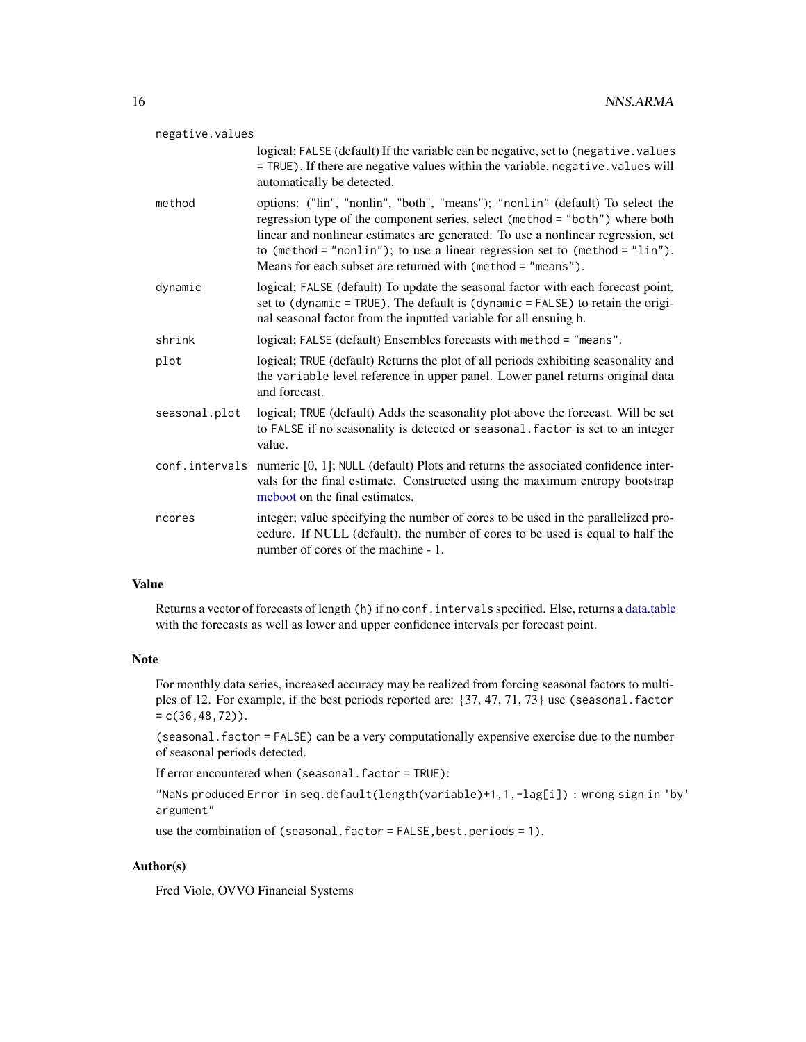<span id="page-15-0"></span>

| negative.values |                                                                                                                                                                                                                                                                                                                                                                                                 |
|-----------------|-------------------------------------------------------------------------------------------------------------------------------------------------------------------------------------------------------------------------------------------------------------------------------------------------------------------------------------------------------------------------------------------------|
|                 | logical; FALSE (default) If the variable can be negative, set to (negative.values<br>= TRUE). If there are negative values within the variable, negative. values will<br>automatically be detected.                                                                                                                                                                                             |
| method          | options: ("lin", "nonlin", "both", "means"); "nonlin" (default) To select the<br>regression type of the component series, select (method = "both") where both<br>linear and nonlinear estimates are generated. To use a nonlinear regression, set<br>to (method = "nonlin"); to use a linear regression set to (method = "lin").<br>Means for each subset are returned with (method = "means"). |
| dynamic         | logical; FALSE (default) To update the seasonal factor with each forecast point,<br>set to (dynamic = TRUE). The default is (dynamic = FALSE) to retain the origi-<br>nal seasonal factor from the inputted variable for all ensuing h.                                                                                                                                                         |
| shrink          | logical; FALSE (default) Ensembles forecasts with method = "means".                                                                                                                                                                                                                                                                                                                             |
| plot            | logical; TRUE (default) Returns the plot of all periods exhibiting seasonality and<br>the variable level reference in upper panel. Lower panel returns original data<br>and forecast.                                                                                                                                                                                                           |
| seasonal.plot   | logical; TRUE (default) Adds the seasonality plot above the forecast. Will be set<br>to FALSE if no seasonality is detected or seasonal. factor is set to an integer<br>value.                                                                                                                                                                                                                  |
|                 | conf.intervals numeric [0, 1]; NULL (default) Plots and returns the associated confidence inter-<br>vals for the final estimate. Constructed using the maximum entropy bootstrap<br>meboot on the final estimates.                                                                                                                                                                              |
| ncores          | integer; value specifying the number of cores to be used in the parallelized pro-<br>cedure. If NULL (default), the number of cores to be used is equal to half the<br>number of cores of the machine - 1.                                                                                                                                                                                      |
|                 |                                                                                                                                                                                                                                                                                                                                                                                                 |

# Value

Returns a vector of forecasts of length (h) if no conf. intervals specified. Else, returns a [data.table](#page-0-0) with the forecasts as well as lower and upper confidence intervals per forecast point.

#### Note

For monthly data series, increased accuracy may be realized from forcing seasonal factors to multiples of 12. For example, if the best periods reported are: {37, 47, 71, 73} use (seasonal.factor  $= c(36, 48, 72)$ .

(seasonal.factor = FALSE) can be a very computationally expensive exercise due to the number of seasonal periods detected.

If error encountered when (seasonal.factor = TRUE):

"NaNs produced Error in seq.default(length(variable)+1,1,-lag[i]) : wrong sign in 'by' argument"

use the combination of (seasonal.factor = FALSE, best.periods = 1).

# Author(s)

Fred Viole, OVVO Financial Systems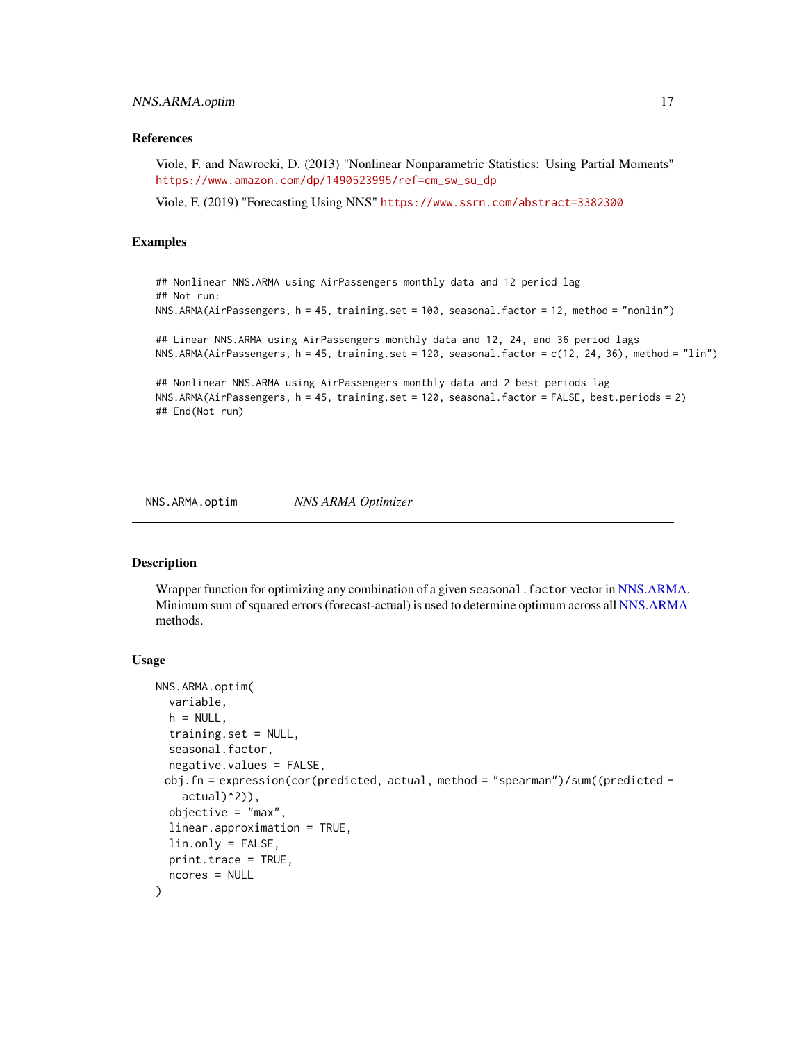#### <span id="page-16-0"></span>References

Viole, F. and Nawrocki, D. (2013) "Nonlinear Nonparametric Statistics: Using Partial Moments" [https://www.amazon.com/dp/1490523995/ref=cm\\_sw\\_su\\_dp](https://www.amazon.com/dp/1490523995/ref=cm_sw_su_dp)

Viole, F. (2019) "Forecasting Using NNS" <https://www.ssrn.com/abstract=3382300>

#### Examples

```
## Nonlinear NNS.ARMA using AirPassengers monthly data and 12 period lag
## Not run:
NNS.ARMA(AirPassengers, h = 45, training.set = 100, seasonal.factor = 12, method = "nonlin")
## Linear NNS.ARMA using AirPassengers monthly data and 12, 24, and 36 period lags
NNS.ARMA(AirPassengers, h = 45, training.set = 120, seasonal.factor = c(12, 24, 36), method = "lin")
## Nonlinear NNS.ARMA using AirPassengers monthly data and 2 best periods lag
NNS.ARMA(AirPassengers, h = 45, training.set = 120, seasonal.factor = FALSE, best.periods = 2)
## End(Not run)
```
<span id="page-16-1"></span>NNS.ARMA.optim *NNS ARMA Optimizer*

#### **Description**

Wrapper function for optimizing any combination of a given seasonal. factor vector in [NNS.ARMA.](#page-13-1) Minimum sum of squared errors (forecast-actual) is used to determine optimum across all [NNS.ARMA](#page-13-1) methods.

```
NNS.ARMA.optim(
  variable,
  h = NULL,training.set = NULL,
  seasonal.factor,
  negative.values = FALSE,
 obj.fn = expression(cor(predicted, actual, method = "spearman")/sum((predicted -
    actual(2)),
  objective = "max".
  linear.approximation = TRUE,
  lin.only = FALSE,
 print.trace = TRUE,
  ncores = NULL
)
```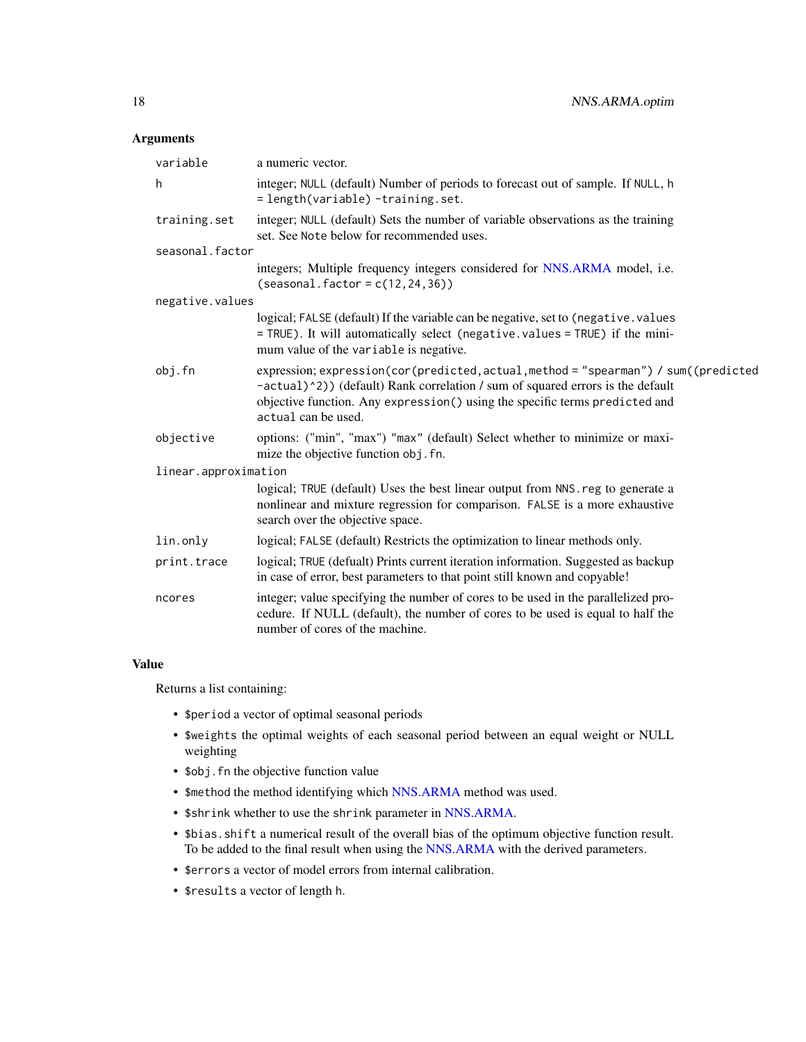# <span id="page-17-0"></span>Arguments

| variable             | a numeric vector.                                                                                                                                                                                                                                                           |
|----------------------|-----------------------------------------------------------------------------------------------------------------------------------------------------------------------------------------------------------------------------------------------------------------------------|
| h                    | integer; NULL (default) Number of periods to forecast out of sample. If NULL, h<br>= length(variable) -training.set.                                                                                                                                                        |
| training.set         | integer; NULL (default) Sets the number of variable observations as the training<br>set. See Note below for recommended uses.                                                                                                                                               |
| seasonal.factor      |                                                                                                                                                                                                                                                                             |
|                      | integers; Multiple frequency integers considered for NNS.ARMA model, i.e.<br>$(seasonal.factor = c(12, 24, 36))$                                                                                                                                                            |
| negative.values      |                                                                                                                                                                                                                                                                             |
|                      | logical; FALSE (default) If the variable can be negative, set to (negative. values<br>= TRUE). It will automatically select (negative.values = TRUE) if the mini-<br>mum value of the variable is negative.                                                                 |
| obj.fn               | expression; expression(cor(predicted, actual, method = "spearman") / sum((predicted<br>-actual)^2)) (default) Rank correlation / sum of squared errors is the default<br>objective function. Any expression() using the specific terms predicted and<br>actual can be used. |
| objective            | options: ("min", "max") "max" (default) Select whether to minimize or maxi-<br>mize the objective function obj. fn.                                                                                                                                                         |
| linear.approximation |                                                                                                                                                                                                                                                                             |
|                      | logical; TRUE (default) Uses the best linear output from NNS. reg to generate a<br>nonlinear and mixture regression for comparison. FALSE is a more exhaustive<br>search over the objective space.                                                                          |
| lin.only             | logical; FALSE (default) Restricts the optimization to linear methods only.                                                                                                                                                                                                 |
| print.trace          | logical; TRUE (defualt) Prints current iteration information. Suggested as backup<br>in case of error, best parameters to that point still known and copyable!                                                                                                              |
| ncores               | integer; value specifying the number of cores to be used in the parallelized pro-<br>cedure. If NULL (default), the number of cores to be used is equal to half the<br>number of cores of the machine.                                                                      |

#### Value

Returns a list containing:

- \$period a vector of optimal seasonal periods
- \$weights the optimal weights of each seasonal period between an equal weight or NULL weighting
- \$obj.fn the objective function value
- \$method the method identifying which [NNS.ARMA](#page-13-1) method was used.
- \$shrink whether to use the shrink parameter in [NNS.ARMA.](#page-13-1)
- \$bias.shift a numerical result of the overall bias of the optimum objective function result. To be added to the final result when using the [NNS.ARMA](#page-13-1) with the derived parameters.
- \$errors a vector of model errors from internal calibration.
- \$results a vector of length h.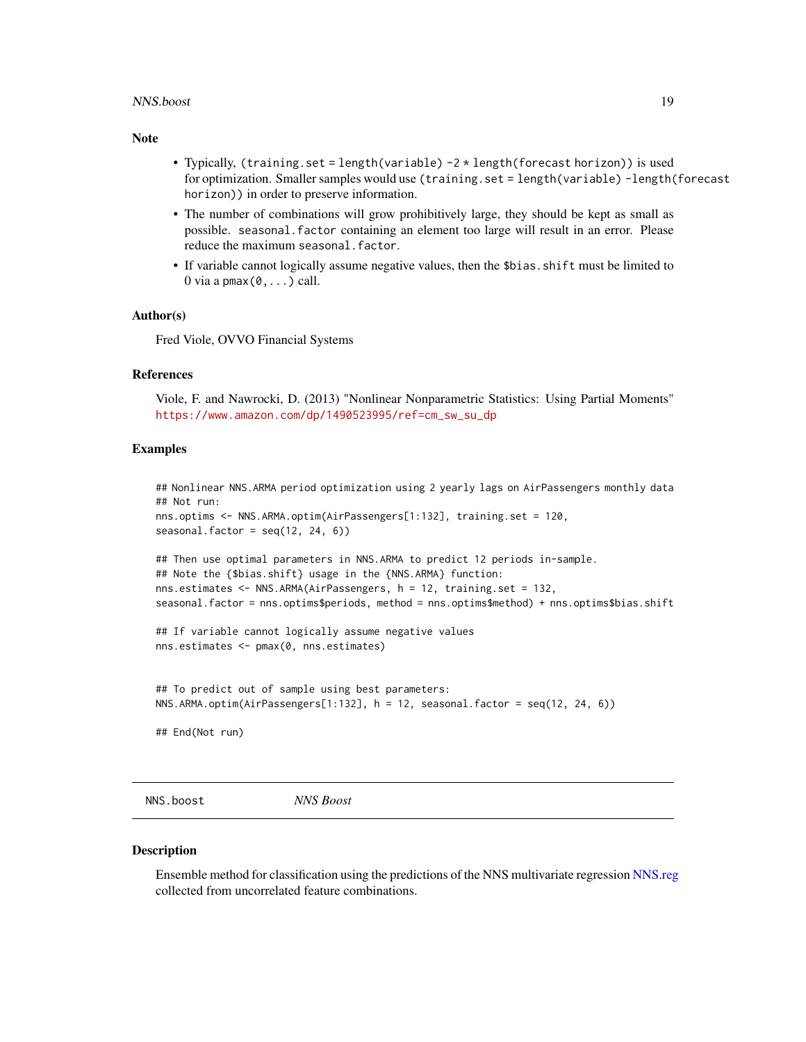#### <span id="page-18-0"></span>NNS.boost 19

#### Note

- Typically, (training.set = length(variable) -2 \* length(forecast horizon)) is used for optimization. Smaller samples would use (training.set = length(variable) -length(forecast horizon)) in order to preserve information.
- The number of combinations will grow prohibitively large, they should be kept as small as possible. seasonal.factor containing an element too large will result in an error. Please reduce the maximum seasonal.factor.
- If variable cannot logically assume negative values, then the \$bias.shift must be limited to  $0$  via a pmax $(0, \ldots)$  call.

#### Author(s)

Fred Viole, OVVO Financial Systems

#### References

Viole, F. and Nawrocki, D. (2013) "Nonlinear Nonparametric Statistics: Using Partial Moments" [https://www.amazon.com/dp/1490523995/ref=cm\\_sw\\_su\\_dp](https://www.amazon.com/dp/1490523995/ref=cm_sw_su_dp)

#### Examples

```
## Nonlinear NNS.ARMA period optimization using 2 yearly lags on AirPassengers monthly data
## Not run:
nns.optims <- NNS.ARMA.optim(AirPassengers[1:132], training.set = 120,
seasonal.factor = seq(12, 24, 6)## Then use optimal parameters in NNS.ARMA to predict 12 periods in-sample.
## Note the {$bias.shift} usage in the {NNS.ARMA} function:
nns.estimates <- NNS.ARMA(AirPassengers, h = 12, training.set = 132,
seasonal.factor = nns.optims$periods, method = nns.optims$method) + nns.optims$bias.shift
## If variable cannot logically assume negative values
nns.estimates <- pmax(0, nns.estimates)
## To predict out of sample using best parameters:
NNS.ARMA.optim(AirPassengers[1:132], h = 12, seasonal.factor = seq(12, 24, 6))
## End(Not run)
```
NNS.boost *NNS Boost*

#### Description

Ensemble method for classification using the predictions of the NNS multivariate regression [NNS.reg](#page-38-1) collected from uncorrelated feature combinations.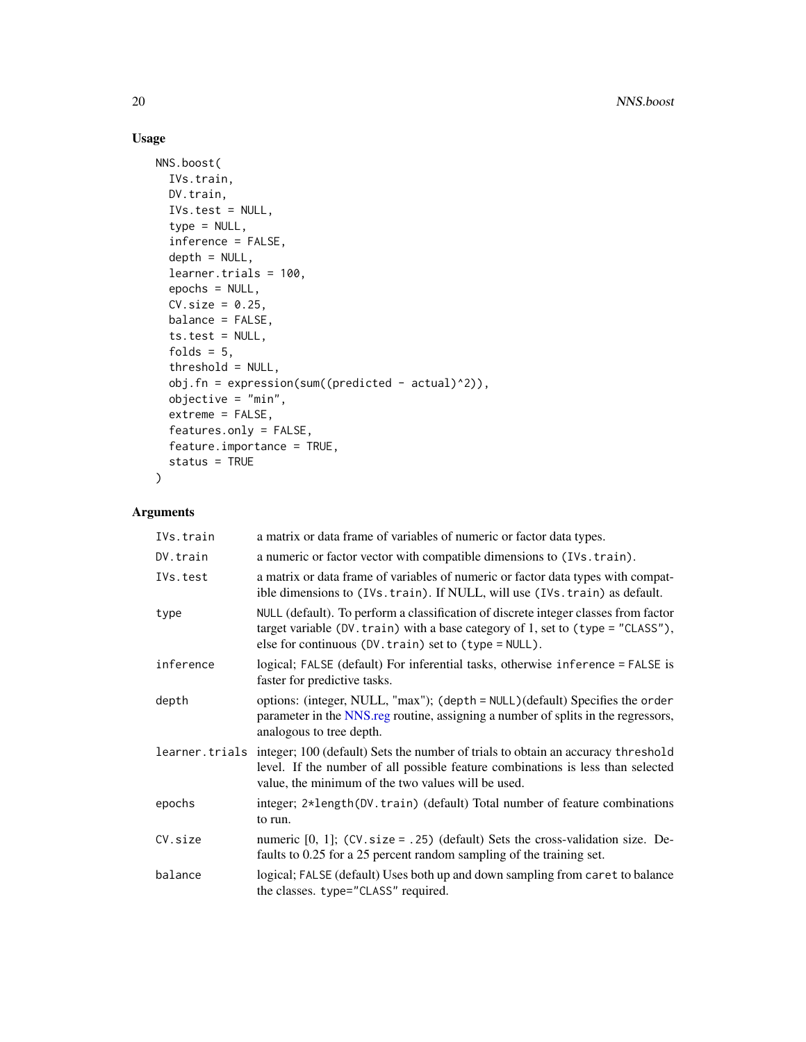# Usage

```
NNS.boost(
  IVs.train,
 DV.train,
 IVs.test = NULL,
  type = NULL,
  inference = FALSE,
  depth = NULL,learner.trials = 100,
  epochs = NULL,
 CV.size = 0.25,
 balance = FALSE,
 ts.test = NULL,folds = 5,
  threshold = NULL,
  obj.fn = expression(sum((predicted - actual)^2)),objective = "min",
 extreme = FALSE,
  features.only = FALSE,
  feature.importance = TRUE,
  status = TRUE
\mathcal{L}
```
# Arguments

| IVs.train      | a matrix or data frame of variables of numeric or factor data types.                                                                                                                                                            |
|----------------|---------------------------------------------------------------------------------------------------------------------------------------------------------------------------------------------------------------------------------|
| DV.train       | a numeric or factor vector with compatible dimensions to (IVs. train).                                                                                                                                                          |
| IVs.test       | a matrix or data frame of variables of numeric or factor data types with compat-<br>ible dimensions to (IVs. train). If NULL, will use (IVs. train) as default.                                                                 |
| type           | NULL (default). To perform a classification of discrete integer classes from factor<br>target variable (DV. train) with a base category of 1, set to (type = "CLASS"),<br>else for continuous (DV. train) set to (type = NULL). |
| inference      | logical; FALSE (default) For inferential tasks, otherwise inference = FALSE is<br>faster for predictive tasks.                                                                                                                  |
| depth          | options: (integer, NULL, "max"); (depth = NULL)(default) Specifies the order<br>parameter in the NNS reg routine, assigning a number of splits in the regressors,<br>analogous to tree depth.                                   |
| learner.trials | integer; 100 (default) Sets the number of trials to obtain an accuracy threshold<br>level. If the number of all possible feature combinations is less than selected<br>value, the minimum of the two values will be used.       |
| epochs         | integer; 2*length(DV.train) (default) Total number of feature combinations<br>to run.                                                                                                                                           |
| CV.size        | numeric $[0, 1]$ ; (CV. size = .25) (default) Sets the cross-validation size. De-<br>faults to 0.25 for a 25 percent random sampling of the training set.                                                                       |
| balance        | logical; FALSE (default) Uses both up and down sampling from caret to balance<br>the classes. type="CLASS" required.                                                                                                            |

<span id="page-19-0"></span>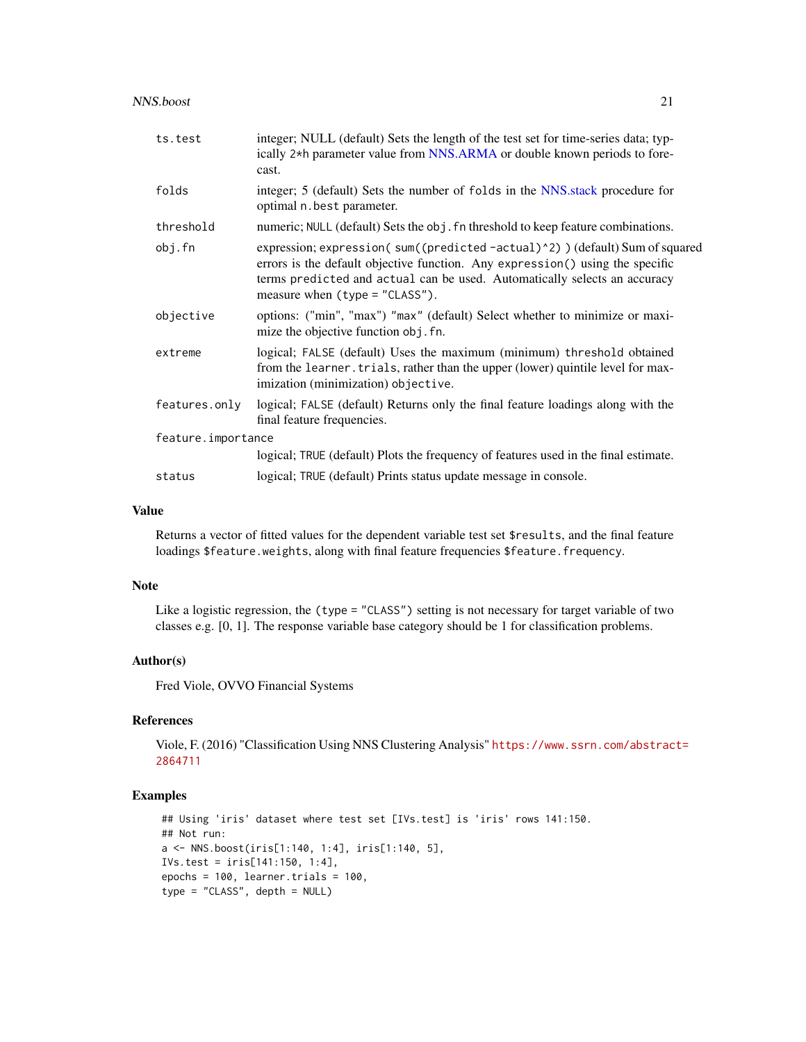#### <span id="page-20-0"></span>NNS.boost 21

| ts.test            | integer; NULL (default) Sets the length of the test set for time-series data; typ-<br>ically 2 <sup>*h</sup> parameter value from NNS.ARMA or double known periods to fore-<br>cast.                                                                                          |
|--------------------|-------------------------------------------------------------------------------------------------------------------------------------------------------------------------------------------------------------------------------------------------------------------------------|
| folds              | integer; 5 (default) Sets the number of folds in the NNS stack procedure for<br>optimal n. best parameter.                                                                                                                                                                    |
| threshold          | numeric; NULL (default) Sets the obj. fn threshold to keep feature combinations.                                                                                                                                                                                              |
| obj.fn             | expression; expression(sum((predicted-actual)^2)) (default) Sum of squared<br>errors is the default objective function. Any expression () using the specific<br>terms predicted and actual can be used. Automatically selects an accuracy<br>measure when $(typ = "CLASS")$ . |
| objective          | options: ("min", "max") "max" (default) Select whether to minimize or maxi-<br>mize the objective function obj. fn.                                                                                                                                                           |
| extreme            | logical; FALSE (default) Uses the maximum (minimum) threshold obtained<br>from the learner. trials, rather than the upper (lower) quintile level for max-<br>imization (minimization) objective.                                                                              |
| features.only      | logical; FALSE (default) Returns only the final feature loadings along with the<br>final feature frequencies.                                                                                                                                                                 |
| feature.importance |                                                                                                                                                                                                                                                                               |
|                    | logical; TRUE (default) Plots the frequency of features used in the final estimate.                                                                                                                                                                                           |
| status             | logical; TRUE (default) Prints status update message in console.                                                                                                                                                                                                              |

#### Value

Returns a vector of fitted values for the dependent variable test set \$results, and the final feature loadings \$feature.weights, along with final feature frequencies \$feature.frequency.

#### Note

Like a logistic regression, the (type = "CLASS") setting is not necessary for target variable of two classes e.g. [0, 1]. The response variable base category should be 1 for classification problems.

#### Author(s)

Fred Viole, OVVO Financial Systems

### References

Viole, F. (2016) "Classification Using NNS Clustering Analysis" [https://www.ssrn.com/abstrac](https://www.ssrn.com/abstract=2864711)t= [2864711](https://www.ssrn.com/abstract=2864711)

```
## Using 'iris' dataset where test set [IVs.test] is 'iris' rows 141:150.
## Not run:
a <- NNS.boost(iris[1:140, 1:4], iris[1:140, 5],
IVs.test = iris[141:150, 1:4],
epochs = 100, learner.trials = 100,
type = "CLASS", depth = NULL)
```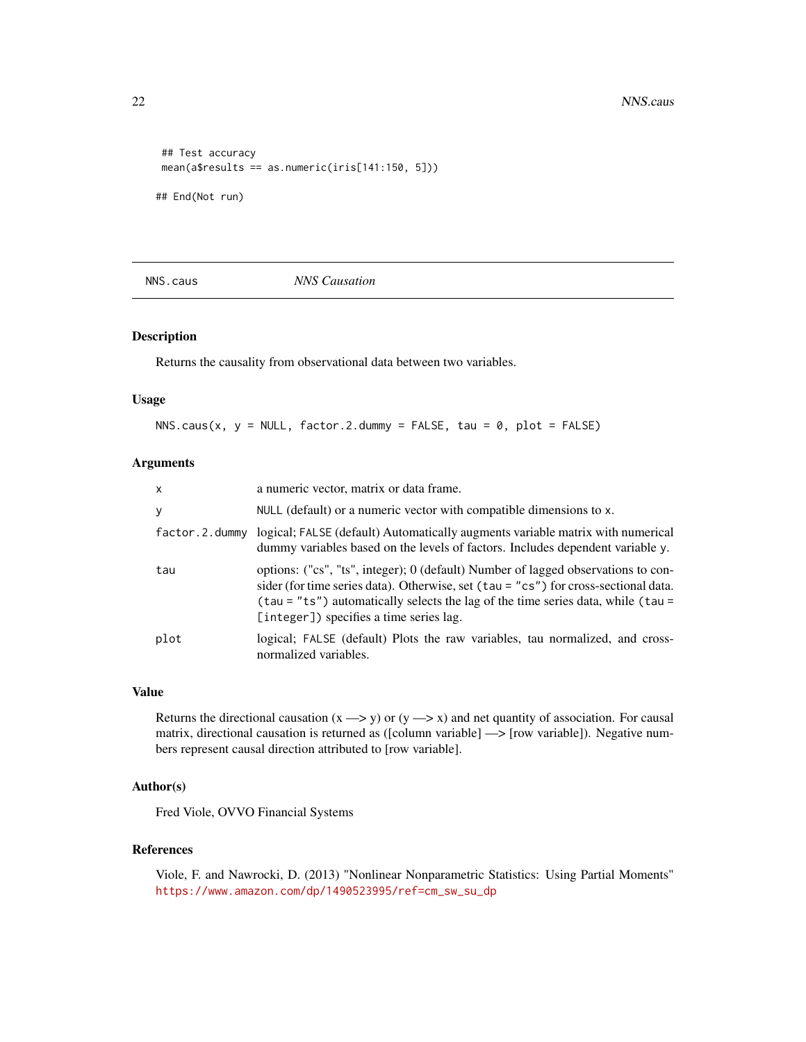```
## Test accuracy
mean(a$results == as.numeric(iris[141:150, 5]))
```
## End(Not run)

<span id="page-21-1"></span>NNS.caus *NNS Causation*

#### Description

Returns the causality from observational data between two variables.

#### Usage

NNS.caus(x,  $y = NULL$ , factor.2.dummy = FALSE, tau = 0, plot = FALSE)

# Arguments

| $\mathsf{x}$   | a numeric vector, matrix or data frame.                                                                                                                                                                                                                                                                 |
|----------------|---------------------------------------------------------------------------------------------------------------------------------------------------------------------------------------------------------------------------------------------------------------------------------------------------------|
| У              | NULL (default) or a numeric vector with compatible dimensions to x.                                                                                                                                                                                                                                     |
| factor.2.dummy | logical; FALSE (default) Automatically augments variable matrix with numerical<br>dummy variables based on the levels of factors. Includes dependent variable y.                                                                                                                                        |
| tau            | options: ("cs", "ts", integer); 0 (default) Number of lagged observations to con-<br>sider (for time series data). Otherwise, set (tau = "cs") for cross-sectional data.<br>(tau = "ts") automatically selects the lag of the time series data, while (tau =<br>[integer]) specifies a time series lag. |
| plot           | logical; FALSE (default) Plots the raw variables, tau normalized, and cross-<br>normalized variables.                                                                                                                                                                                                   |

#### Value

Returns the directional causation  $(x \rightarrow y)$  or  $(y \rightarrow x)$  and net quantity of association. For causal matrix, directional causation is returned as ([column variable] —> [row variable]). Negative numbers represent causal direction attributed to [row variable].

# Author(s)

Fred Viole, OVVO Financial Systems

#### References

Viole, F. and Nawrocki, D. (2013) "Nonlinear Nonparametric Statistics: Using Partial Moments" [https://www.amazon.com/dp/1490523995/ref=cm\\_sw\\_su\\_dp](https://www.amazon.com/dp/1490523995/ref=cm_sw_su_dp)

<span id="page-21-0"></span>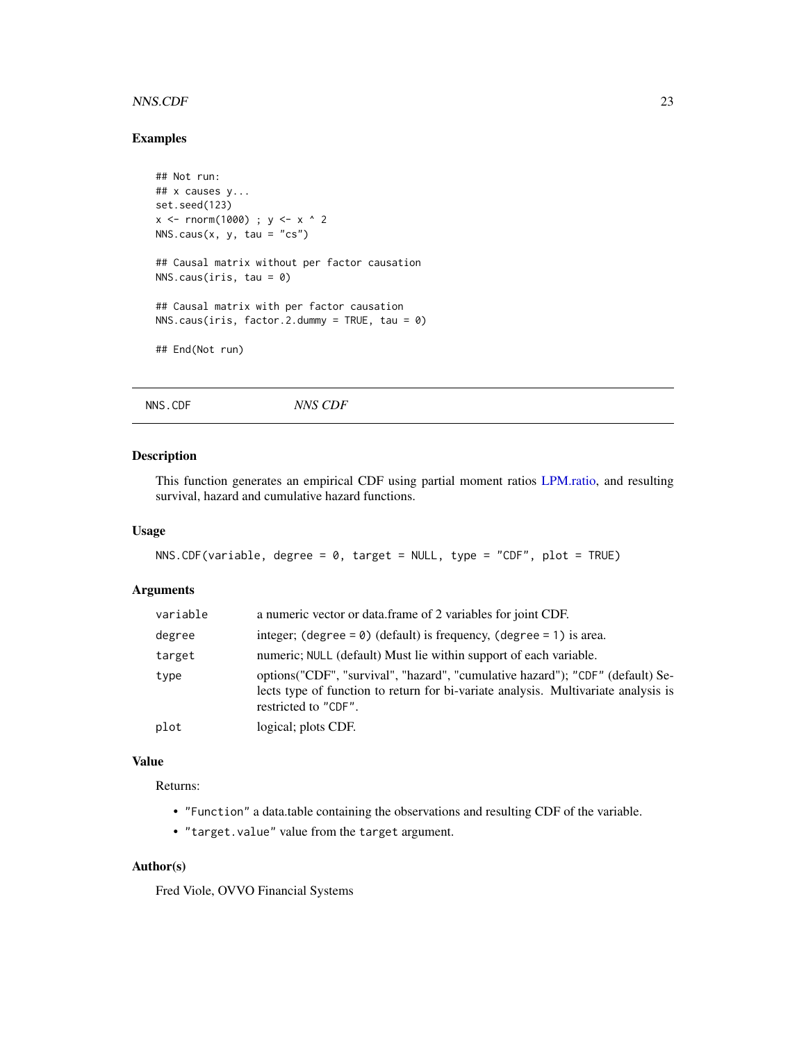#### <span id="page-22-0"></span>NNS.CDF 23

# Examples

```
## Not run:
## x causes y...
set.seed(123)
x \le - rnorm(1000) ; y \le -x ^ 2
NNS.caus(x, y, tau = "cs")## Causal matrix without per factor causation
NNS.caus(iris, tau = 0)
## Causal matrix with per factor causation
NNS.caus(iris, factor.2.dummy = TRUE, tau = 0)
## End(Not run)
```
<span id="page-22-1"></span>NNS.CDF *NNS CDF*

# Description

This function generates an empirical CDF using partial moment ratios [LPM.ratio,](#page-10-1) and resulting survival, hazard and cumulative hazard functions.

#### Usage

```
NNS.CDF(variable, degree = 0, target = NULL, type = "CDF", plot = TRUE)
```
#### Arguments

| variable | a numeric vector or data.frame of 2 variables for joint CDF.                                                                                                                                  |
|----------|-----------------------------------------------------------------------------------------------------------------------------------------------------------------------------------------------|
| degree   | integer; (degree = $\theta$ ) (default) is frequency, (degree = 1) is area.                                                                                                                   |
| target   | numeric; NULL (default) Must lie within support of each variable.                                                                                                                             |
| type     | options ("CDF", "survival", "hazard", "cumulative hazard"); "CDF" (default) Se-<br>lects type of function to return for bi-variate analysis. Multivariate analysis is<br>restricted to "CDF". |
| plot     | logical; plots CDF.                                                                                                                                                                           |
|          |                                                                                                                                                                                               |

# Value

Returns:

- "Function" a data.table containing the observations and resulting CDF of the variable.
- "target.value" value from the target argument.

# Author(s)

Fred Viole, OVVO Financial Systems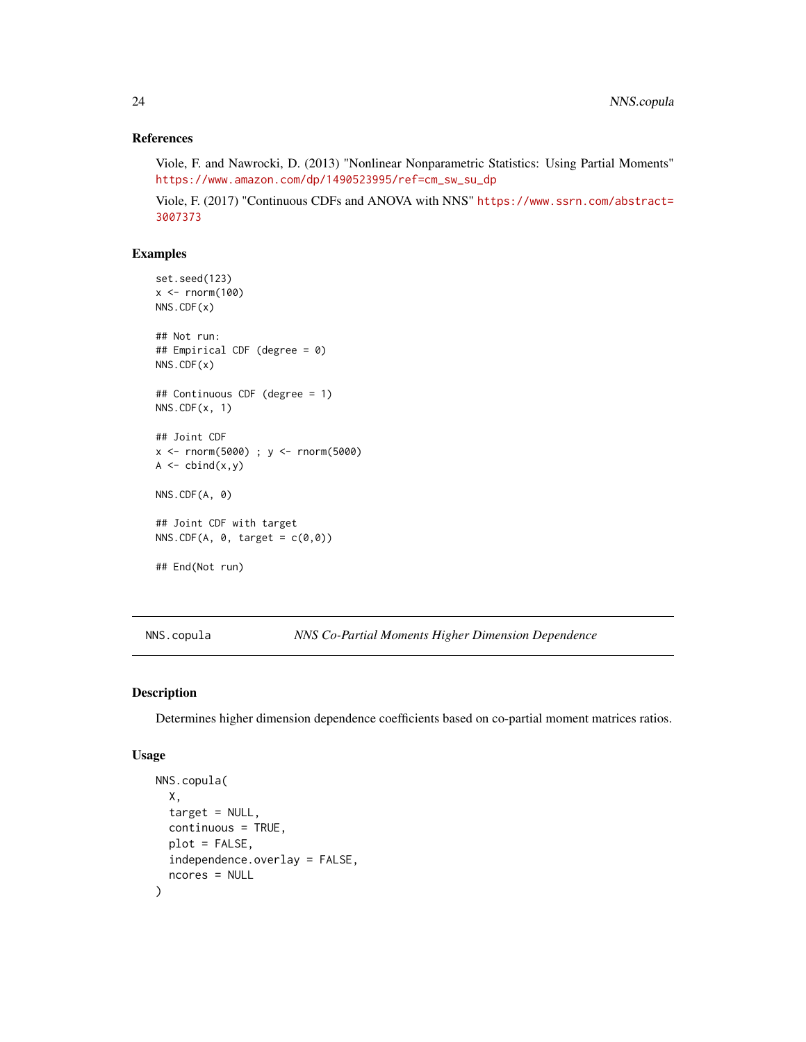# <span id="page-23-0"></span>References

Viole, F. and Nawrocki, D. (2013) "Nonlinear Nonparametric Statistics: Using Partial Moments" [https://www.amazon.com/dp/1490523995/ref=cm\\_sw\\_su\\_dp](https://www.amazon.com/dp/1490523995/ref=cm_sw_su_dp)

Viole, F. (2017) "Continuous CDFs and ANOVA with NNS" [https://www.ssrn.com/abstract=](https://www.ssrn.com/abstract=3007373) [3007373](https://www.ssrn.com/abstract=3007373)

# Examples

```
set.seed(123)
x < - rnorm(100)
NNS.CDF(x)
## Not run:
## Empirical CDF (degree = 0)
NNS.CDF(x)
## Continuous CDF (degree = 1)
NNS.CDF(x, 1)
## Joint CDF
x <- rnorm(5000) ; y <- rnorm(5000)
A \leftarrow \text{cbind}(x, y)NNS.CDF(A, 0)
## Joint CDF with target
NNS.CDF(A, \theta, target = c(\theta, \theta))
## End(Not run)
```
NNS.copula *NNS Co-Partial Moments Higher Dimension Dependence*

# Description

Determines higher dimension dependence coefficients based on co-partial moment matrices ratios.

```
NNS.copula(
 X,
  target = NULL,continuous = TRUE,
 plot = FALSE,
  independence.overlay = FALSE,
  ncores = NULL
)
```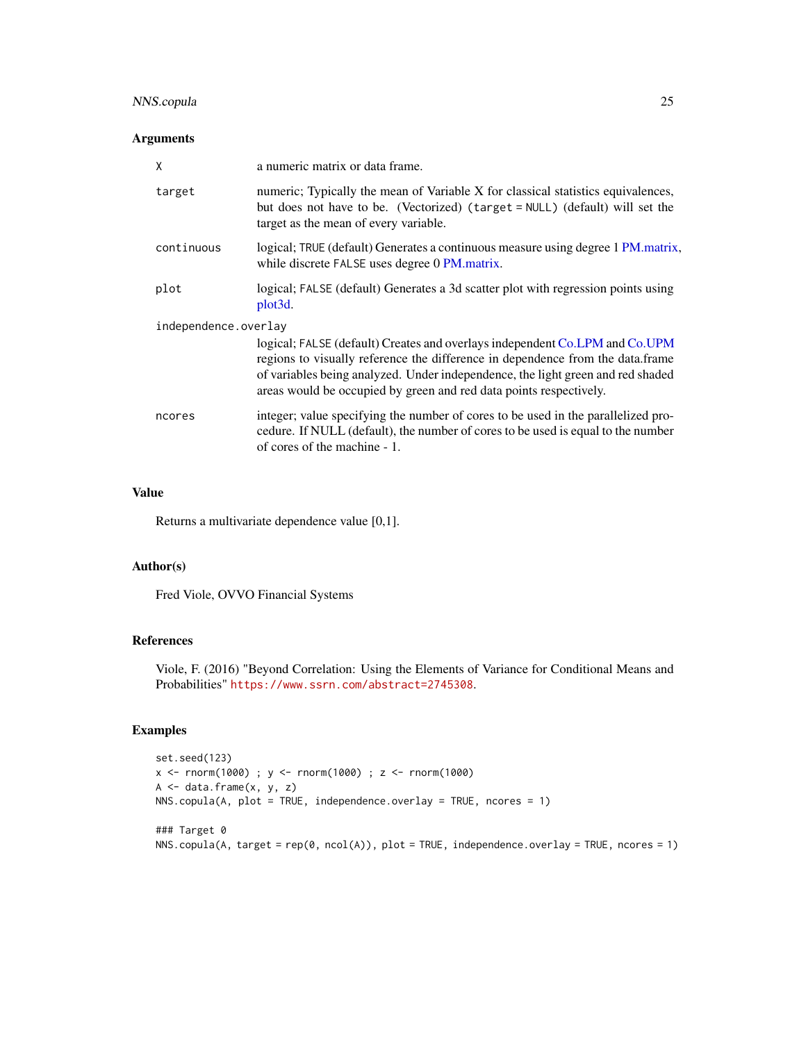# <span id="page-24-0"></span>NNS.copula 25

# Arguments

| X                                                                                                                                                                                                                                                                                                                                              | a numeric matrix or data frame.                                                                                                                                                                           |
|------------------------------------------------------------------------------------------------------------------------------------------------------------------------------------------------------------------------------------------------------------------------------------------------------------------------------------------------|-----------------------------------------------------------------------------------------------------------------------------------------------------------------------------------------------------------|
| target                                                                                                                                                                                                                                                                                                                                         | numeric; Typically the mean of Variable X for classical statistics equivalences,<br>but does not have to be. (Vectorized) (target = NULL) (default) will set the<br>target as the mean of every variable. |
| continuous                                                                                                                                                                                                                                                                                                                                     | logical; TRUE (default) Generates a continuous measure using degree 1 PM matrix,<br>while discrete FALSE uses degree 0 PM.matrix.                                                                         |
| plot                                                                                                                                                                                                                                                                                                                                           | logical; FALSE (default) Generates a 3d scatter plot with regression points using<br>plot <sub>3</sub> d.                                                                                                 |
| independence.overlay<br>logical; FALSE (default) Creates and overlays independent Co.LPM and Co.UPM<br>regions to visually reference the difference in dependence from the data.frame<br>of variables being analyzed. Under independence, the light green and red shaded<br>areas would be occupied by green and red data points respectively. |                                                                                                                                                                                                           |
| ncores                                                                                                                                                                                                                                                                                                                                         | integer; value specifying the number of cores to be used in the parallelized pro-<br>cedure. If NULL (default), the number of cores to be used is equal to the number<br>of cores of the machine - 1.     |

# Value

Returns a multivariate dependence value [0,1].

#### Author(s)

Fred Viole, OVVO Financial Systems

# References

Viole, F. (2016) "Beyond Correlation: Using the Elements of Variance for Conditional Means and Probabilities" <https://www.ssrn.com/abstract=2745308>.

```
set.seed(123)
x <- rnorm(1000) ; y <- rnorm(1000) ; z <- rnorm(1000)
A \leftarrow data-frame(x, y, z)NNS.copula(A, plot = TRUE, independence.overlay = TRUE, ncores = 1)
### Target 0
NNS.copula(A, target = rep(0, ncol(A)), plot = TRUE, independence.overlay = TRUE, ncores = 1)
```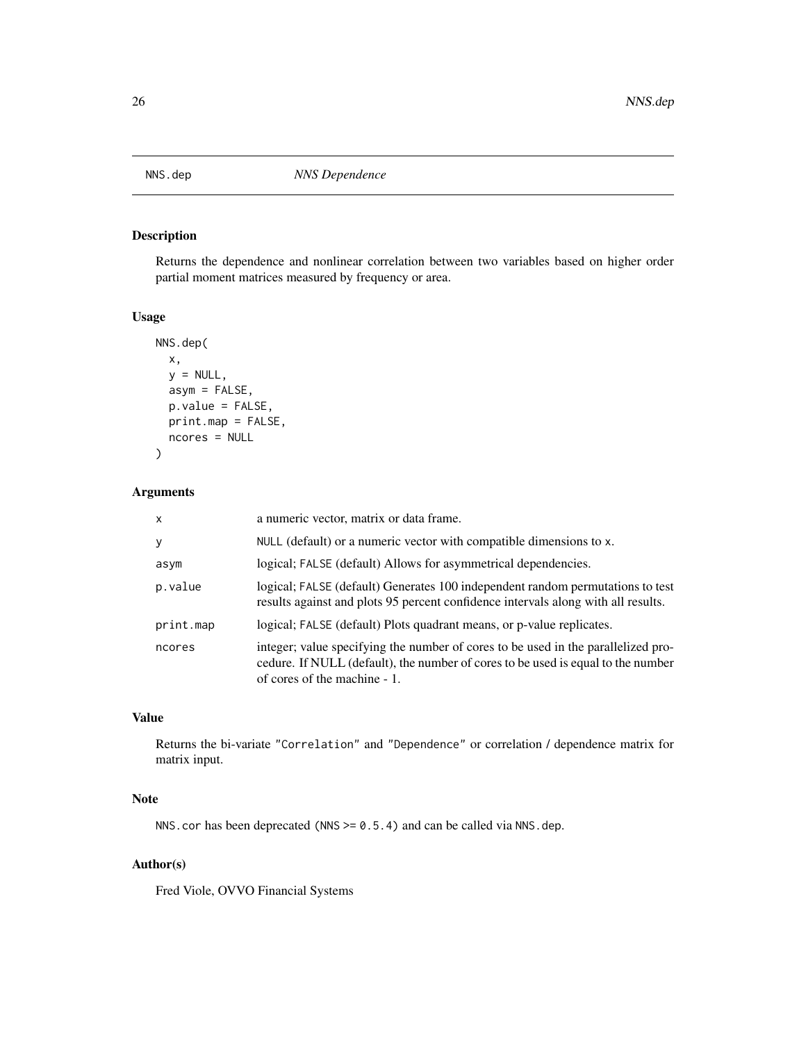<span id="page-25-1"></span><span id="page-25-0"></span>

Returns the dependence and nonlinear correlation between two variables based on higher order partial moment matrices measured by frequency or area.

#### Usage

```
NNS.dep(
  x,
 y = NULL,asym = FALSE,
 p.value = FALSE,
 print.map = FALSE,
 ncores = NULL
)
```
# Arguments

| $\mathsf{x}$ | a numeric vector, matrix or data frame.                                                                                                                                                               |
|--------------|-------------------------------------------------------------------------------------------------------------------------------------------------------------------------------------------------------|
| y            | NULL (default) or a numeric vector with compatible dimensions to x.                                                                                                                                   |
| asym         | logical; FALSE (default) Allows for asymmetrical dependencies.                                                                                                                                        |
| p.value      | logical; FALSE (default) Generates 100 independent random permutations to test<br>results against and plots 95 percent confidence intervals along with all results.                                   |
| print.map    | logical; FALSE (default) Plots quadrant means, or p-value replicates.                                                                                                                                 |
| ncores       | integer; value specifying the number of cores to be used in the parallelized pro-<br>cedure. If NULL (default), the number of cores to be used is equal to the number<br>of cores of the machine - 1. |

# Value

Returns the bi-variate "Correlation" and "Dependence" or correlation / dependence matrix for matrix input.

#### Note

NNS.cor has been deprecated (NNS >= 0.5.4) and can be called via NNS.dep.

# Author(s)

Fred Viole, OVVO Financial Systems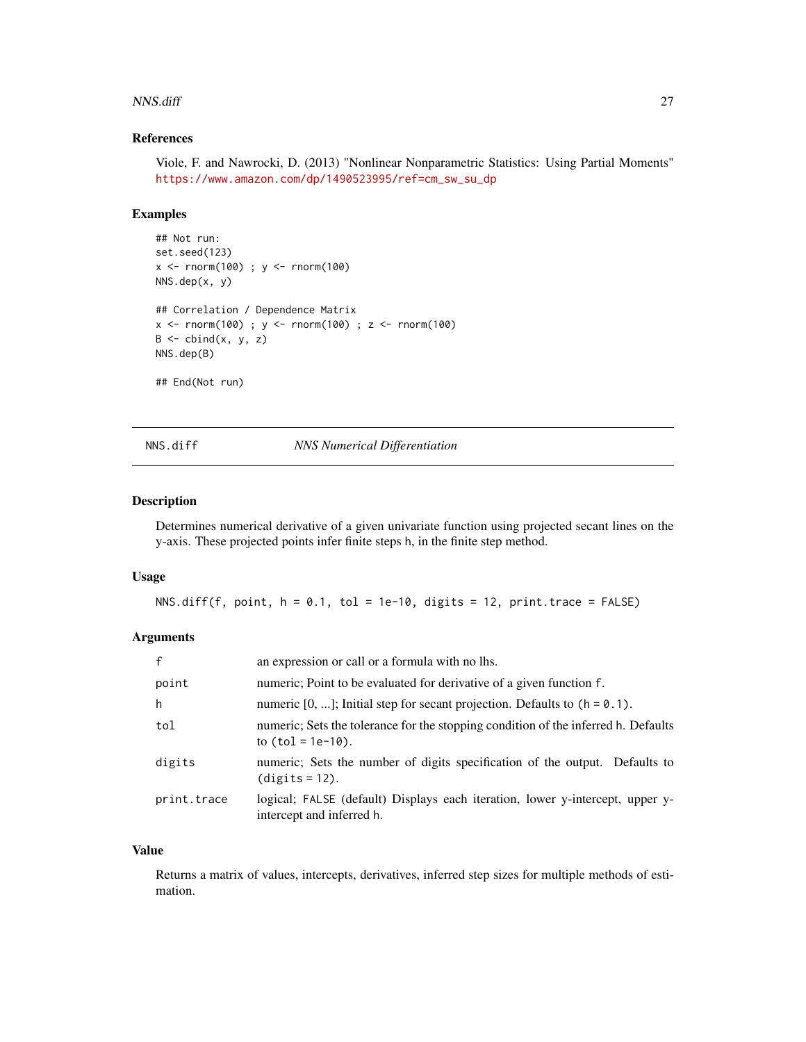#### <span id="page-26-0"></span>NNS.diff 27

#### References

Viole, F. and Nawrocki, D. (2013) "Nonlinear Nonparametric Statistics: Using Partial Moments" [https://www.amazon.com/dp/1490523995/ref=cm\\_sw\\_su\\_dp](https://www.amazon.com/dp/1490523995/ref=cm_sw_su_dp)

#### Examples

```
## Not run:
set.seed(123)
x < - rnorm(100) ; y < - rnorm(100)
NNS.dep(x, y)
## Correlation / Dependence Matrix
x <- rnorm(100) ; y <- rnorm(100) ; z <- rnorm(100)
B \leftarrow \text{cbind}(x, y, z)NNS.dep(B)
## End(Not run)
```
# NNS.diff *NNS Numerical Differentiation*

## Description

Determines numerical derivative of a given univariate function using projected secant lines on the y-axis. These projected points infer finite steps h, in the finite step method.

#### Usage

NNS.diff(f, point,  $h = 0.1$ , tol = 1e-10, digits = 12, print.trace = FALSE)

# Arguments

| $\mathbf{f}$ | an expression or call or a formula with no lhs.                                                            |
|--------------|------------------------------------------------------------------------------------------------------------|
| point        | numeric; Point to be evaluated for derivative of a given function f.                                       |
| h            | numeric $[0, \ldots]$ ; Initial step for secant projection. Defaults to $(h = 0.1)$ .                      |
| tol          | numeric; Sets the tolerance for the stopping condition of the inferred h. Defaults<br>to $(tol = 1e-10)$ . |
| digits       | numeric; Sets the number of digits specification of the output. Defaults to<br>$(digits = 12)$ .           |
| print.trace  | logical; FALSE (default) Displays each iteration, lower y-intercept, upper y-<br>intercept and inferred h. |

#### Value

Returns a matrix of values, intercepts, derivatives, inferred step sizes for multiple methods of estimation.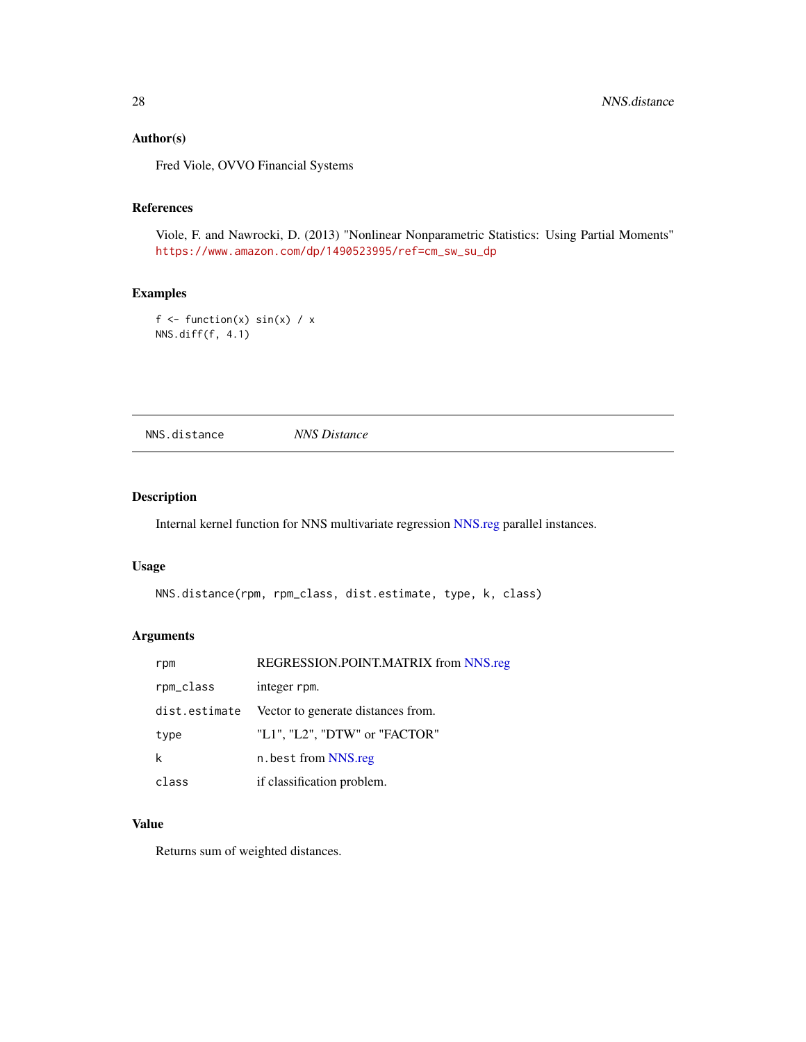# Author(s)

Fred Viole, OVVO Financial Systems

# References

Viole, F. and Nawrocki, D. (2013) "Nonlinear Nonparametric Statistics: Using Partial Moments" [https://www.amazon.com/dp/1490523995/ref=cm\\_sw\\_su\\_dp](https://www.amazon.com/dp/1490523995/ref=cm_sw_su_dp)

# Examples

```
f \leftarrow function(x) sin(x) / xNNS.diff(f, 4.1)
```
NNS.distance *NNS Distance*

# Description

Internal kernel function for NNS multivariate regression [NNS.reg](#page-38-1) parallel instances.

#### Usage

```
NNS.distance(rpm, rpm_class, dist.estimate, type, k, class)
```
# Arguments

| rpm           | REGRESSION.POINT.MATRIX from NNS.reg |
|---------------|--------------------------------------|
| rpm_class     | integer rpm.                         |
| dist.estimate | Vector to generate distances from.   |
| type          | "L1", "L2", "DTW" or "FACTOR"        |
| k             | n.best from NNS.reg                  |
| class         | if classification problem.           |

# Value

Returns sum of weighted distances.

<span id="page-27-0"></span>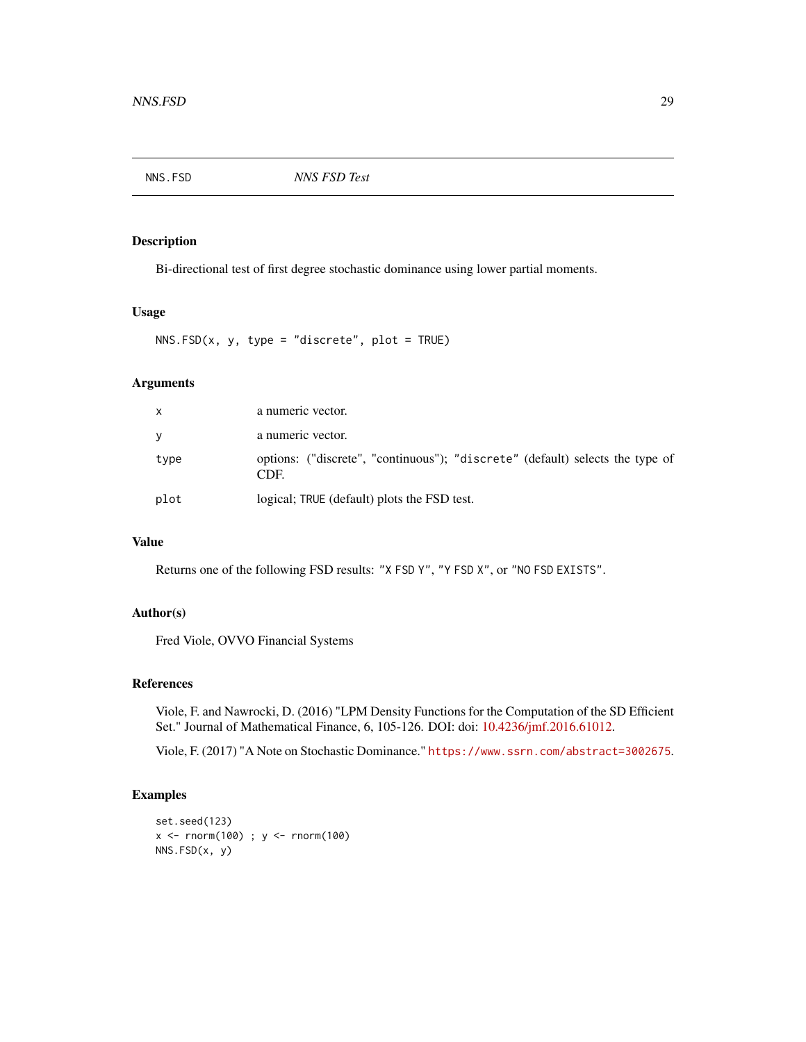<span id="page-28-0"></span>

Bi-directional test of first degree stochastic dominance using lower partial moments.

#### Usage

 $NNS.FSD(x, y, type = "discrete", plot = TRUE)$ 

# Arguments

| X    | a numeric vector.                                                                     |
|------|---------------------------------------------------------------------------------------|
| y    | a numeric vector.                                                                     |
| type | options: ("discrete", "continuous"); "discrete" (default) selects the type of<br>CDE. |
| plot | logical; TRUE (default) plots the FSD test.                                           |

# Value

Returns one of the following FSD results: "X FSD Y", "Y FSD X", or "NO FSD EXISTS".

#### Author(s)

Fred Viole, OVVO Financial Systems

#### References

Viole, F. and Nawrocki, D. (2016) "LPM Density Functions for the Computation of the SD Efficient Set." Journal of Mathematical Finance, 6, 105-126. DOI: doi: [10.4236/jmf.2016.61012.](https://doi.org/10.4236/jmf.2016.61012)

Viole, F. (2017) "A Note on Stochastic Dominance." <https://www.ssrn.com/abstract=3002675>.

```
set.seed(123)
x \le - rnorm(100) ; y \le - rnorm(100)
NNS.FSD(x, y)
```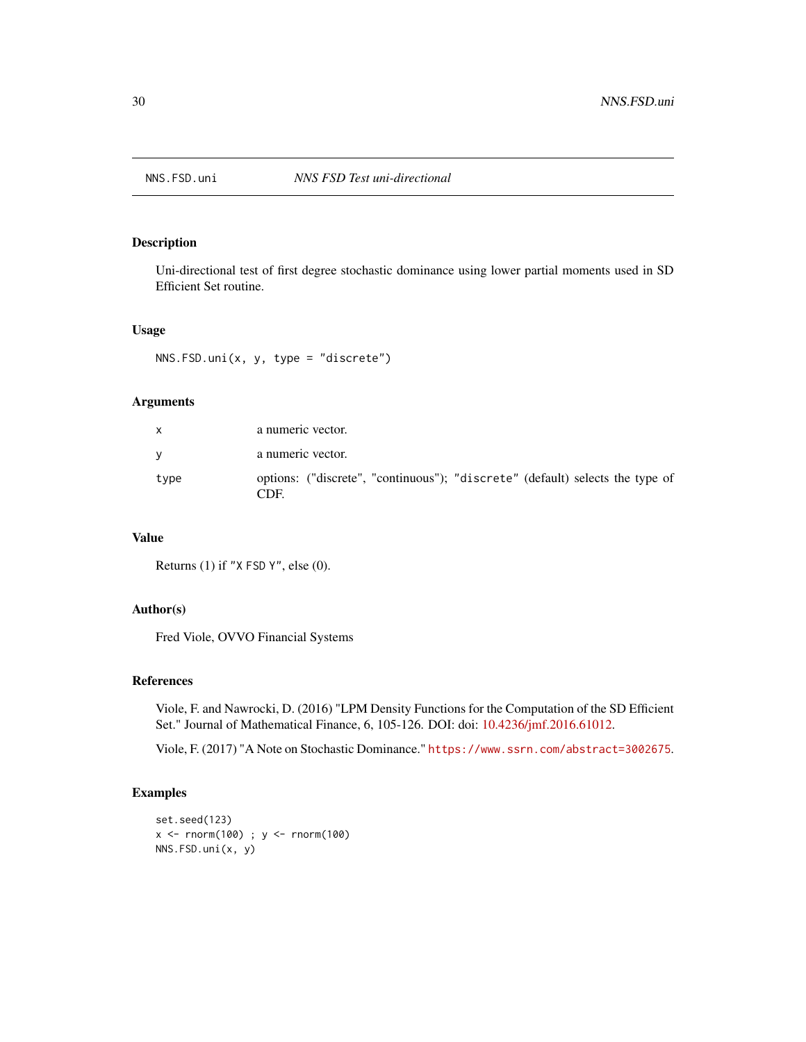<span id="page-29-0"></span>

Uni-directional test of first degree stochastic dominance using lower partial moments used in SD Efficient Set routine.

#### Usage

NNS.FSD.uni(x, y, type = "discrete")

# Arguments

| $\mathsf{x}$ | a numeric vector.                                                                    |
|--------------|--------------------------------------------------------------------------------------|
| <b>V</b>     | a numeric vector.                                                                    |
| type         | options: ("discrete", "continuous"); "discrete" (default) selects the type of<br>CDE |

# Value

Returns (1) if "X FSD Y", else (0).

# Author(s)

Fred Viole, OVVO Financial Systems

#### References

Viole, F. and Nawrocki, D. (2016) "LPM Density Functions for the Computation of the SD Efficient Set." Journal of Mathematical Finance, 6, 105-126. DOI: doi: [10.4236/jmf.2016.61012.](https://doi.org/10.4236/jmf.2016.61012)

Viole, F. (2017) "A Note on Stochastic Dominance." <https://www.ssrn.com/abstract=3002675>.

```
set.seed(123)
x < - rnorm(100) ; y < - rnorm(100)
NNS.FSD.uni(x, y)
```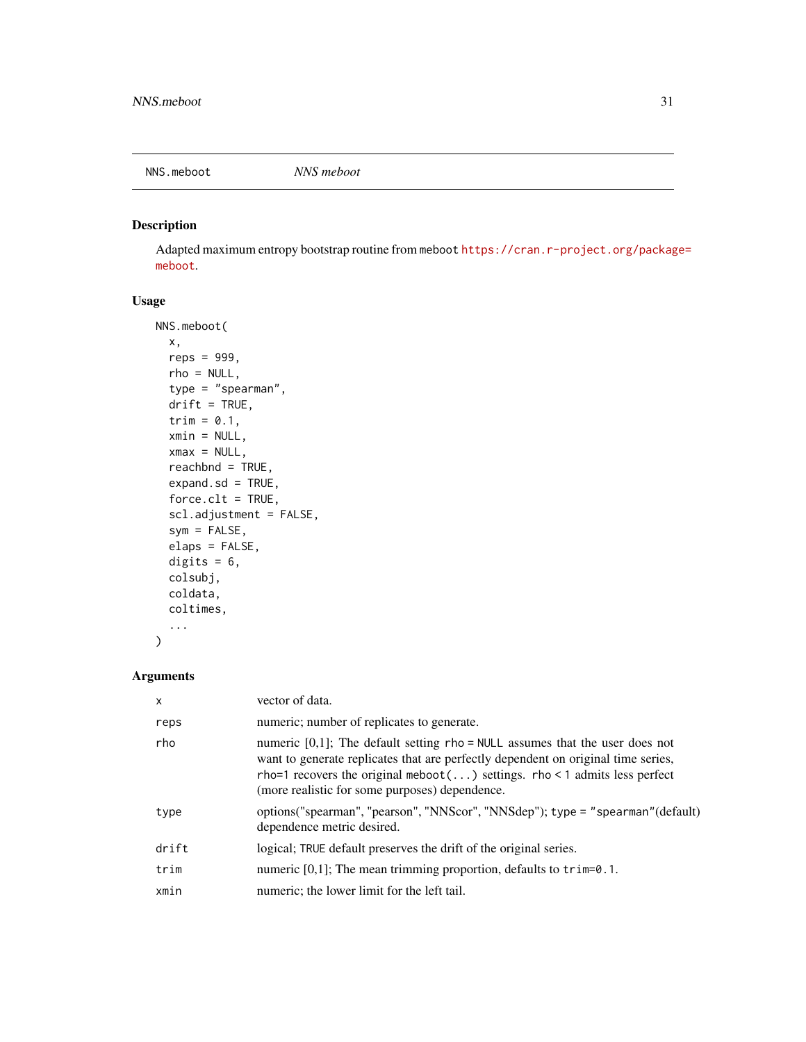<span id="page-30-0"></span>

Adapted maximum entropy bootstrap routine from meboot [https://cran.r-project.org/packag](https://cran.r-project.org/package=meboot)e= [meboot](https://cran.r-project.org/package=meboot).

# Usage

```
NNS.meboot(
 x,
  reps = 999,
 rho = NULL,
  type = "spearman",
  drift = TRUE,trim = 0.1,
  xmin = NULL,xmax = NULL,
  reachbnd = TRUE,
  expand.sd = TRUE,force.clt = TRUE,
  scl.adjustment = FALSE,
  sym = FALSE,
  elaps = FALSE,
  digits = 6,
  colsubj,
  coldata,
 coltimes,
  ...
\mathcal{L}
```
# Arguments

| X     | vector of data.                                                                                                                                                                                                                                                                                      |
|-------|------------------------------------------------------------------------------------------------------------------------------------------------------------------------------------------------------------------------------------------------------------------------------------------------------|
| reps  | numeric; number of replicates to generate.                                                                                                                                                                                                                                                           |
| rho   | numeric $[0,1]$ ; The default setting rho = NULL assumes that the user does not<br>want to generate replicates that are perfectly dependent on original time series,<br>rho=1 recovers the original meboot() settings. rho < 1 admits less perfect<br>(more realistic for some purposes) dependence. |
| type  | options("spearman", "pearson", "NNScor", "NNSdep"); type = "spearman"(default)<br>dependence metric desired.                                                                                                                                                                                         |
| drift | logical; TRUE default preserves the drift of the original series.                                                                                                                                                                                                                                    |
| trim  | numeric $[0,1]$ ; The mean trimming proportion, defaults to $\tau$ im=0.1.                                                                                                                                                                                                                           |
| xmin  | numeric; the lower limit for the left tail.                                                                                                                                                                                                                                                          |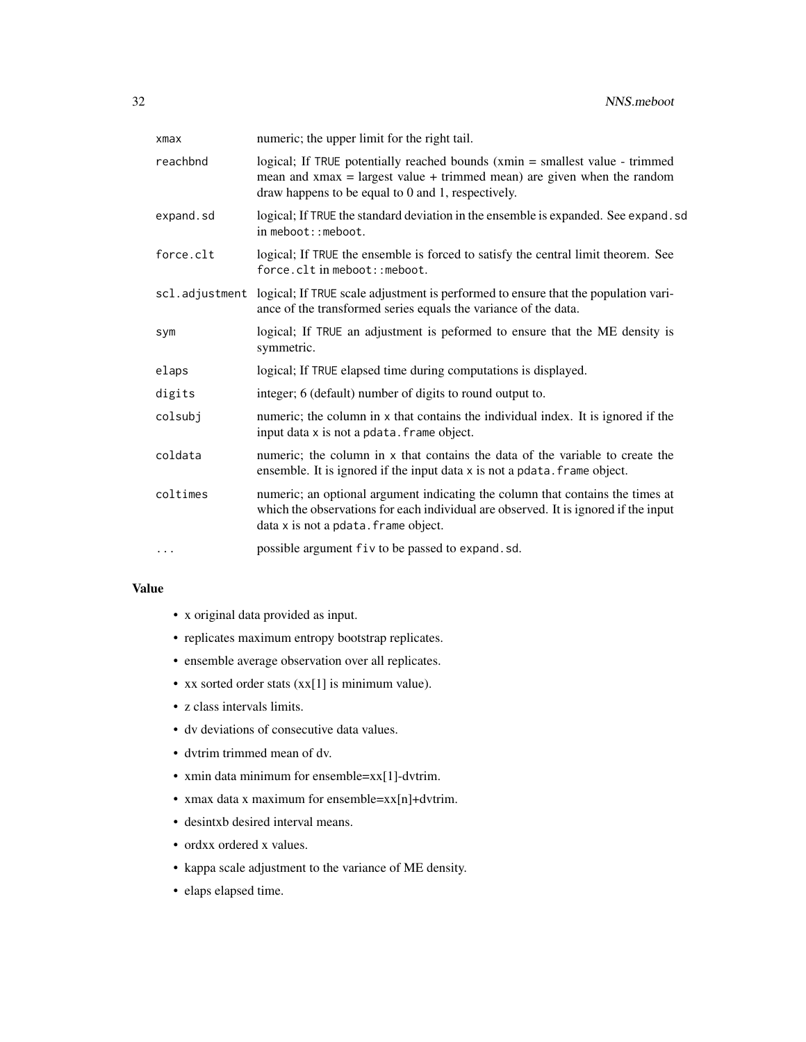| xmax      | numeric; the upper limit for the right tail.                                                                                                                                                                     |
|-----------|------------------------------------------------------------------------------------------------------------------------------------------------------------------------------------------------------------------|
| reachbnd  | logical; If TRUE potentially reached bounds (xmin = smallest value - trimmed<br>mean and $x$ max = largest value + trimmed mean) are given when the random<br>draw happens to be equal to 0 and 1, respectively. |
| expand.sd | logical; If TRUE the standard deviation in the ensemble is expanded. See expand. sd<br>$in$ meboot:: meboot.                                                                                                     |
| force.clt | logical; If TRUE the ensemble is forced to satisfy the central limit theorem. See<br>force.clt in meboot:: meboot.                                                                                               |
|           | sc1.adjustment logical; If TRUE scale adjustment is performed to ensure that the population vari-<br>ance of the transformed series equals the variance of the data.                                             |
| sym       | logical; If TRUE an adjustment is peformed to ensure that the ME density is<br>symmetric.                                                                                                                        |
| elaps     | logical; If TRUE elapsed time during computations is displayed.                                                                                                                                                  |
| digits    | integer; 6 (default) number of digits to round output to.                                                                                                                                                        |
| colsubj   | numeric; the column in x that contains the individual index. It is ignored if the<br>input data x is not a pdata. frame object.                                                                                  |
| coldata   | numeric; the column in x that contains the data of the variable to create the<br>ensemble. It is ignored if the input data x is not a pdata. frame object.                                                       |
| coltimes  | numeric; an optional argument indicating the column that contains the times at<br>which the observations for each individual are observed. It is ignored if the input<br>data x is not a pdata. frame object.    |
| $\cdots$  | possible argument fiv to be passed to expand.sd.                                                                                                                                                                 |

# Value

- x original data provided as input.
- replicates maximum entropy bootstrap replicates.
- ensemble average observation over all replicates.
- xx sorted order stats (xx[1] is minimum value).
- z class intervals limits.
- dv deviations of consecutive data values.
- dvtrim trimmed mean of dv.
- xmin data minimum for ensemble=xx[1]-dvtrim.
- xmax data x maximum for ensemble=xx[n]+dvtrim.
- desintxb desired interval means.
- ordxx ordered x values.
- kappa scale adjustment to the variance of ME density.
- elaps elapsed time.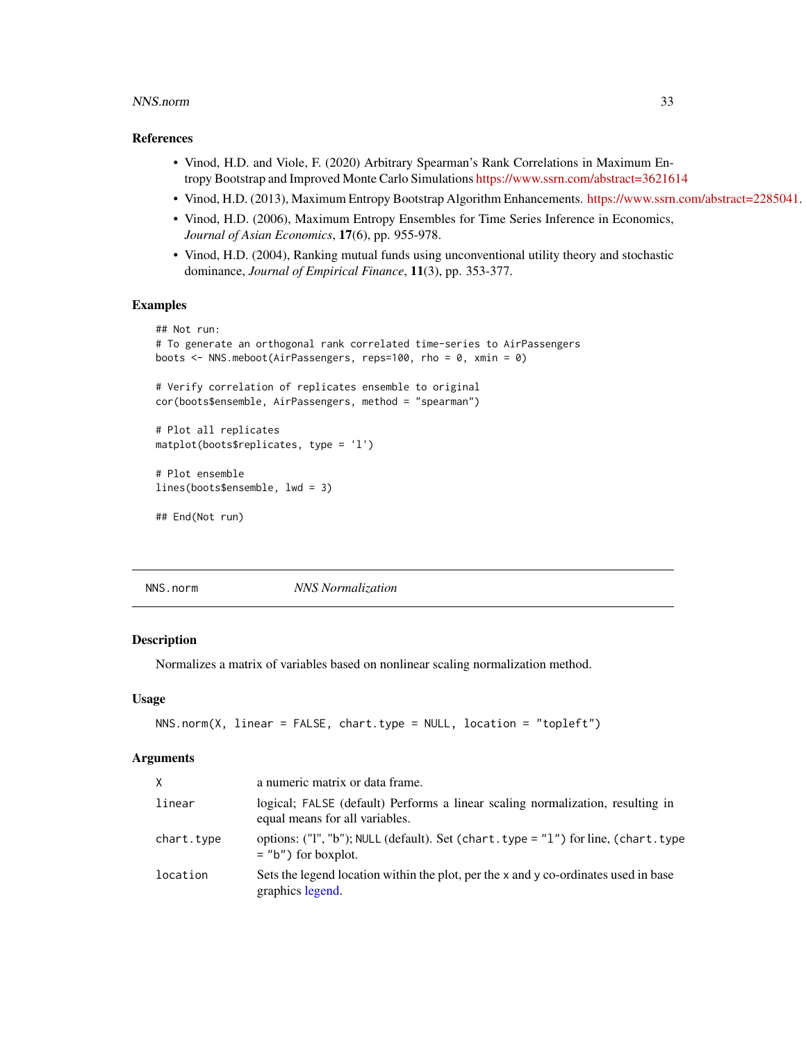#### <span id="page-32-0"></span>NNS.norm 33

#### References

- Vinod, H.D. and Viole, F. (2020) Arbitrary Spearman's Rank Correlations in Maximum Entropy Bootstrap and Improved Monte Carlo Simulations <https://www.ssrn.com/abstract=3621614>
- Vinod, H.D. (2013), Maximum Entropy Bootstrap Algorithm Enhancements. [https://www.ssrn.com/abstract=2285041.](https://www.ssrn.com/abstract=2285041)
- Vinod, H.D. (2006), Maximum Entropy Ensembles for Time Series Inference in Economics, *Journal of Asian Economics*, 17(6), pp. 955-978.
- Vinod, H.D. (2004), Ranking mutual funds using unconventional utility theory and stochastic dominance, *Journal of Empirical Finance*, 11(3), pp. 353-377.

# Examples

```
## Not run:
# To generate an orthogonal rank correlated time-series to AirPassengers
boots <- NNS.meboot(AirPassengers, reps=100, rho = 0, xmin = 0)
# Verify correlation of replicates ensemble to original
cor(boots$ensemble, AirPassengers, method = "spearman")
# Plot all replicates
matplot(boots$replicates, type = 'l')
# Plot ensemble
lines(boots$ensemble, lwd = 3)
## End(Not run)
```
NNS.norm *NNS Normalization*

#### Description

Normalizes a matrix of variables based on nonlinear scaling normalization method.

#### Usage

```
NNS.norm(X, linear = FALSE, chart.type = NULL, location = "topleft")
```
# Arguments

| X          | a numeric matrix or data frame.                                                                                  |
|------------|------------------------------------------------------------------------------------------------------------------|
| linear     | logical; FALSE (default) Performs a linear scaling normalization, resulting in<br>equal means for all variables. |
| chart.type | options: ("I", "b"); NULL (default). Set (chart.type = "1") for line, (chart.type<br>$=$ "b") for boxplot.       |
| location   | Sets the legend location within the plot, per the x and y co-ordinates used in base<br>graphics legend.          |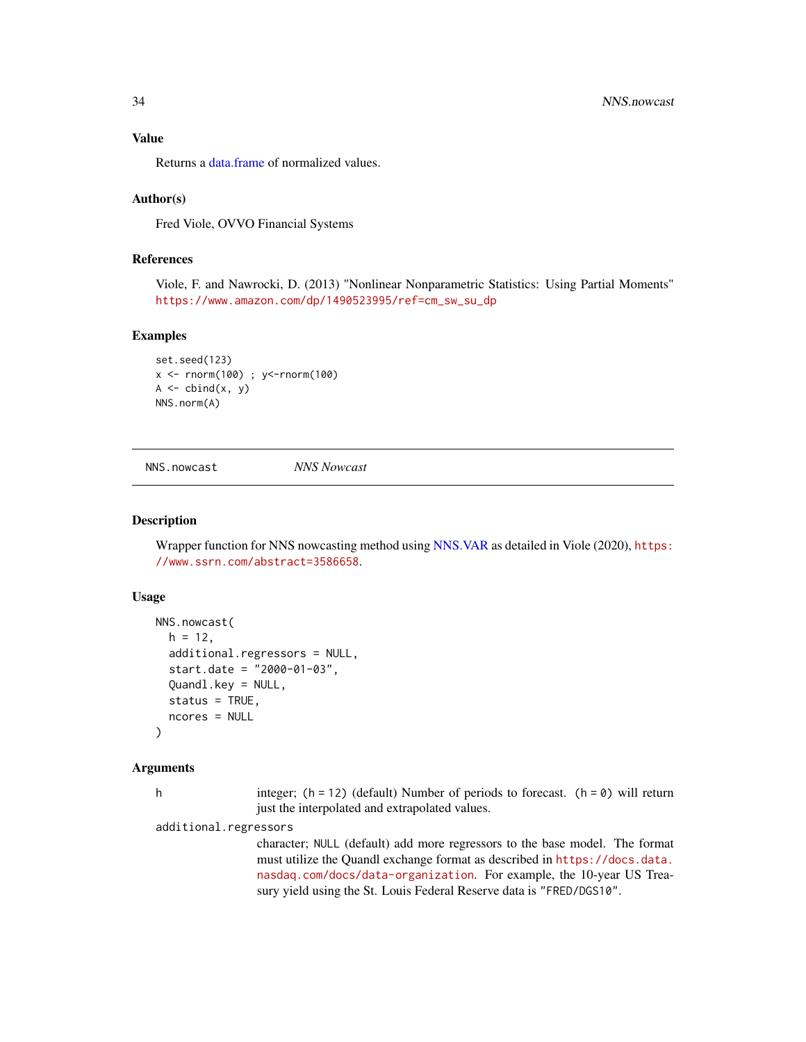<span id="page-33-0"></span>Value

Returns a [data.frame](#page-0-0) of normalized values.

#### Author(s)

Fred Viole, OVVO Financial Systems

# References

Viole, F. and Nawrocki, D. (2013) "Nonlinear Nonparametric Statistics: Using Partial Moments" [https://www.amazon.com/dp/1490523995/ref=cm\\_sw\\_su\\_dp](https://www.amazon.com/dp/1490523995/ref=cm_sw_su_dp)

#### Examples

```
set.seed(123)
x <- rnorm(100) ; y<-rnorm(100)
A \leftarrow \text{cbind}(x, y)NNS.norm(A)
```
<span id="page-33-1"></span>NNS.nowcast *NNS Nowcast*

#### **Description**

Wrapper function for NNS nowcasting method using [NNS.VAR](#page-51-1) as detailed in Viole (2020), [https:](https://www.ssrn.com/abstract=3586658) [//www.ssrn.com/abstract=3586658](https://www.ssrn.com/abstract=3586658).

#### Usage

```
NNS.nowcast(
  h = 12,
  additional.regressors = NULL,
  start.date = "2000-01-03",
  Quandl.key = NULL,
  status = TRUE,
  ncores = NULL
)
```
#### Arguments

h integer;  $(h = 12)$  (default) Number of periods to forecast.  $(h = 0)$  will return just the interpolated and extrapolated values.

additional.regressors

character; NULL (default) add more regressors to the base model. The format must utilize the Quandl exchange format as described in [https://docs.data.](https://docs.data.nasdaq.com/docs/data-organization) [nasdaq.com/docs/data-organization](https://docs.data.nasdaq.com/docs/data-organization). For example, the 10-year US Treasury yield using the St. Louis Federal Reserve data is "FRED/DGS10".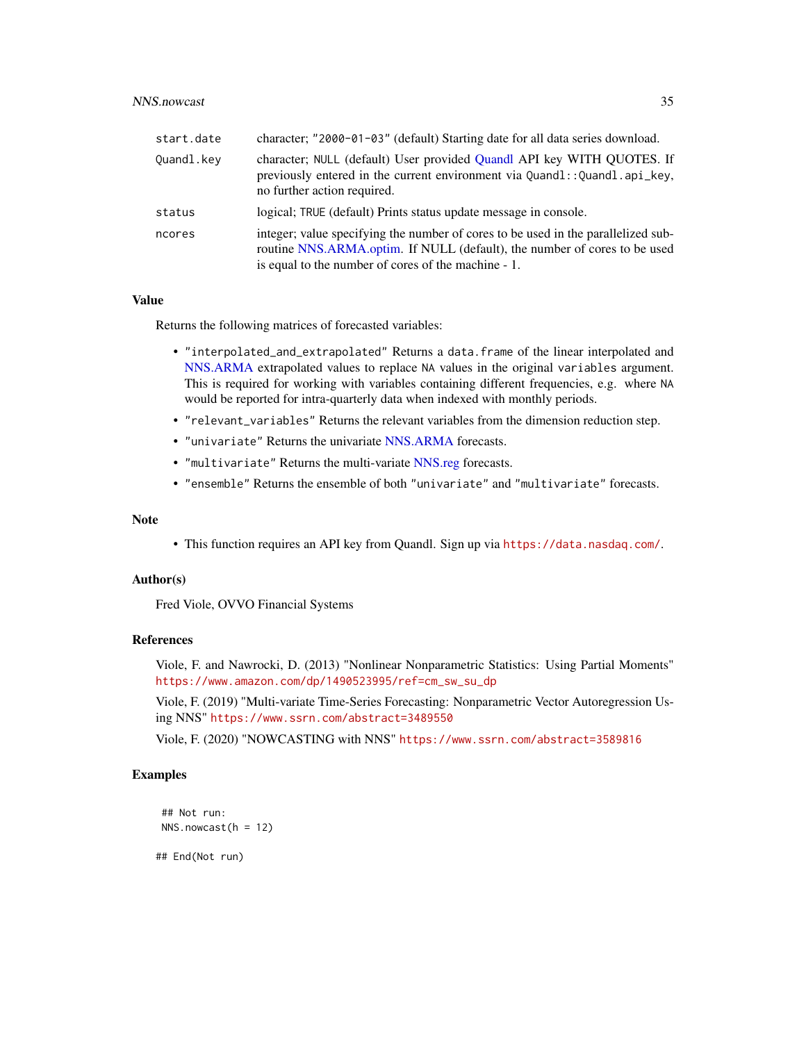# <span id="page-34-0"></span>NNS.nowcast 35

| start.date | character; "2000-01-03" (default) Starting date for all data series download.                                                                                                                                         |
|------------|-----------------------------------------------------------------------------------------------------------------------------------------------------------------------------------------------------------------------|
| Quandl.key | character; NULL (default) User provided Quandl API key WITH QUOTES. If<br>previously entered in the current environment via Quand1:: Quand1.api_key,<br>no further action required.                                   |
| status     | logical; TRUE (default) Prints status update message in console.                                                                                                                                                      |
| ncores     | integer; value specifying the number of cores to be used in the parallelized sub-<br>routine NNS.ARMA.optim. If NULL (default), the number of cores to be used<br>is equal to the number of cores of the machine - 1. |

# Value

Returns the following matrices of forecasted variables:

- "interpolated\_and\_extrapolated" Returns a data.frame of the linear interpolated and [NNS.ARMA](#page-13-1) extrapolated values to replace NA values in the original variables argument. This is required for working with variables containing different frequencies, e.g. where NA would be reported for intra-quarterly data when indexed with monthly periods.
- "relevant\_variables" Returns the relevant variables from the dimension reduction step.
- "univariate" Returns the univariate [NNS.ARMA](#page-13-1) forecasts.
- "multivariate" Returns the multi-variate [NNS.reg](#page-38-1) forecasts.
- "ensemble" Returns the ensemble of both "univariate" and "multivariate" forecasts.

#### Note

• This function requires an API key from Quandl. Sign up via <https://data.nasdaq.com/>.

#### Author(s)

Fred Viole, OVVO Financial Systems

# References

Viole, F. and Nawrocki, D. (2013) "Nonlinear Nonparametric Statistics: Using Partial Moments" [https://www.amazon.com/dp/1490523995/ref=cm\\_sw\\_su\\_dp](https://www.amazon.com/dp/1490523995/ref=cm_sw_su_dp)

Viole, F. (2019) "Multi-variate Time-Series Forecasting: Nonparametric Vector Autoregression Using NNS" <https://www.ssrn.com/abstract=3489550>

Viole, F. (2020) "NOWCASTING with NNS" <https://www.ssrn.com/abstract=3589816>

# Examples

```
## Not run:
NNS.nowcast(h = 12)
```
## End(Not run)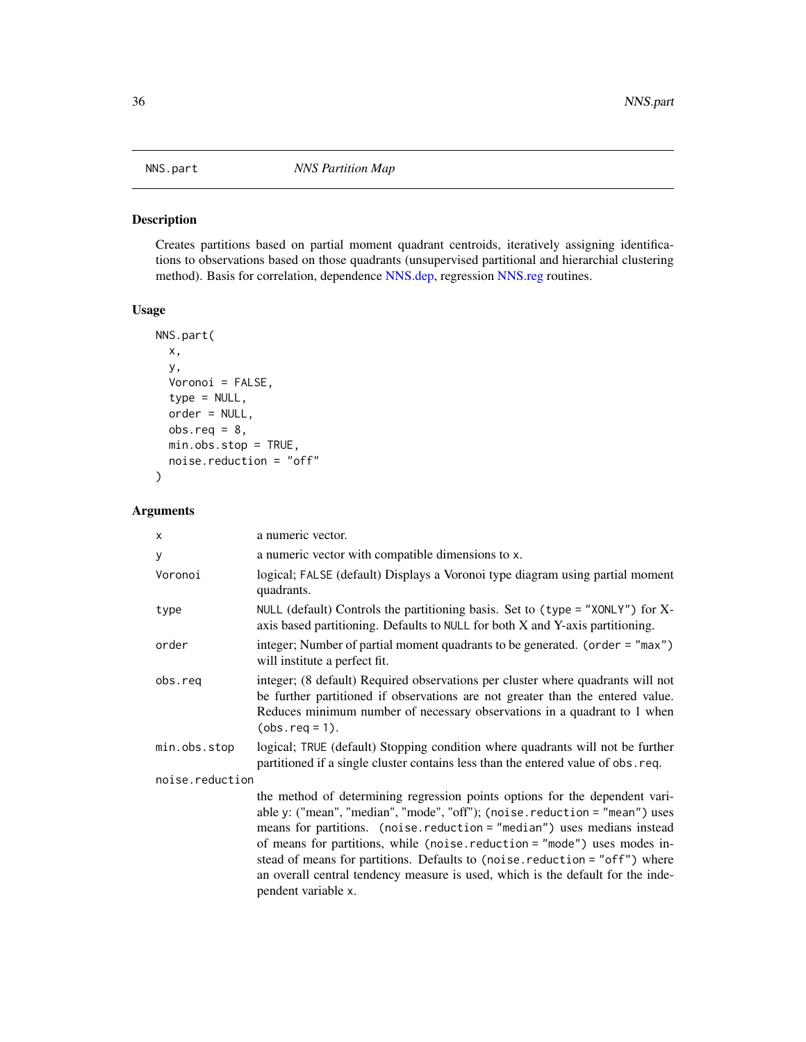<span id="page-35-0"></span>

Creates partitions based on partial moment quadrant centroids, iteratively assigning identifications to observations based on those quadrants (unsupervised partitional and hierarchial clustering method). Basis for correlation, dependence [NNS.dep,](#page-25-1) regression [NNS.reg](#page-38-1) routines.

# Usage

```
NNS.part(
  x,
 y,
  Voronoi = FALSE,
  type = NULL,
 order = NULL,
 obs.read = 8,min.obs.stop = TRUE,
 noise.reduction = "off"
)
```
# Arguments

| x               | a numeric vector.                                                                                                                                                                                                                                                                                                                                                                                                                                                                                        |  |
|-----------------|----------------------------------------------------------------------------------------------------------------------------------------------------------------------------------------------------------------------------------------------------------------------------------------------------------------------------------------------------------------------------------------------------------------------------------------------------------------------------------------------------------|--|
| y               | a numeric vector with compatible dimensions to x.                                                                                                                                                                                                                                                                                                                                                                                                                                                        |  |
| Voronoi         | logical; FALSE (default) Displays a Voronoi type diagram using partial moment<br>quadrants.                                                                                                                                                                                                                                                                                                                                                                                                              |  |
| type            | NULL (default) Controls the partitioning basis. Set to (type = "XONLY") for $X$ -<br>axis based partitioning. Defaults to NULL for both X and Y-axis partitioning.                                                                                                                                                                                                                                                                                                                                       |  |
| order           | integer; Number of partial moment quadrants to be generated. (order = "max")<br>will institute a perfect fit.                                                                                                                                                                                                                                                                                                                                                                                            |  |
| obs.req         | integer; (8 default) Required observations per cluster where quadrants will not<br>be further partitioned if observations are not greater than the entered value.<br>Reduces minimum number of necessary observations in a quadrant to 1 when<br>$(obs.read = 1).$                                                                                                                                                                                                                                       |  |
| min.obs.stop    | logical; TRUE (default) Stopping condition where quadrants will not be further<br>partitioned if a single cluster contains less than the entered value of obs. req.                                                                                                                                                                                                                                                                                                                                      |  |
| noise.reduction |                                                                                                                                                                                                                                                                                                                                                                                                                                                                                                          |  |
|                 | the method of determining regression points options for the dependent vari-<br>able y: ("mean", "median", "mode", "off"); (noise.reduction = "mean") uses<br>means for partitions. (noise.reduction = "median") uses medians instead<br>of means for partitions, while (noise.reduction = "mode") uses modes in-<br>stead of means for partitions. Defaults to (noise.reduction = "off") where<br>an overall central tendency measure is used, which is the default for the inde-<br>pendent variable x. |  |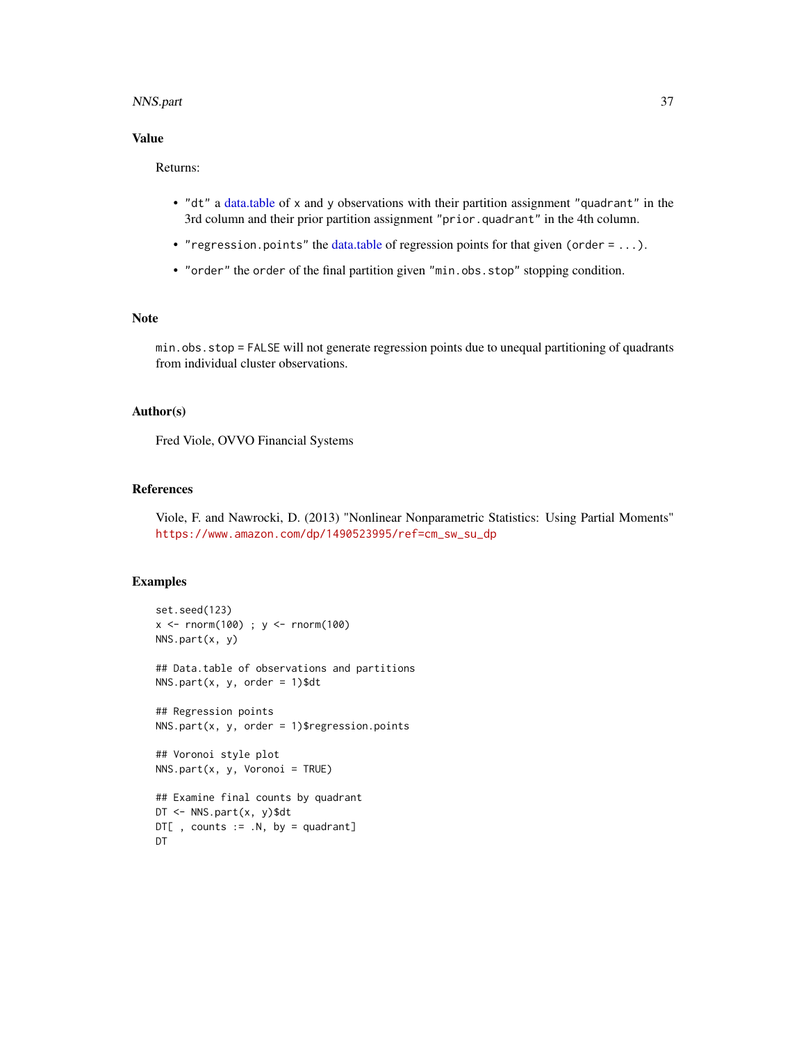#### <span id="page-36-0"></span>NNS.part 37

# Value

# Returns:

- "dt" a [data.table](#page-0-0) of x and y observations with their partition assignment "quadrant" in the 3rd column and their prior partition assignment "prior.quadrant" in the 4th column.
- "regression.points" the [data.table](#page-0-0) of regression points for that given (order = ...).
- "order" the order of the final partition given "min.obs.stop" stopping condition.

# Note

min.obs.stop = FALSE will not generate regression points due to unequal partitioning of quadrants from individual cluster observations.

# Author(s)

Fred Viole, OVVO Financial Systems

#### References

Viole, F. and Nawrocki, D. (2013) "Nonlinear Nonparametric Statistics: Using Partial Moments" [https://www.amazon.com/dp/1490523995/ref=cm\\_sw\\_su\\_dp](https://www.amazon.com/dp/1490523995/ref=cm_sw_su_dp)

# Examples

DT

```
set.seed(123)
x <- rnorm(100) ; y <- rnorm(100)
NNS.part(x, y)
## Data.table of observations and partitions
NNS.path(x, y, order = 1)$dt
## Regression points
NNS.path(x, y, order = 1)$regression.points
## Voronoi style plot
NNS.path(x, y, Voronoi = TRUE)## Examine final counts by quadrant
DT <- NNS.part(x, y)$dt
D T[, counts := .N, by = quadrant]
```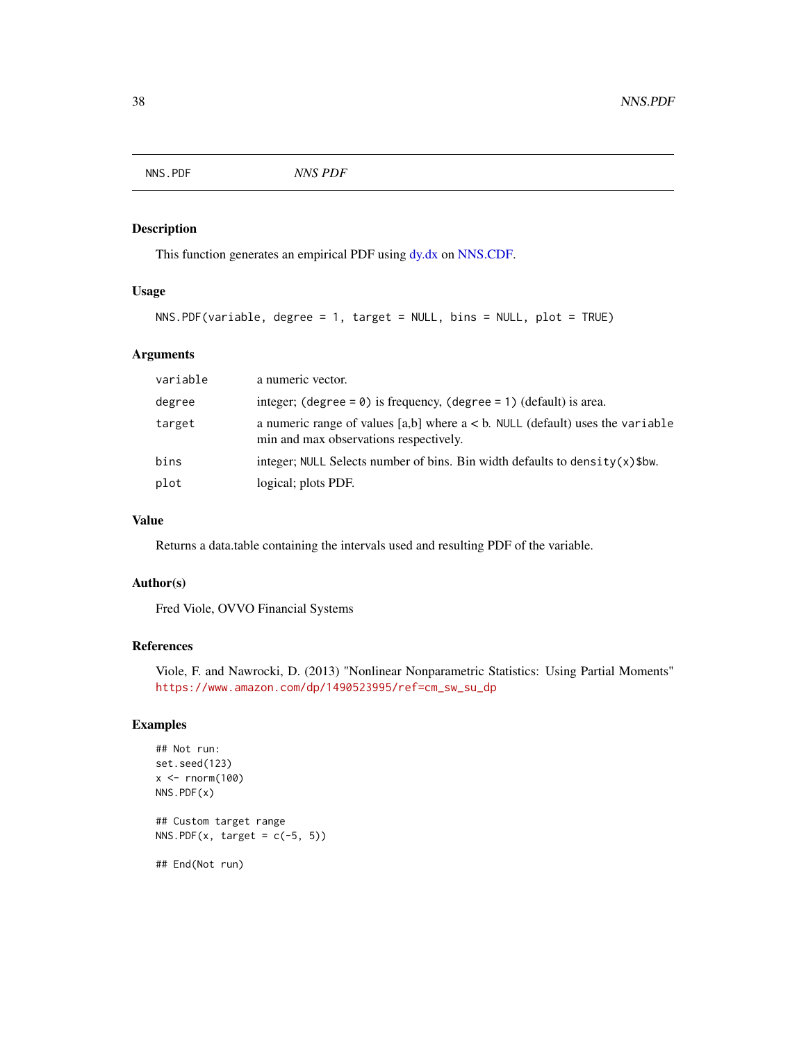<span id="page-37-0"></span>NNS.PDF *NNS PDF*

#### Description

This function generates an empirical PDF using [dy.dx](#page-5-1) on [NNS.CDF.](#page-22-1)

# Usage

```
NNS.PDF(variable, degree = 1, target = NULL, bins = NULL, plot = TRUE)
```
# Arguments

| variable | a numeric vector.                                                                                                          |
|----------|----------------------------------------------------------------------------------------------------------------------------|
| degree   | integer; (degree = $\theta$ ) is frequency, (degree = 1) (default) is area.                                                |
| target   | a numeric range of values [a,b] where $a < b$ . NULL (default) uses the variable<br>min and max observations respectively. |
| bins     | integer; NULL Selects number of bins. Bin width defaults to density $(x)$ \$bw.                                            |
| plot     | logical; plots PDF.                                                                                                        |

# Value

Returns a data.table containing the intervals used and resulting PDF of the variable.

#### Author(s)

Fred Viole, OVVO Financial Systems

# References

Viole, F. and Nawrocki, D. (2013) "Nonlinear Nonparametric Statistics: Using Partial Moments" [https://www.amazon.com/dp/1490523995/ref=cm\\_sw\\_su\\_dp](https://www.amazon.com/dp/1490523995/ref=cm_sw_su_dp)

```
## Not run:
set.seed(123)
x < - rnorm(100)
NNS.PDF(x)
## Custom target range
NNS.PDF(x, target = c(-5, 5))
## End(Not run)
```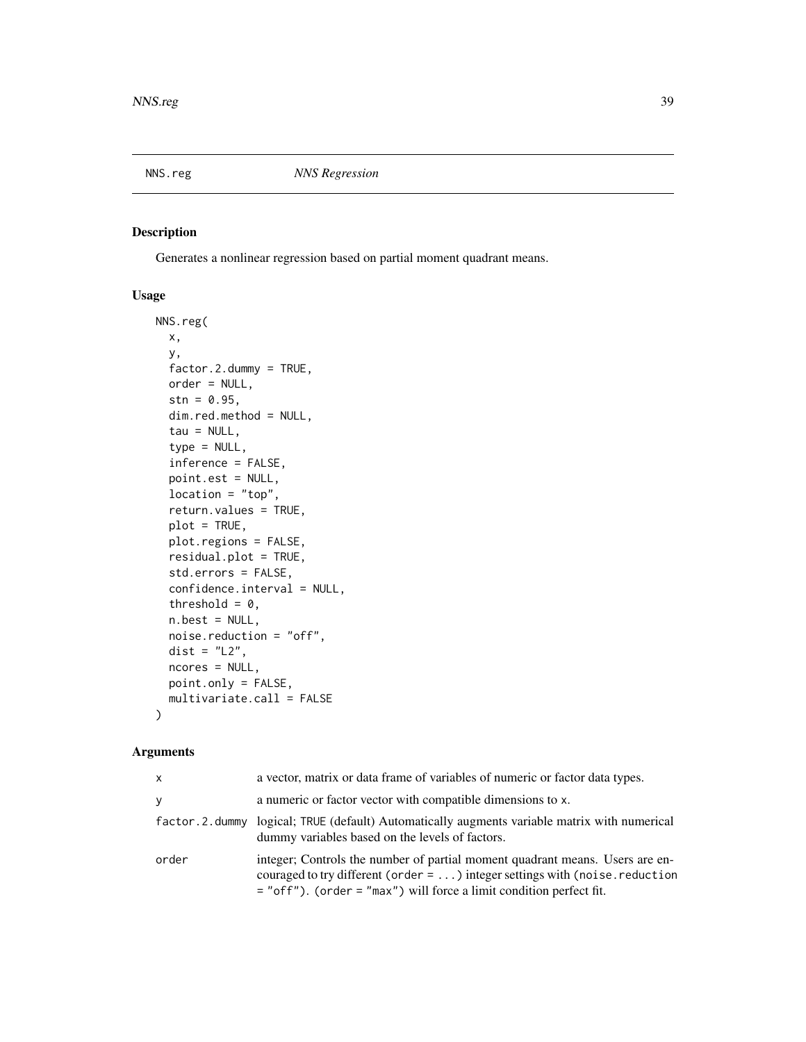<span id="page-38-1"></span><span id="page-38-0"></span>

Generates a nonlinear regression based on partial moment quadrant means.

# Usage

```
NNS.reg(
  x,
 y,
  factor.2.dummy = TRUE,
  order = NULL,
  stn = 0.95,
  dim.red.method = NULL,
  tau = NULL,type = NULL,
  inference = FALSE,
  point.est = NULL,
  location = "top",return.values = TRUE,
  plot = TRUE,
  plot.regions = FALSE,
  residual.plot = TRUE,
  std.errors = FALSE,
  confidence.interval = NULL,
  threshold = 0,
  n. best = NULL,noise.reduction = "off",
  dist = "L2",
  ncores = NULL,
 point.only = FALSE,
  multivariate.call = FALSE
)
```
# Arguments

| X        | a vector, matrix or data frame of variables of numeric or factor data types.                                                                                                                                                           |
|----------|----------------------------------------------------------------------------------------------------------------------------------------------------------------------------------------------------------------------------------------|
| <b>V</b> | a numeric or factor vector with compatible dimensions to x.                                                                                                                                                                            |
|          | factor. 2. dummy logical; TRUE (default) Automatically augments variable matrix with numerical<br>dummy variables based on the levels of factors.                                                                                      |
| order    | integer; Controls the number of partial moment quadrant means. Users are en-<br>couraged to try different (order = ) integer settings with (noise.reduction<br>$=$ "off"). (order $=$ "max") will force a limit condition perfect fit. |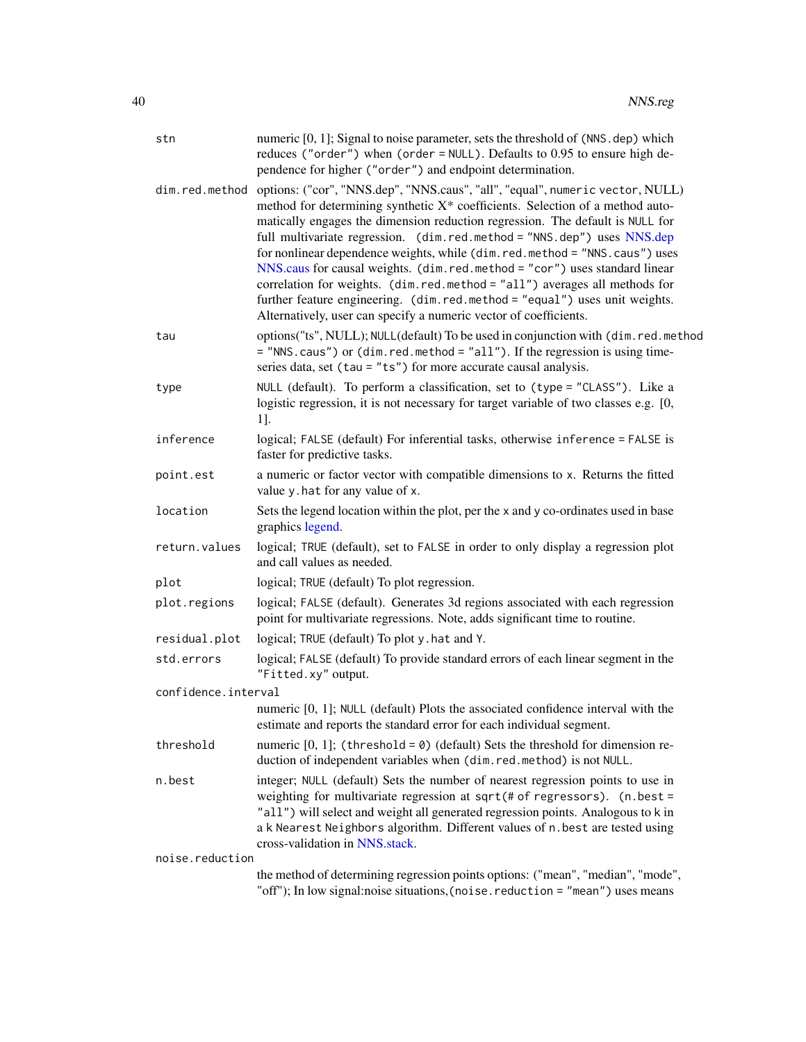<span id="page-39-0"></span>

| stn                 | numeric [0, 1]; Signal to noise parameter, sets the threshold of (NNS. dep) which<br>reduces ("order") when (order = NULL). Defaults to 0.95 to ensure high de-<br>pendence for higher ("order") and endpoint determination.                                                                                                                                                                                                                                                                                                                                                                                                                                                                                                           |
|---------------------|----------------------------------------------------------------------------------------------------------------------------------------------------------------------------------------------------------------------------------------------------------------------------------------------------------------------------------------------------------------------------------------------------------------------------------------------------------------------------------------------------------------------------------------------------------------------------------------------------------------------------------------------------------------------------------------------------------------------------------------|
|                     | dim.red.method options: ("cor", "NNS.dep", "NNS.caus", "all", "equal", numeric vector, NULL)<br>method for determining synthetic X* coefficients. Selection of a method auto-<br>matically engages the dimension reduction regression. The default is NULL for<br>full multivariate regression. (dim.red.method = "NNS.dep") uses NNS.dep<br>for nonlinear dependence weights, while (dim.red.method = "NNS.caus") uses<br>NNS.caus for causal weights. (dim.red.method = "cor") uses standard linear<br>correlation for weights. (dim.red.method = "all") averages all methods for<br>further feature engineering. (dim.red.method = "equal") uses unit weights.<br>Alternatively, user can specify a numeric vector of coefficients. |
| tau                 | options("ts", NULL); NULL(default) To be used in conjunction with (dim.red.method<br>= "NNS.caus") or (dim.red.method = "all"). If the regression is using time-<br>series data, set (tau = "ts") for more accurate causal analysis.                                                                                                                                                                                                                                                                                                                                                                                                                                                                                                   |
| type                | NULL (default). To perform a classification, set to (type = "CLASS"). Like a<br>logistic regression, it is not necessary for target variable of two classes e.g. [0,<br>1].                                                                                                                                                                                                                                                                                                                                                                                                                                                                                                                                                            |
| inference           | logical; FALSE (default) For inferential tasks, otherwise inference = FALSE is<br>faster for predictive tasks.                                                                                                                                                                                                                                                                                                                                                                                                                                                                                                                                                                                                                         |
| point.est           | a numeric or factor vector with compatible dimensions to x. Returns the fitted<br>value y.hat for any value of x.                                                                                                                                                                                                                                                                                                                                                                                                                                                                                                                                                                                                                      |
| location            | Sets the legend location within the plot, per the x and y co-ordinates used in base<br>graphics legend.                                                                                                                                                                                                                                                                                                                                                                                                                                                                                                                                                                                                                                |
| return.values       | logical; TRUE (default), set to FALSE in order to only display a regression plot<br>and call values as needed.                                                                                                                                                                                                                                                                                                                                                                                                                                                                                                                                                                                                                         |
| plot                | logical; TRUE (default) To plot regression.                                                                                                                                                                                                                                                                                                                                                                                                                                                                                                                                                                                                                                                                                            |
| plot.regions        | logical; FALSE (default). Generates 3d regions associated with each regression<br>point for multivariate regressions. Note, adds significant time to routine.                                                                                                                                                                                                                                                                                                                                                                                                                                                                                                                                                                          |
| residual.plot       | logical; TRUE (default) To plot y . hat and Y.                                                                                                                                                                                                                                                                                                                                                                                                                                                                                                                                                                                                                                                                                         |
| std.errors          | logical; FALSE (default) To provide standard errors of each linear segment in the<br>"Fitted.xy" output.                                                                                                                                                                                                                                                                                                                                                                                                                                                                                                                                                                                                                               |
| confidence.interval |                                                                                                                                                                                                                                                                                                                                                                                                                                                                                                                                                                                                                                                                                                                                        |
|                     | numeric [0, 1]; NULL (default) Plots the associated confidence interval with the<br>estimate and reports the standard error for each individual segment.                                                                                                                                                                                                                                                                                                                                                                                                                                                                                                                                                                               |
| threshold           | numeric $[0, 1]$ ; (threshold = 0) (default) Sets the threshold for dimension re-<br>duction of independent variables when (dim.red.method) is not NULL.                                                                                                                                                                                                                                                                                                                                                                                                                                                                                                                                                                               |
| n.best              | integer; NULL (default) Sets the number of nearest regression points to use in<br>weighting for multivariate regression at sqrt(# of regressors). (n.best =<br>"all") will select and weight all generated regression points. Analogous to k in<br>a k Nearest Neighbors algorithm. Different values of n. best are tested using<br>cross-validation in NNS.stack.                                                                                                                                                                                                                                                                                                                                                                     |
| noise.reduction     |                                                                                                                                                                                                                                                                                                                                                                                                                                                                                                                                                                                                                                                                                                                                        |
|                     | the method of determining regression points options: ("mean", "median", "mode",<br>"off"); In low signal:noise situations, (noise.reduction = "mean") uses means                                                                                                                                                                                                                                                                                                                                                                                                                                                                                                                                                                       |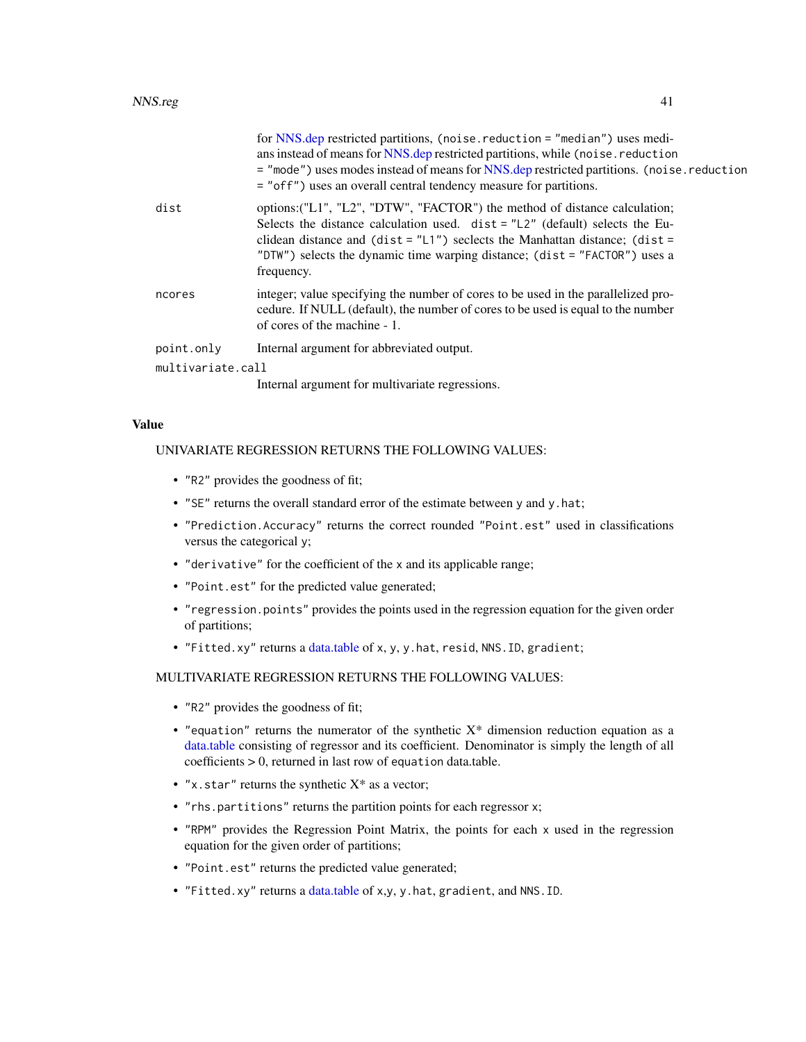<span id="page-40-0"></span>

|                   | for NNS.dep restricted partitions, (noise. reduction = "median") uses medi-<br>ans instead of means for NNS.dep restricted partitions, while (noise.reduction<br>= "mode") uses modes instead of means for NNS.dep restricted partitions. (noise.reduction<br>= "off") uses an overall central tendency measure for partitions.                           |
|-------------------|-----------------------------------------------------------------------------------------------------------------------------------------------------------------------------------------------------------------------------------------------------------------------------------------------------------------------------------------------------------|
| dist              | options: ("L1", "L2", "DTW", "FACTOR") the method of distance calculation;<br>Selects the distance calculation used. $dist = "L2"$ (default) selects the Eu-<br>clidean distance and $(\text{dist} = "L1")$ seclects the Manhattan distance; $(\text{dist} =$<br>"DTW") selects the dynamic time warping distance; (dist = "FACTOR") uses a<br>frequency. |
| ncores            | integer; value specifying the number of cores to be used in the parallelized pro-<br>cedure. If NULL (default), the number of cores to be used is equal to the number<br>of cores of the machine - 1.                                                                                                                                                     |
| point.only        | Internal argument for abbreviated output.                                                                                                                                                                                                                                                                                                                 |
| multivariate.call |                                                                                                                                                                                                                                                                                                                                                           |
|                   | Internal argument for multivariate regressions.                                                                                                                                                                                                                                                                                                           |

#### Value

# UNIVARIATE REGRESSION RETURNS THE FOLLOWING VALUES:

- "R2" provides the goodness of fit;
- "SE" returns the overall standard error of the estimate between y and y.hat;
- "Prediction.Accuracy" returns the correct rounded "Point.est" used in classifications versus the categorical y;
- "derivative" for the coefficient of the x and its applicable range;
- "Point.est" for the predicted value generated;
- "regression.points" provides the points used in the regression equation for the given order of partitions;
- "Fitted.xy" returns a [data.table](#page-0-0) of x, y, y.hat, resid, NNS.ID, gradient;

#### MULTIVARIATE REGRESSION RETURNS THE FOLLOWING VALUES:

- "R2" provides the goodness of fit;
- "equation" returns the numerator of the synthetic  $X^*$  dimension reduction equation as a [data.table](#page-0-0) consisting of regressor and its coefficient. Denominator is simply the length of all coefficients > 0, returned in last row of equation data.table.
- "x.star" returns the synthetic  $X^*$  as a vector;
- "rhs.partitions" returns the partition points for each regressor x;
- "RPM" provides the Regression Point Matrix, the points for each x used in the regression equation for the given order of partitions;
- "Point.est" returns the predicted value generated;
- "Fitted.xy" returns a [data.table](#page-0-0) of x,y, y.hat, gradient, and NNS.ID.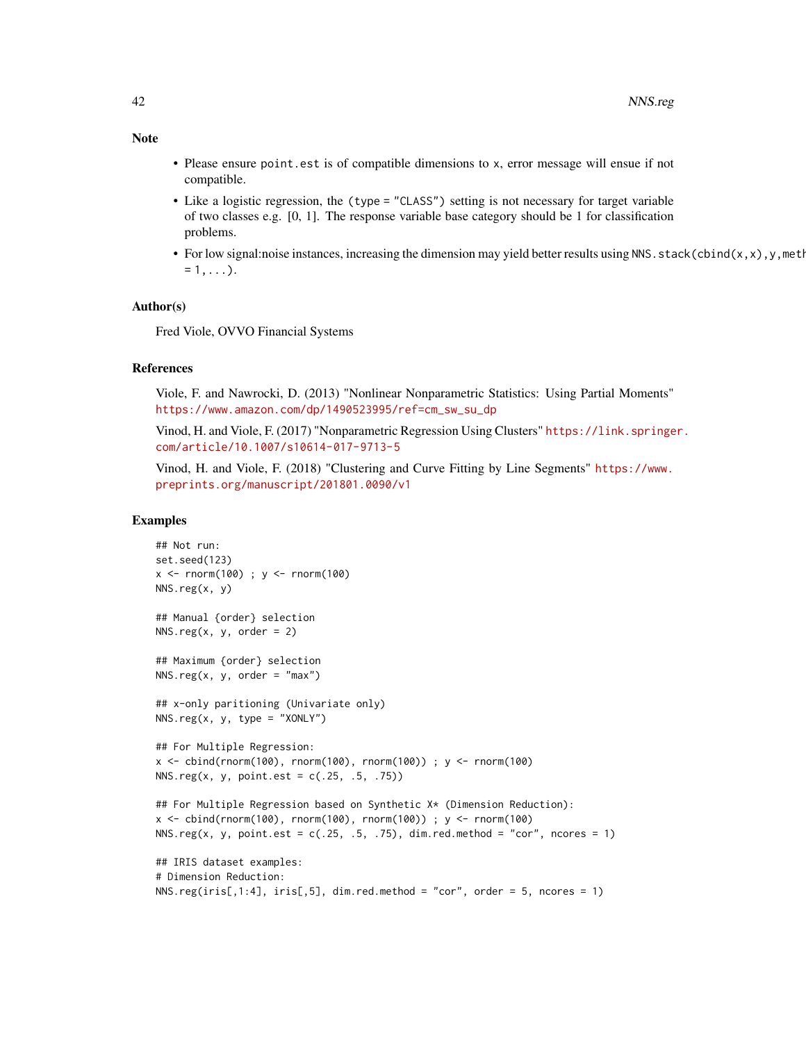- Please ensure point.est is of compatible dimensions to x, error message will ensue if not compatible.
- Like a logistic regression, the (type = "CLASS") setting is not necessary for target variable of two classes e.g. [0, 1]. The response variable base category should be 1 for classification problems.
- For low signal:noise instances, increasing the dimension may yield better results using NNS.stack(cbind(x,x),y,metl  $= 1, \ldots$ ).

#### Author(s)

Fred Viole, OVVO Financial Systems

# References

Viole, F. and Nawrocki, D. (2013) "Nonlinear Nonparametric Statistics: Using Partial Moments" [https://www.amazon.com/dp/1490523995/ref=cm\\_sw\\_su\\_dp](https://www.amazon.com/dp/1490523995/ref=cm_sw_su_dp)

Vinod, H. and Viole, F. (2017) "Nonparametric Regression Using Clusters" [https://link.springe](https://link.springer.com/article/10.1007/s10614-017-9713-5)r. [com/article/10.1007/s10614-017-9713-5](https://link.springer.com/article/10.1007/s10614-017-9713-5)

Vinod, H. and Viole, F. (2018) "Clustering and Curve Fitting by Line Segments" [https://www.](https://www.preprints.org/manuscript/201801.0090/v1) [preprints.org/manuscript/201801.0090/v1](https://www.preprints.org/manuscript/201801.0090/v1)

#### Examples

```
## Not run:
set.seed(123)
x <- rnorm(100) ; y <- rnorm(100)
NNS.reg(x, y)
## Manual {order} selection
NNS.reg(x, y, order = 2)## Maximum {order} selection
NNS.reg(x, y, order = "max")## x-only paritioning (Univariate only)
NNS.reg(x, y, type = "XONLY")## For Multiple Regression:
x <- cbind(rnorm(100), rnorm(100), rnorm(100)) ; y <- rnorm(100)
NNS.reg(x, y, point.est = c(.25, .5, .75))## For Multiple Regression based on Synthetic X* (Dimension Reduction):
x \le cbind(rnorm(100), rnorm(100), rnorm(100)) ; y \le rnorm(100)
NNS.reg(x, y, point.est = c(.25, .5, .75), dim.red.method = "cor", ncores = 1)
## IRIS dataset examples:
# Dimension Reduction:
NNS.reg(iris[,1:4], iris[,5], dim. red. method = "cor", order = 5, nores = 1)
```
# Note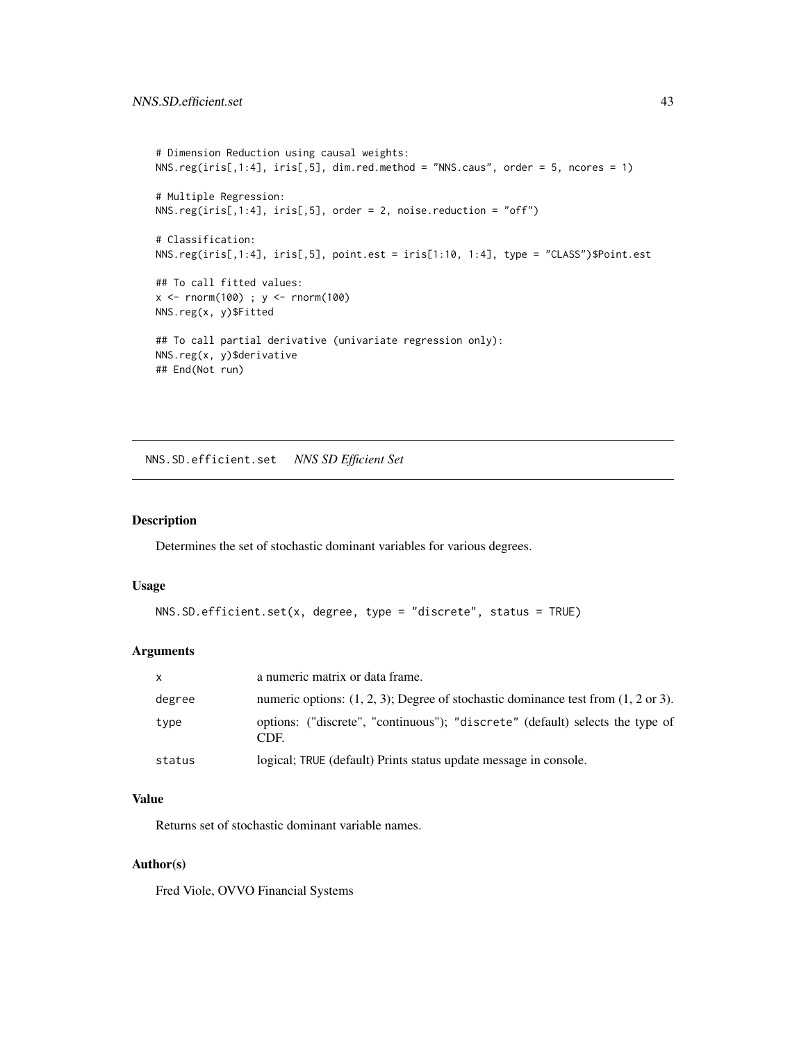```
# Dimension Reduction using causal weights:
NNS.reg(iris[,1:4], iris[,5], dim.red.method = "NNS.caus", order = 5, ncores = 1)
# Multiple Regression:
NNS.reg(iris[,1:4], iris[,5], order = 2, noise.reduction = "off")
# Classification:
NNS.reg(iris[,1:4], iris[,5], point.est = iris[1:10, 1:4], type = "CLASS")$Point.est
## To call fitted values:
x <- rnorm(100) ; y <- rnorm(100)
NNS.reg(x, y)$Fitted
## To call partial derivative (univariate regression only):
NNS.reg(x, y)$derivative
## End(Not run)
```
NNS.SD.efficient.set *NNS SD Efficient Set*

#### Description

Determines the set of stochastic dominant variables for various degrees.

# Usage

```
NNS.SD.efficient.set(x, degree, type = "discrete", status = TRUE)
```
# Arguments

| $\mathsf{x}$ | a numeric matrix or data frame.                                                                  |
|--------------|--------------------------------------------------------------------------------------------------|
| degree       | numeric options: $(1, 2, 3)$ ; Degree of stochastic dominance test from $(1, 2 \text{ or } 3)$ . |
| type         | options: ("discrete", "continuous"); "discrete" (default) selects the type of<br>CDE.            |
| status       | logical; TRUE (default) Prints status update message in console.                                 |

# Value

Returns set of stochastic dominant variable names.

#### Author(s)

Fred Viole, OVVO Financial Systems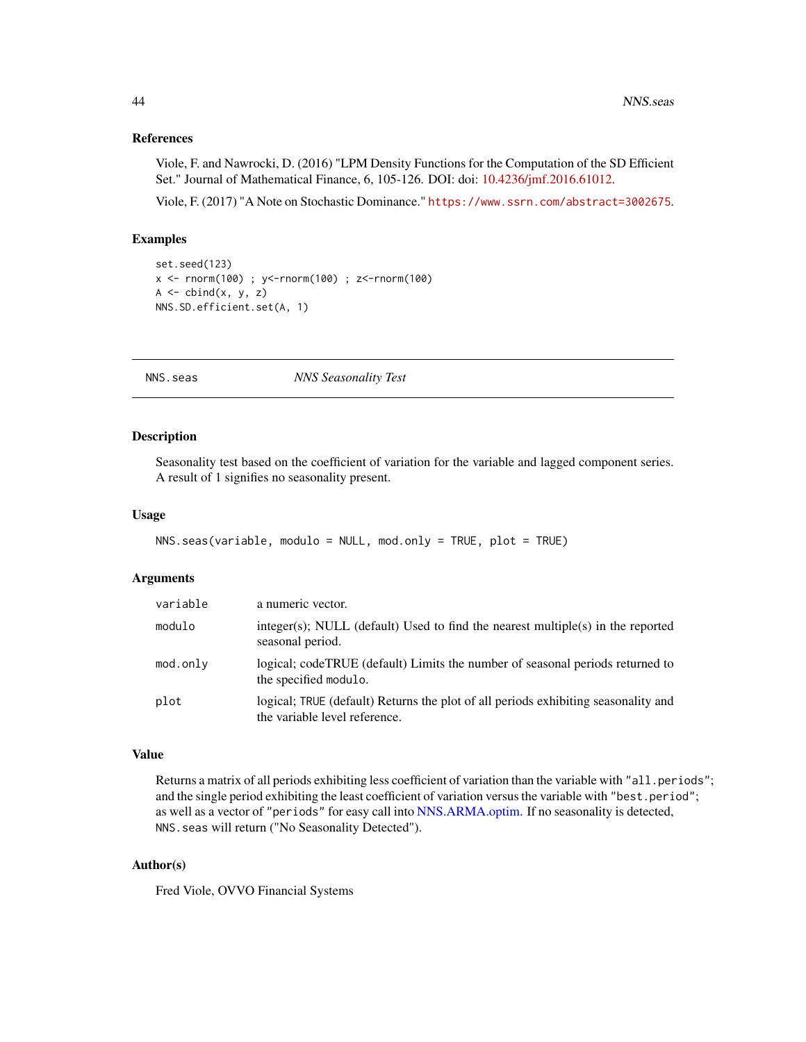#### <span id="page-43-0"></span>References

Viole, F. and Nawrocki, D. (2016) "LPM Density Functions for the Computation of the SD Efficient Set." Journal of Mathematical Finance, 6, 105-126. DOI: doi: [10.4236/jmf.2016.61012.](https://doi.org/10.4236/jmf.2016.61012)

Viole, F. (2017) "A Note on Stochastic Dominance." <https://www.ssrn.com/abstract=3002675>.

#### Examples

```
set.seed(123)
x <- rnorm(100) ; y<-rnorm(100) ; z<-rnorm(100)
A \leftarrow \text{cbind}(x, y, z)NNS.SD.efficient.set(A, 1)
```
<span id="page-43-1"></span>NNS.seas *NNS Seasonality Test*

#### Description

Seasonality test based on the coefficient of variation for the variable and lagged component series. A result of 1 signifies no seasonality present.

#### Usage

```
NNS.seas(variable, modulo = NULL, mod.only = TRUE, plot = TRUE)
```
#### Arguments

| variable | a numeric vector.                                                                                                   |
|----------|---------------------------------------------------------------------------------------------------------------------|
| modulo   | $integer(s)$ ; NULL (default) Used to find the nearest multiple(s) in the reported<br>seasonal period.              |
| mod.only | logical; codeTRUE (default) Limits the number of seasonal periods returned to<br>the specified modulo.              |
| plot     | logical; TRUE (default) Returns the plot of all periods exhibiting seasonality and<br>the variable level reference. |

# Value

Returns a matrix of all periods exhibiting less coefficient of variation than the variable with "all.periods"; and the single period exhibiting the least coefficient of variation versus the variable with "best.period"; as well as a vector of "periods" for easy call into [NNS.ARMA.optim.](#page-16-1) If no seasonality is detected, NNS.seas will return ("No Seasonality Detected").

# Author(s)

Fred Viole, OVVO Financial Systems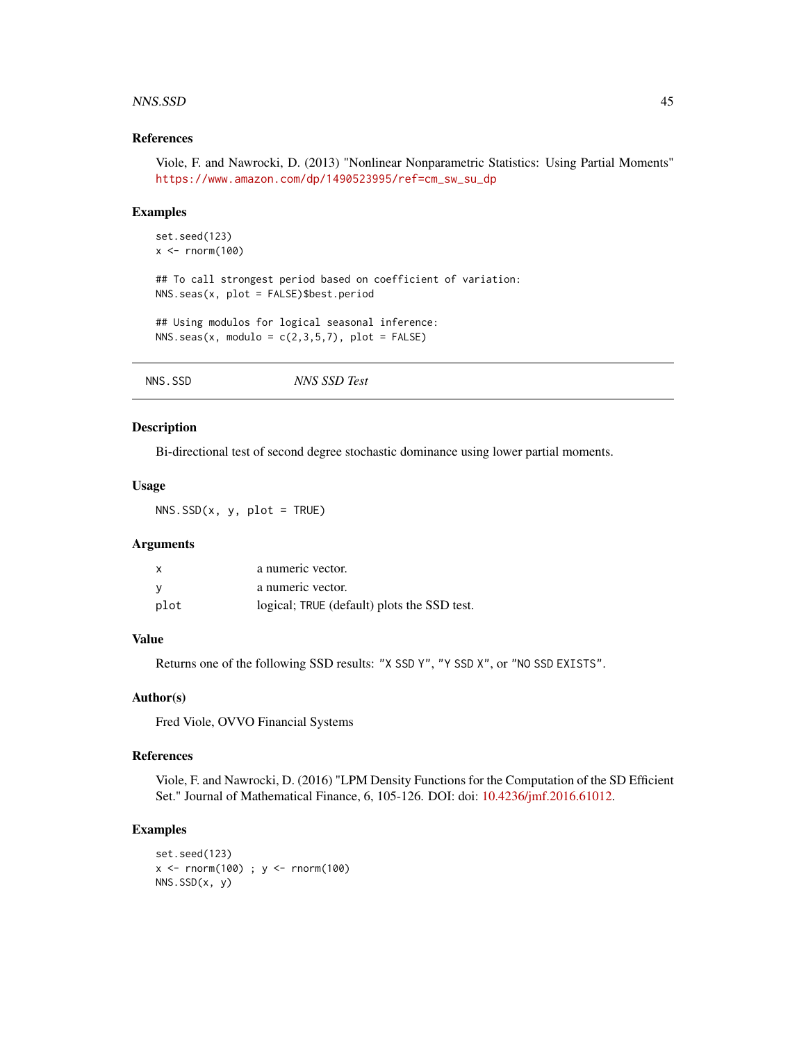#### <span id="page-44-0"></span>NNS.SSD 45

#### References

Viole, F. and Nawrocki, D. (2013) "Nonlinear Nonparametric Statistics: Using Partial Moments" [https://www.amazon.com/dp/1490523995/ref=cm\\_sw\\_su\\_dp](https://www.amazon.com/dp/1490523995/ref=cm_sw_su_dp)

#### Examples

```
set.seed(123)
x \leftarrow \text{norm}(100)
```
## To call strongest period based on coefficient of variation: NNS.seas(x, plot = FALSE)\$best.period

## Using modulos for logical seasonal inference: NNS.seas(x, modulo =  $c(2,3,5,7)$ , plot = FALSE)

| NNS.SSD | NNS SSD Test |
|---------|--------------|
|         |              |

# Description

Bi-directional test of second degree stochastic dominance using lower partial moments.

#### Usage

 $NNS.SSD(x, y, plot = TRUE)$ 

#### Arguments

| x    | a numeric vector.                           |
|------|---------------------------------------------|
| ۷    | a numeric vector.                           |
| plot | logical; TRUE (default) plots the SSD test. |

#### Value

Returns one of the following SSD results: "X SSD Y", "Y SSD X", or "NO SSD EXISTS".

#### Author(s)

Fred Viole, OVVO Financial Systems

#### References

Viole, F. and Nawrocki, D. (2016) "LPM Density Functions for the Computation of the SD Efficient Set." Journal of Mathematical Finance, 6, 105-126. DOI: doi: [10.4236/jmf.2016.61012.](https://doi.org/10.4236/jmf.2016.61012)

```
set.seed(123)
x <- rnorm(100) ; y <- rnorm(100)
NNS.SSD(x, y)
```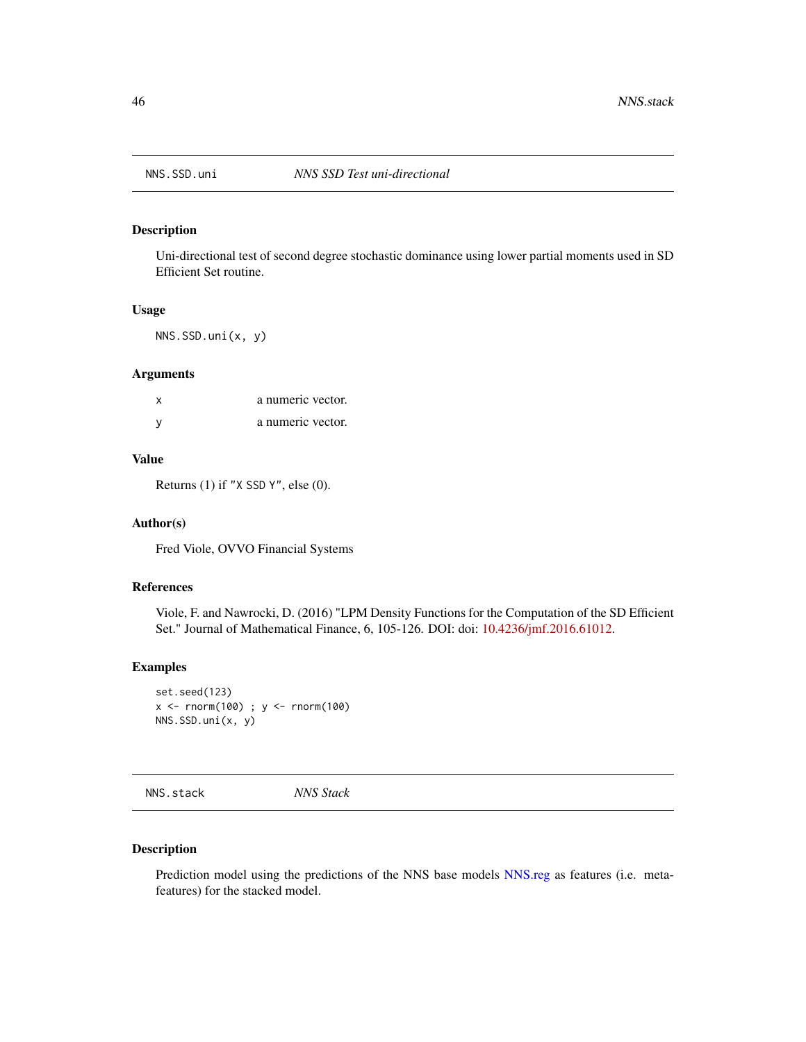<span id="page-45-0"></span>

Uni-directional test of second degree stochastic dominance using lower partial moments used in SD Efficient Set routine.

#### Usage

NNS.SSD.uni(x, y)

#### Arguments

| x | a numeric vector. |
|---|-------------------|
|   | a numeric vector. |

# Value

Returns (1) if "X SSD Y", else (0).

#### Author(s)

Fred Viole, OVVO Financial Systems

# References

Viole, F. and Nawrocki, D. (2016) "LPM Density Functions for the Computation of the SD Efficient Set." Journal of Mathematical Finance, 6, 105-126. DOI: doi: [10.4236/jmf.2016.61012.](https://doi.org/10.4236/jmf.2016.61012)

# Examples

```
set.seed(123)
x <- rnorm(100) ; y <- rnorm(100)
NNS.SSD.uni(x, y)
```
<span id="page-45-1"></span>NNS.stack *NNS Stack*

#### Description

Prediction model using the predictions of the NNS base models [NNS.reg](#page-38-1) as features (i.e. metafeatures) for the stacked model.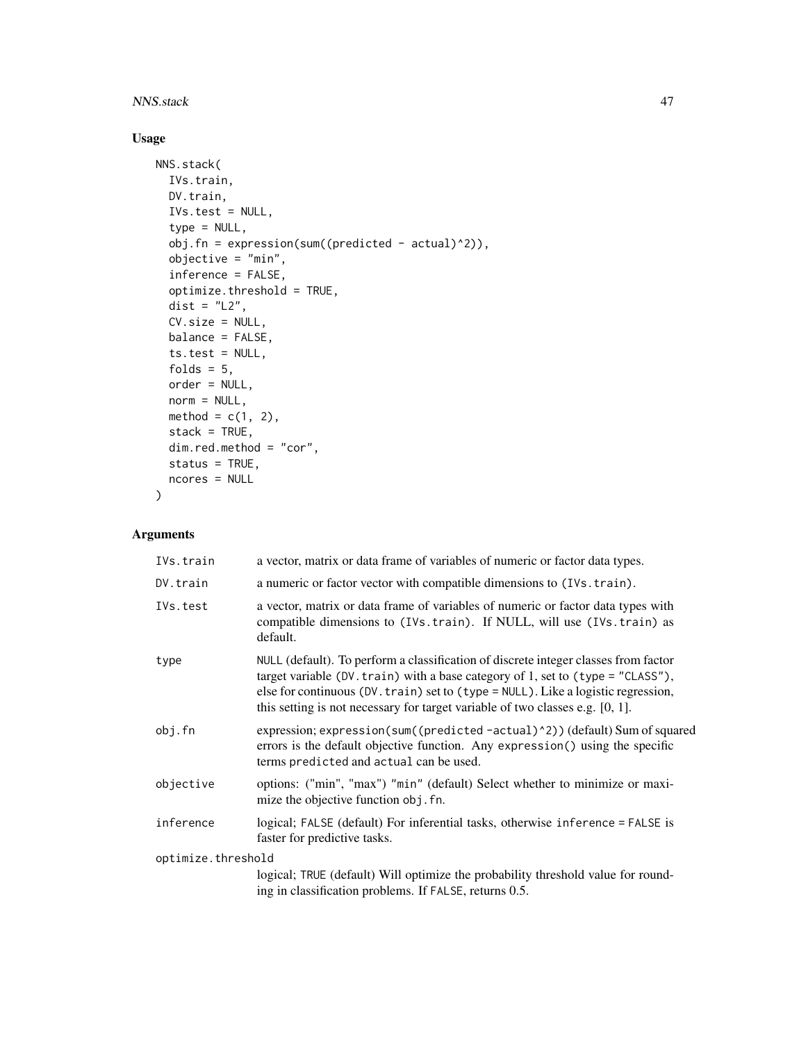#### NNS.stack 47

# Usage

```
NNS.stack(
  IVs.train,
 DV.train,
 IVs.test = NULL,
  type = NULL,
 obj.fn = expression(sum((predicted - actual)^2)),
 objective = "min",
  inference = FALSE,
  optimize.threshold = TRUE,
 dist = "L2",CV.size = NULL,
 balance = FALSE,
  ts.test = NULL,
 folds = 5,
 order = NULL,
 norm = NULL,method = c(1, 2),
 stack = TRUE,dim.red.method = "cor",
 status = TRUE,
 ncores = NULL
)
```
# Arguments

| IVs.train          | a vector, matrix or data frame of variables of numeric or factor data types.                                                                                                                                                                                                                                                                       |
|--------------------|----------------------------------------------------------------------------------------------------------------------------------------------------------------------------------------------------------------------------------------------------------------------------------------------------------------------------------------------------|
| DV.train           | a numeric or factor vector with compatible dimensions to (IVs. train).                                                                                                                                                                                                                                                                             |
| IVs.test           | a vector, matrix or data frame of variables of numeric or factor data types with<br>compatible dimensions to (IVs. train). If NULL, will use (IVs. train) as<br>default.                                                                                                                                                                           |
| type               | NULL (default). To perform a classification of discrete integer classes from factor<br>target variable (DV. train) with a base category of 1, set to (type = $"CLASS"$ ),<br>else for continuous (DV. train) set to (type = NULL). Like a logistic regression,<br>this setting is not necessary for target variable of two classes e.g. $[0, 1]$ . |
| obj.fn             | expression; expression(sum((predicted-actual)^2))(default) Sum of squared<br>errors is the default objective function. Any expression() using the specific<br>terms predicted and actual can be used.                                                                                                                                              |
| objective          | options: ("min", "max") "min" (default) Select whether to minimize or maxi-<br>mize the objective function obj. fn.                                                                                                                                                                                                                                |
| inference          | logical; FALSE (default) For inferential tasks, otherwise inference = FALSE is<br>faster for predictive tasks.                                                                                                                                                                                                                                     |
| optimize.threshold |                                                                                                                                                                                                                                                                                                                                                    |
|                    | logical; TRUE (default) Will optimize the probability threshold value for round-<br>ing in classification problems. If FALSE, returns 0.5.                                                                                                                                                                                                         |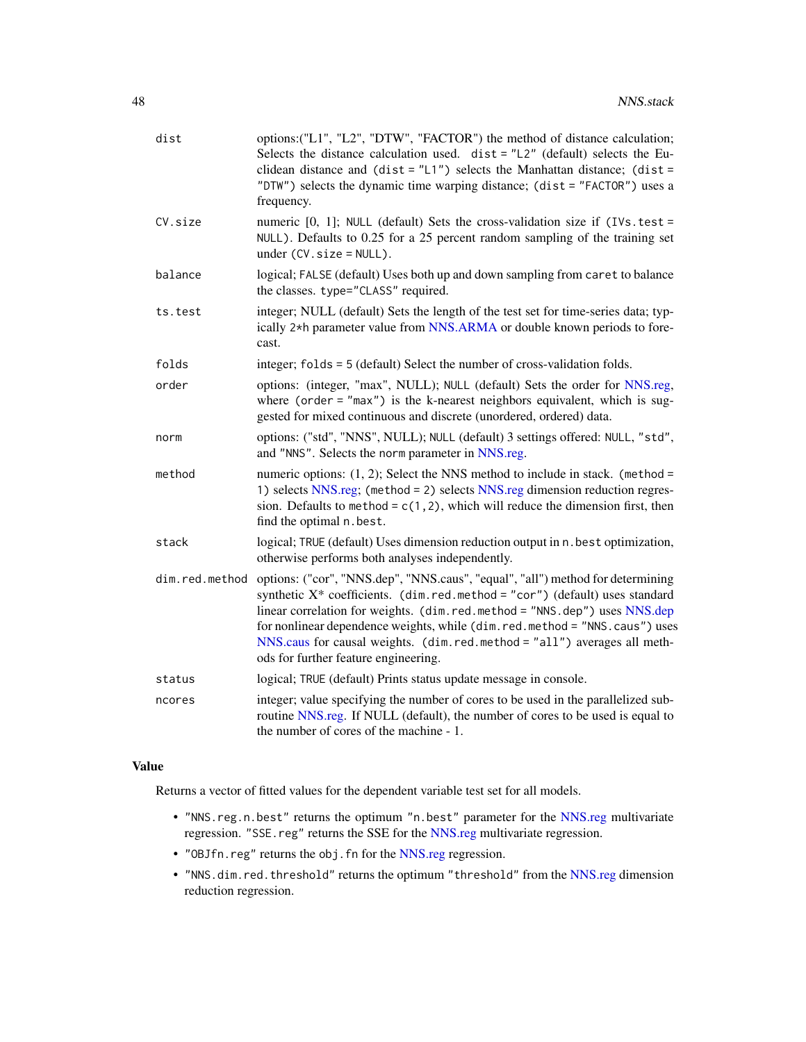<span id="page-47-0"></span>

| dist           | options: ("L1", "L2", "DTW", "FACTOR") the method of distance calculation;<br>Selects the distance calculation used. $dist = "L2"$ (default) selects the Eu-<br>clidean distance and $(dist = "L1")$ selects the Manhattan distance; $(dist =$<br>"DTW") selects the dynamic time warping distance; (dist = "FACTOR") uses a<br>frequency.                                                                                                        |
|----------------|---------------------------------------------------------------------------------------------------------------------------------------------------------------------------------------------------------------------------------------------------------------------------------------------------------------------------------------------------------------------------------------------------------------------------------------------------|
| CV.size        | numeric $[0, 1]$ ; NULL (default) Sets the cross-validation size if (IVs. test =<br>NULL). Defaults to 0.25 for a 25 percent random sampling of the training set<br>under $(CV.size = NULL)$ .                                                                                                                                                                                                                                                    |
| balance        | logical; FALSE (default) Uses both up and down sampling from caret to balance<br>the classes. type="CLASS" required.                                                                                                                                                                                                                                                                                                                              |
| ts.test        | integer; NULL (default) Sets the length of the test set for time-series data; typ-<br>ically 2 <sup>*h</sup> parameter value from NNS.ARMA or double known periods to fore-<br>cast.                                                                                                                                                                                                                                                              |
| folds          | integer; folds = 5 (default) Select the number of cross-validation folds.                                                                                                                                                                                                                                                                                                                                                                         |
| order          | options: (integer, "max", NULL); NULL (default) Sets the order for NNS.reg,<br>where (order = $"max"$ ) is the k-nearest neighbors equivalent, which is sug-<br>gested for mixed continuous and discrete (unordered, ordered) data.                                                                                                                                                                                                               |
| norm           | options: ("std", "NNS", NULL); NULL (default) 3 settings offered: NULL, "std",<br>and "NNS". Selects the norm parameter in NNS.reg.                                                                                                                                                                                                                                                                                                               |
| method         | numeric options: $(1, 2)$ ; Select the NNS method to include in stack. (method =<br>1) selects NNS.reg; (method = 2) selects NNS.reg dimension reduction regres-<br>sion. Defaults to method = $c(1, 2)$ , which will reduce the dimension first, then<br>find the optimal n.best.                                                                                                                                                                |
| stack          | logical; TRUE (default) Uses dimension reduction output in n. best optimization,<br>otherwise performs both analyses independently.                                                                                                                                                                                                                                                                                                               |
| dim.red.method | options: ("cor", "NNS.dep", "NNS.caus", "equal", "all") method for determining<br>synthetic $X^*$ coefficients. (dim. red. method = "cor") (default) uses standard<br>linear correlation for weights. (dim.red.method = "NNS.dep") uses NNS.dep<br>for nonlinear dependence weights, while (dim.red.method = "NNS.caus") uses<br>NNS.caus for causal weights. (dim.red.method = "all") averages all meth-<br>ods for further feature engineering. |
| status         | logical; TRUE (default) Prints status update message in console.                                                                                                                                                                                                                                                                                                                                                                                  |
| ncores         | integer; value specifying the number of cores to be used in the parallelized sub-<br>routine NNS reg. If NULL (default), the number of cores to be used is equal to<br>the number of cores of the machine - 1.                                                                                                                                                                                                                                    |

# Value

Returns a vector of fitted values for the dependent variable test set for all models.

- "NNS.reg.n.best" returns the optimum "n.best" parameter for the [NNS.reg](#page-38-1) multivariate regression. "SSE.reg" returns the SSE for the [NNS.reg](#page-38-1) multivariate regression.
- "OBJfn.reg" returns the obj.fn for the [NNS.reg](#page-38-1) regression.
- "NNS.dim.red.threshold" returns the optimum "threshold" from the [NNS.reg](#page-38-1) dimension reduction regression.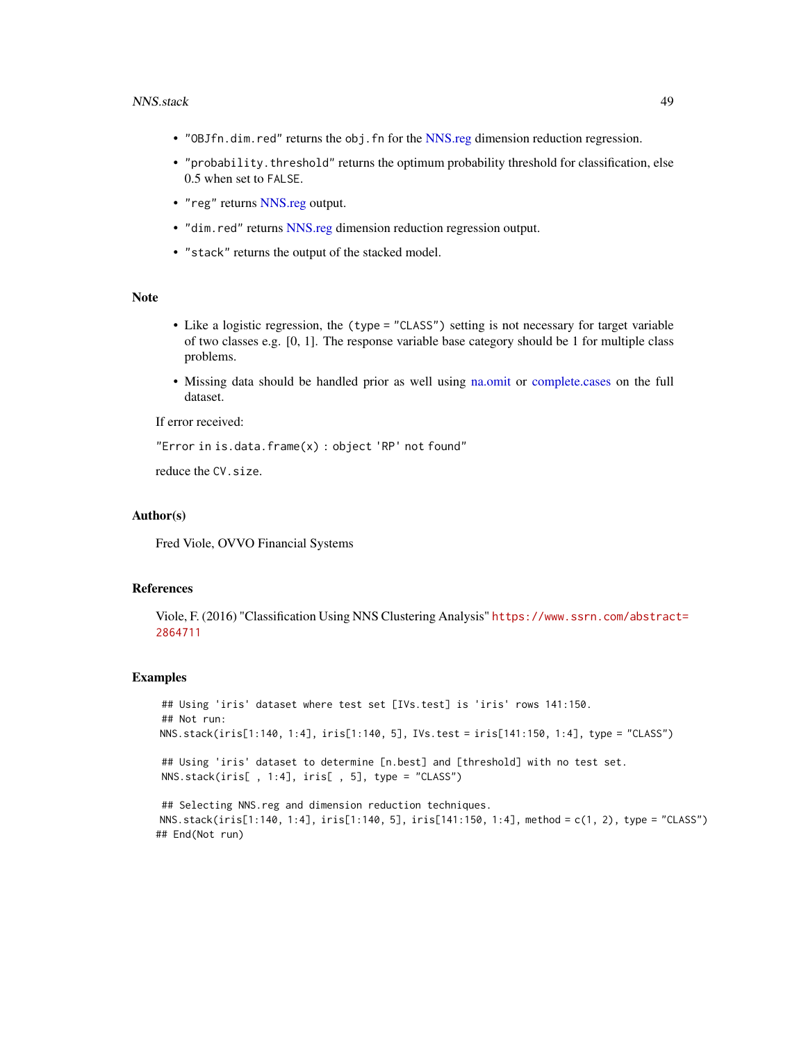#### <span id="page-48-0"></span>NNS.stack 49

- "OBJfn.dim.red" returns the obj.fn for the [NNS.reg](#page-38-1) dimension reduction regression.
- "probability.threshold" returns the optimum probability threshold for classification, else 0.5 when set to FALSE.
- "reg" returns [NNS.reg](#page-38-1) output.
- "dim.red" returns [NNS.reg](#page-38-1) dimension reduction regression output.
- "stack" returns the output of the stacked model.

## Note

- Like a logistic regression, the (type = "CLASS") setting is not necessary for target variable of two classes e.g. [0, 1]. The response variable base category should be 1 for multiple class problems.
- Missing data should be handled prior as well using [na.omit](#page-0-0) or [complete.cases](#page-0-0) on the full dataset.

If error received:

```
"Error in is.data.frame(x) : object 'RP' not found"
```
reduce the CV.size.

#### Author(s)

Fred Viole, OVVO Financial Systems

#### References

Viole, F. (2016) "Classification Using NNS Clustering Analysis" [https://www.ssrn.com/abstrac](https://www.ssrn.com/abstract=2864711)t= [2864711](https://www.ssrn.com/abstract=2864711)

```
## Using 'iris' dataset where test set [IVs.test] is 'iris' rows 141:150.
## Not run:
NNS.stack(iris[1:140, 1:4], iris[1:140, 5], IVs.test = iris[141:150, 1:4], type = "CLASS")
## Using 'iris' dataset to determine [n.best] and [threshold] with no test set.
NNS.stack(iris[ , 1:4], iris[ , 5], type = "CLASS")
## Selecting NNS.reg and dimension reduction techniques.
NNS.stack(iris[1:140, 1:4], iris[1:140, 5], iris[141:150, 1:4], method = c(1, 2), type = "CLASS")
## End(Not run)
```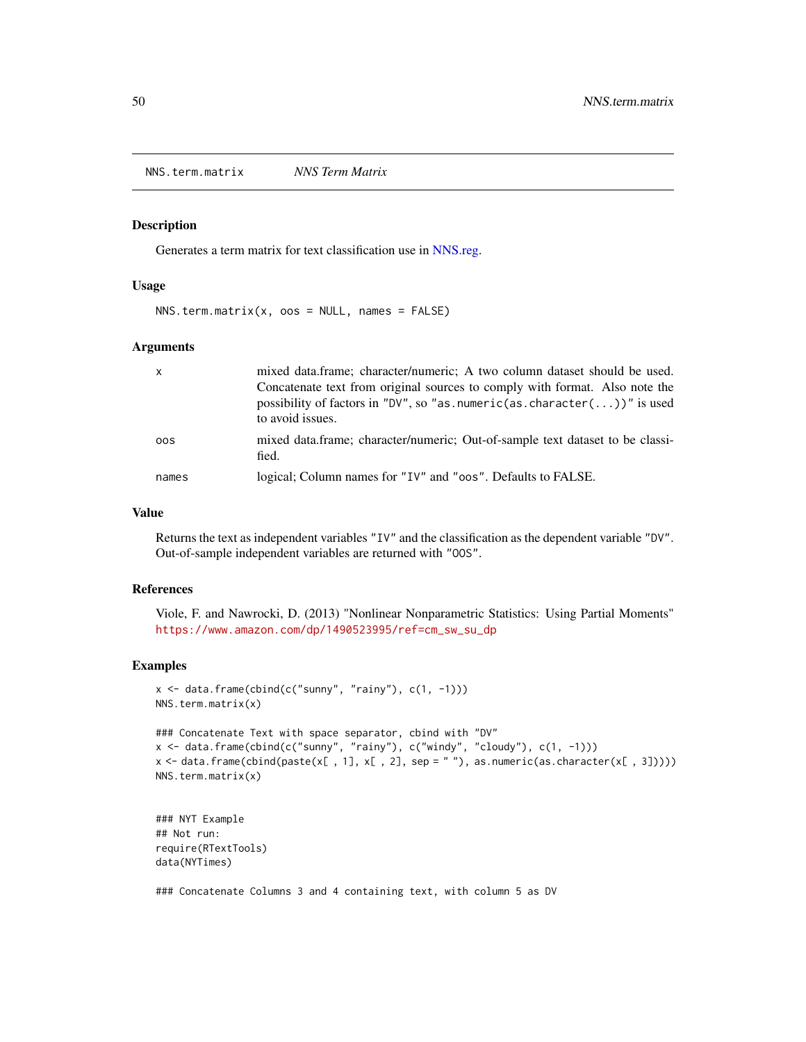<span id="page-49-0"></span>NNS.term.matrix *NNS Term Matrix*

#### Description

Generates a term matrix for text classification use in [NNS.reg.](#page-38-1)

#### Usage

 $NNS.$  term.matrix(x, oos =  $NULL$ , names =  $FALSE$ )

# Arguments

| X     | mixed data.frame; character/numeric; A two column dataset should be used.<br>Concatenate text from original sources to comply with format. Also note the<br>possibility of factors in "DV", so "as numeric(as character())" is used<br>to avoid issues. |
|-------|---------------------------------------------------------------------------------------------------------------------------------------------------------------------------------------------------------------------------------------------------------|
| 00S   | mixed data.frame; character/numeric; Out-of-sample text dataset to be classi-<br>fied.                                                                                                                                                                  |
| names | logical; Column names for "IV" and "oos". Defaults to FALSE.                                                                                                                                                                                            |

#### Value

Returns the text as independent variables "IV" and the classification as the dependent variable "DV". Out-of-sample independent variables are returned with "OOS".

#### References

Viole, F. and Nawrocki, D. (2013) "Nonlinear Nonparametric Statistics: Using Partial Moments" [https://www.amazon.com/dp/1490523995/ref=cm\\_sw\\_su\\_dp](https://www.amazon.com/dp/1490523995/ref=cm_sw_su_dp)

#### Examples

```
x \le - data.frame(cbind(c("sunny", "rainy"), c(1, -1)))
NNS.term.matrix(x)
```

```
### Concatenate Text with space separator, cbind with "DV"
x \leftarrow data.frame(cbind(c("sunny", "rainy"), c("windy", "cloudy"), c(1, -1)))
x <- data.frame(cbind(paste(x[ , 1], x[ , 2], sep = " "), as.numeric(as.character(x[ , 3]))))
NNS.term.matrix(x)
```

```
### NYT Example
## Not run:
require(RTextTools)
data(NYTimes)
```
### Concatenate Columns 3 and 4 containing text, with column 5 as DV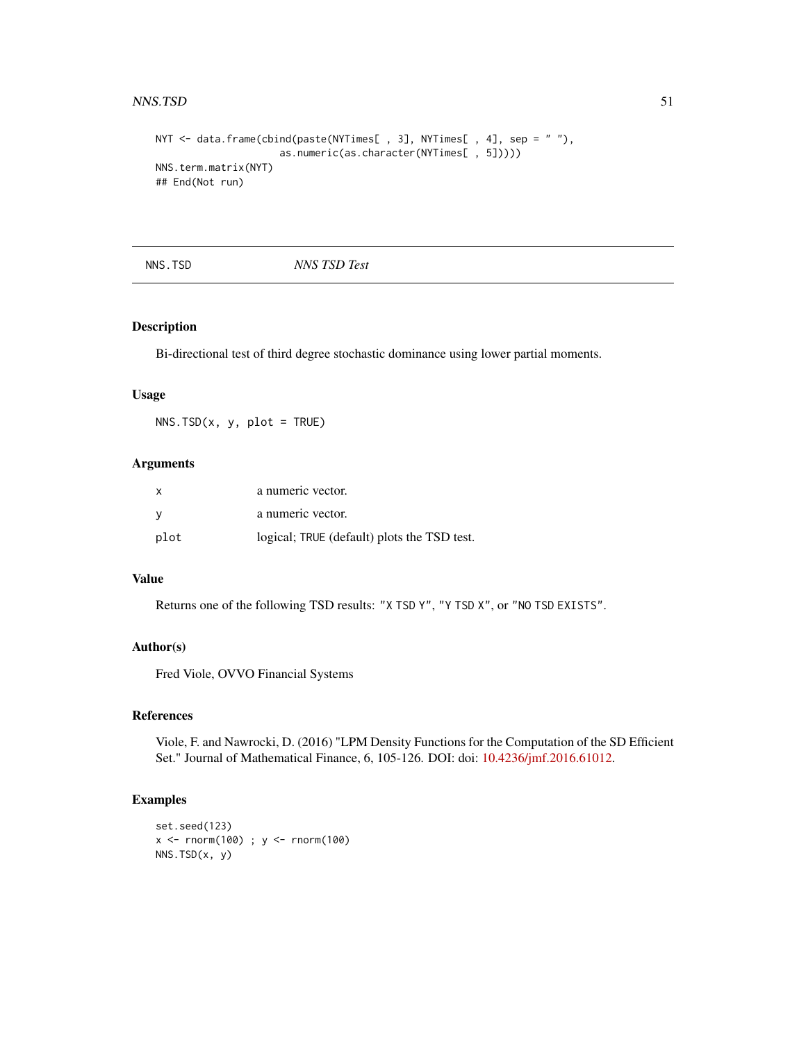#### <span id="page-50-0"></span> $NNS.TSD$  51

```
NYT <- data.frame(cbind(paste(NYTimes[, 3], NYTimes[, 4], sep = ""),
                    as.numeric(as.character(NYTimes[ , 5]))))
NNS.term.matrix(NYT)
## End(Not run)
```
NNS.TSD *NNS TSD Test*

# Description

Bi-directional test of third degree stochastic dominance using lower partial moments.

#### Usage

 $NNS.TSD(x, y, plot = TRUE)$ 

# Arguments

| X        | a numeric vector.                           |
|----------|---------------------------------------------|
| <b>V</b> | a numeric vector.                           |
| plot     | logical; TRUE (default) plots the TSD test. |

# Value

Returns one of the following TSD results: "X TSD Y", "Y TSD X", or "NO TSD EXISTS".

# Author(s)

Fred Viole, OVVO Financial Systems

# References

Viole, F. and Nawrocki, D. (2016) "LPM Density Functions for the Computation of the SD Efficient Set." Journal of Mathematical Finance, 6, 105-126. DOI: doi: [10.4236/jmf.2016.61012.](https://doi.org/10.4236/jmf.2016.61012)

```
set.seed(123)
x <- rnorm(100) ; y <- rnorm(100)
NNS.TSD(x, y)
```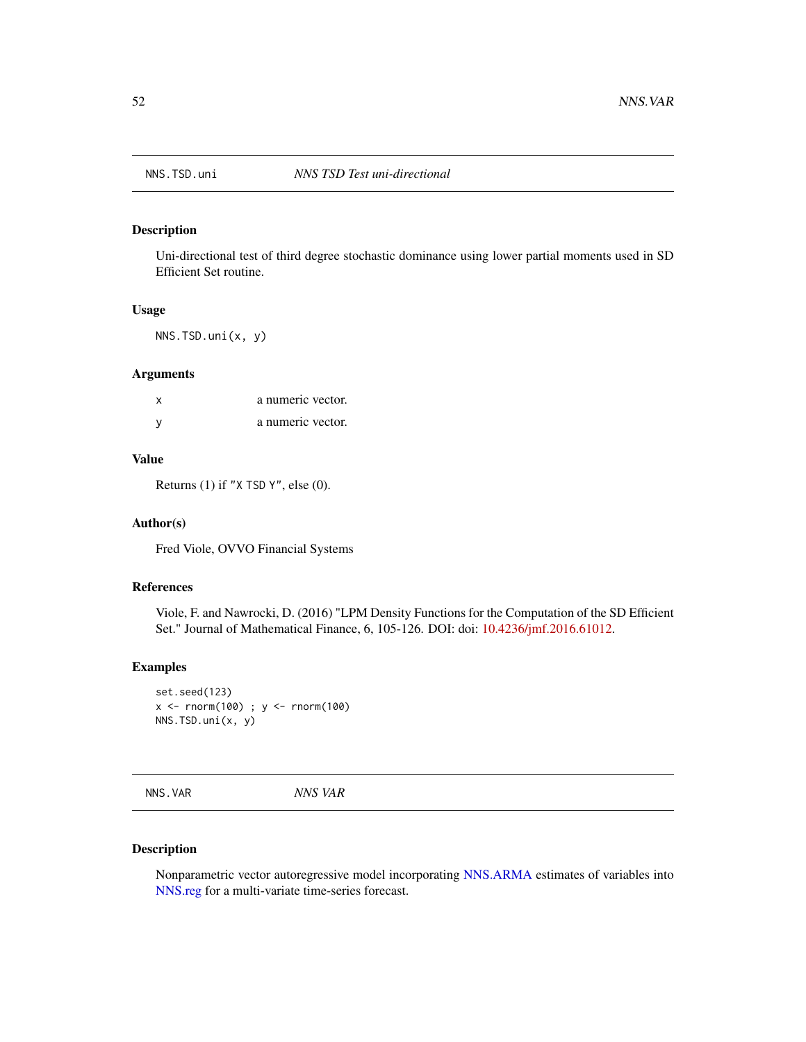<span id="page-51-0"></span>

Uni-directional test of third degree stochastic dominance using lower partial moments used in SD Efficient Set routine.

# Usage

NNS.TSD.uni(x, y)

#### Arguments

| x | a numeric vector. |
|---|-------------------|
|   | a numeric vector. |

# Value

Returns (1) if "X TSD Y", else (0).

#### Author(s)

Fred Viole, OVVO Financial Systems

# References

Viole, F. and Nawrocki, D. (2016) "LPM Density Functions for the Computation of the SD Efficient Set." Journal of Mathematical Finance, 6, 105-126. DOI: doi: [10.4236/jmf.2016.61012.](https://doi.org/10.4236/jmf.2016.61012)

# Examples

```
set.seed(123)
x <- rnorm(100) ; y <- rnorm(100)
NNS.TSD.uni(x, y)
```
<span id="page-51-1"></span>NNS.VAR *NNS VAR*

# Description

Nonparametric vector autoregressive model incorporating [NNS.ARMA](#page-13-1) estimates of variables into [NNS.reg](#page-38-1) for a multi-variate time-series forecast.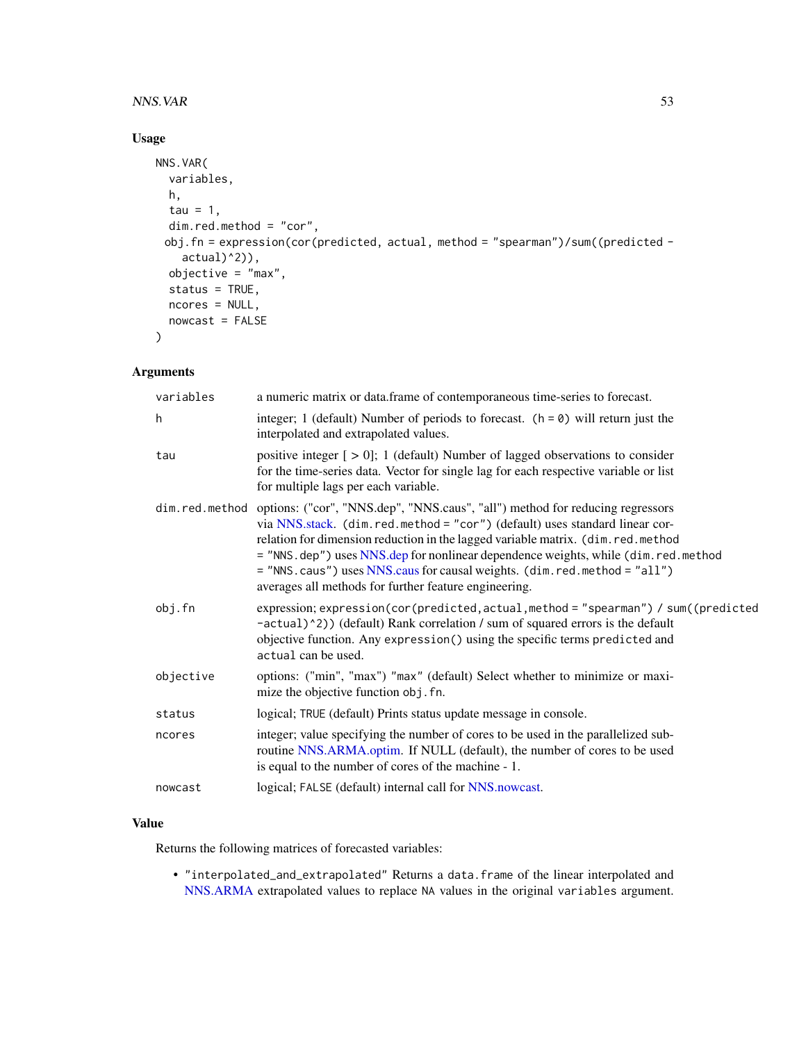#### <span id="page-52-0"></span> $NNS. VAR$  53

# Usage

```
NNS.VAR(
  variables,
  h,
  tau = 1,dim.red.method = "cor",
 obj.fn = expression(cor(predicted, actual, method = "spearman")/sum((predicted -
    actual)^2)),
 objective = "max",
  status = TRUE,
 ncores = NULL,
 nowcast = FALSE
\mathcal{L}
```
# Arguments

| variables | a numeric matrix or data.frame of contemporaneous time-series to forecast.                                                                                                                                                                                                                                                                                                                                                                                                               |
|-----------|------------------------------------------------------------------------------------------------------------------------------------------------------------------------------------------------------------------------------------------------------------------------------------------------------------------------------------------------------------------------------------------------------------------------------------------------------------------------------------------|
| h         | integer; 1 (default) Number of periods to forecast. $(h = 0)$ will return just the<br>interpolated and extrapolated values.                                                                                                                                                                                                                                                                                                                                                              |
| tau       | positive integer $[>0]$ ; 1 (default) Number of lagged observations to consider<br>for the time-series data. Vector for single lag for each respective variable or list<br>for multiple lags per each variable.                                                                                                                                                                                                                                                                          |
|           | dim.red.method options: ("cor", "NNS.dep", "NNS.caus", "all") method for reducing regressors<br>via NNS.stack. (dim.red.method = "cor") (default) uses standard linear cor-<br>relation for dimension reduction in the lagged variable matrix. (dim.red.method<br>= "NNS.dep") uses NNS.dep for nonlinear dependence weights, while (dim.red.method<br>= "NNS.caus") uses NNS.caus for causal weights. (dim.red.method = "all")<br>averages all methods for further feature engineering. |
| obj.fn    | expression; expression(cor(predicted, actual, method = "spearman") / sum((predicted<br>-actual)^2)) (default) Rank correlation / sum of squared errors is the default<br>objective function. Any expression () using the specific terms predicted and<br>actual can be used.                                                                                                                                                                                                             |
| objective | options: ("min", "max") "max" (default) Select whether to minimize or maxi-<br>mize the objective function obj. fn.                                                                                                                                                                                                                                                                                                                                                                      |
| status    | logical; TRUE (default) Prints status update message in console.                                                                                                                                                                                                                                                                                                                                                                                                                         |
| ncores    | integer; value specifying the number of cores to be used in the parallelized sub-<br>routine NNS.ARMA.optim. If NULL (default), the number of cores to be used<br>is equal to the number of cores of the machine - 1.                                                                                                                                                                                                                                                                    |
| nowcast   | logical; FALSE (default) internal call for NNS.nowcast.                                                                                                                                                                                                                                                                                                                                                                                                                                  |

# Value

Returns the following matrices of forecasted variables:

• "interpolated\_and\_extrapolated" Returns a data.frame of the linear interpolated and [NNS.ARMA](#page-13-1) extrapolated values to replace NA values in the original variables argument.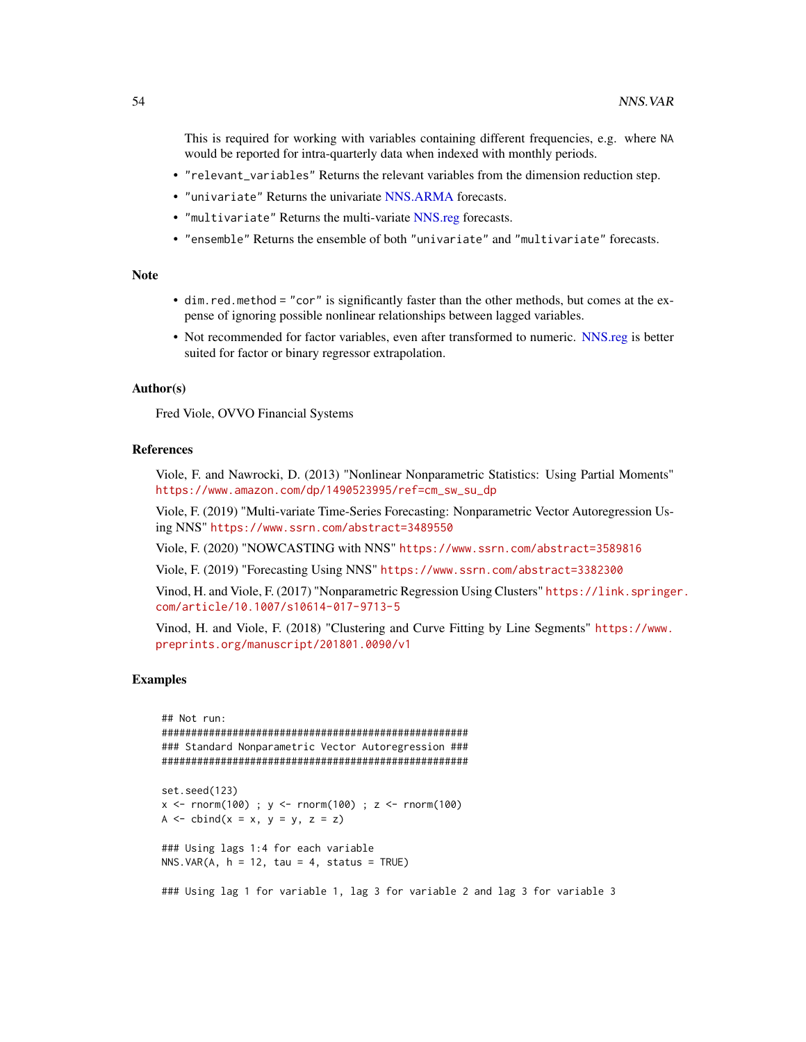<span id="page-53-0"></span>This is required for working with variables containing different frequencies, e.g. where NA would be reported for intra-quarterly data when indexed with monthly periods.

- "relevant\_variables" Returns the relevant variables from the dimension reduction step.
- "univariate" Returns the univariate [NNS.ARMA](#page-13-1) forecasts.
- "multivariate" Returns the multi-variate [NNS.reg](#page-38-1) forecasts.
- "ensemble" Returns the ensemble of both "univariate" and "multivariate" forecasts.

#### **Note**

- dim.red.method = "cor" is significantly faster than the other methods, but comes at the expense of ignoring possible nonlinear relationships between lagged variables.
- Not recommended for factor variables, even after transformed to numeric. [NNS.reg](#page-38-1) is better suited for factor or binary regressor extrapolation.

#### Author(s)

Fred Viole, OVVO Financial Systems

# References

Viole, F. and Nawrocki, D. (2013) "Nonlinear Nonparametric Statistics: Using Partial Moments" [https://www.amazon.com/dp/1490523995/ref=cm\\_sw\\_su\\_dp](https://www.amazon.com/dp/1490523995/ref=cm_sw_su_dp)

Viole, F. (2019) "Multi-variate Time-Series Forecasting: Nonparametric Vector Autoregression Using NNS" <https://www.ssrn.com/abstract=3489550>

Viole, F. (2020) "NOWCASTING with NNS" <https://www.ssrn.com/abstract=3589816>

Viole, F. (2019) "Forecasting Using NNS" <https://www.ssrn.com/abstract=3382300>

Vinod, H. and Viole, F. (2017) "Nonparametric Regression Using Clusters" [https://link.springe](https://link.springer.com/article/10.1007/s10614-017-9713-5)r. [com/article/10.1007/s10614-017-9713-5](https://link.springer.com/article/10.1007/s10614-017-9713-5)

Vinod, H. and Viole, F. (2018) "Clustering and Curve Fitting by Line Segments" [https://www.](https://www.preprints.org/manuscript/201801.0090/v1) [preprints.org/manuscript/201801.0090/v1](https://www.preprints.org/manuscript/201801.0090/v1)

```
## Not run:
####################################################
### Standard Nonparametric Vector Autoregression ###
####################################################
set.seed(123)
x <- rnorm(100) ; y <- rnorm(100) ; z <- rnorm(100)
A \leq -\text{cbind}(x = x, y = y, z = z)### Using lags 1:4 for each variable
NNS.VAR(A, h = 12, tau = 4, status = TRUE)### Using lag 1 for variable 1, lag 3 for variable 2 and lag 3 for variable 3
```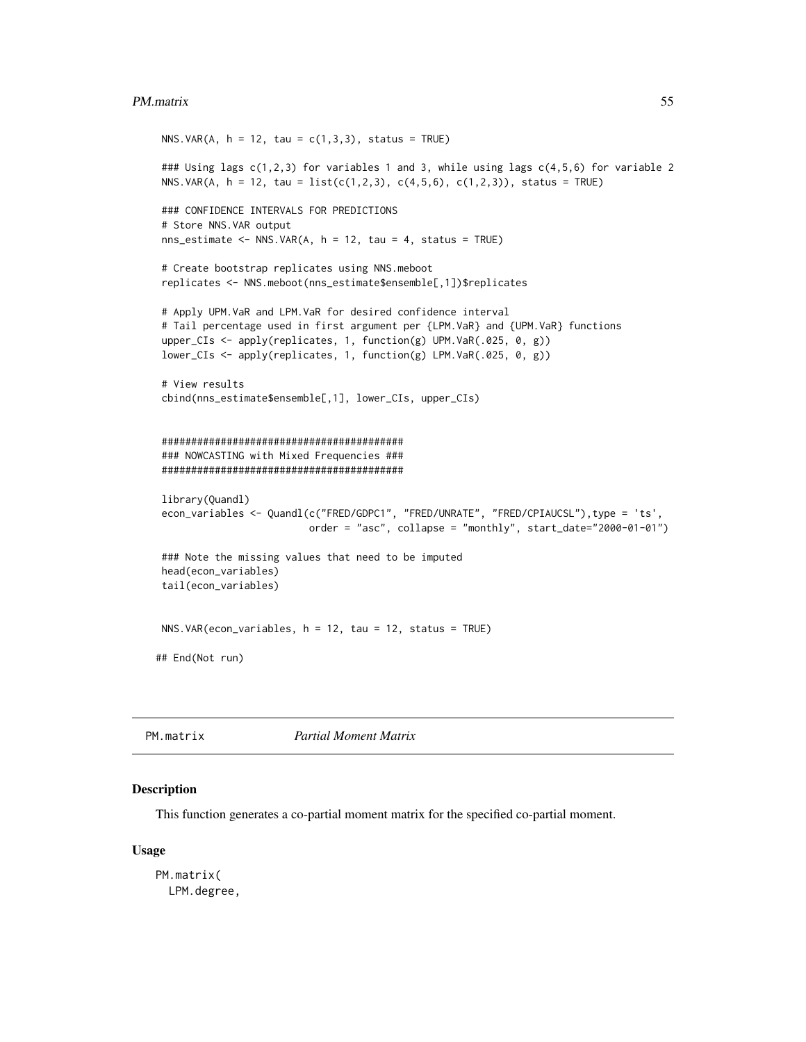#### <span id="page-54-0"></span>PM.matrix 55

```
NNS.VAR(A, h = 12, tau = c(1,3,3), status = TRUE)
### Using lags c(1,2,3) for variables 1 and 3, while using lags c(4,5,6) for variable 2
NNS.VAR(A, h = 12, tau = list(c(1,2,3), c(4,5,6), c(1,2,3)), status = TRUE)
### CONFIDENCE INTERVALS FOR PREDICTIONS
# Store NNS.VAR output
nns_estimate <- NNS.VAR(A, h = 12, tau = 4, status = TRUE)# Create bootstrap replicates using NNS.meboot
replicates <- NNS.meboot(nns_estimate$ensemble[,1])$replicates
# Apply UPM.VaR and LPM.VaR for desired confidence interval
# Tail percentage used in first argument per {LPM.VaR} and {UPM.VaR} functions
upper_CIs <- apply(replicates, 1, function(g) UPM.VaR(.025, 0, g))
lower_CIs <- apply(replicates, 1, function(g) LPM.VaR(.025, 0, g))
# View results
cbind(nns_estimate$ensemble[,1], lower_CIs, upper_CIs)
#########################################
### NOWCASTING with Mixed Frequencies ###
#########################################
library(Quandl)
econ_variables <- Quandl(c("FRED/GDPC1", "FRED/UNRATE", "FRED/CPIAUCSL"),type = 'ts',
                         order = "asc", collapse = "monthly", start_date="2000-01-01")
### Note the missing values that need to be imputed
head(econ_variables)
tail(econ_variables)
NNS.VAR(econ_variables, h = 12, tau = 12, status = TRUE)
## End(Not run)
```
<span id="page-54-1"></span>

PM.matrix *Partial Moment Matrix*

#### Description

This function generates a co-partial moment matrix for the specified co-partial moment.

#### Usage

PM.matrix( LPM.degree,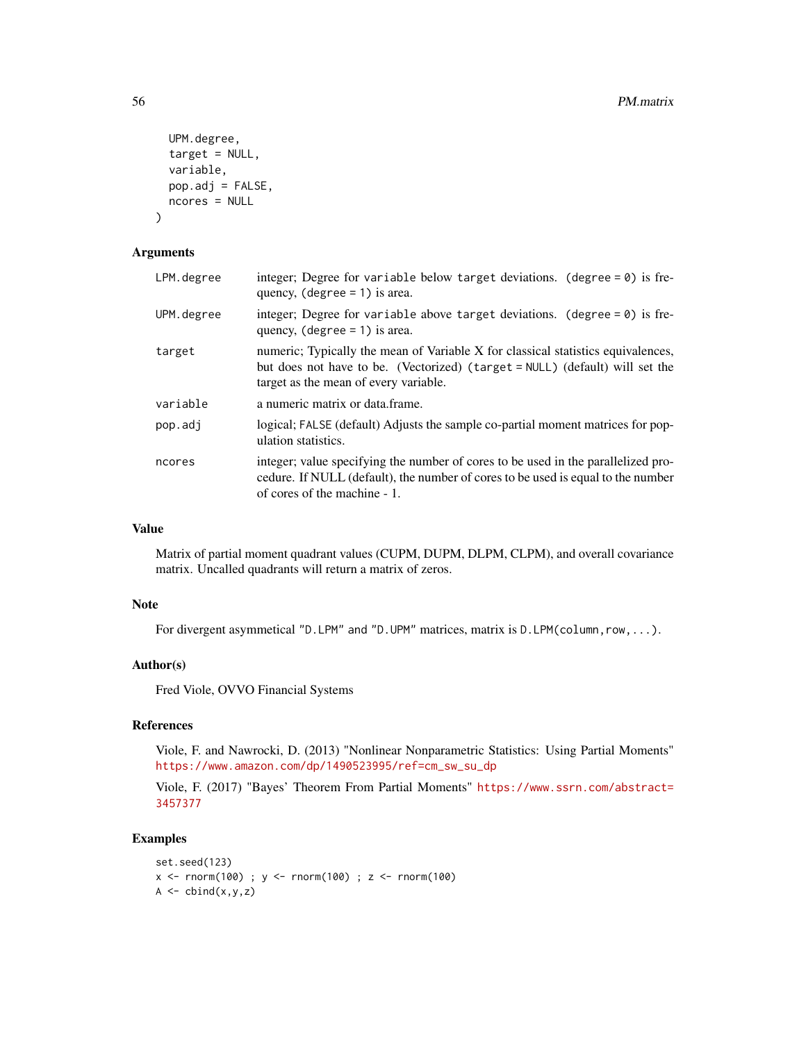```
UPM.degree,
  target = NULL,variable,
 pop.adj = FALSE,
 ncores = NULL
)
```
#### Arguments

| LPM.degree | integer; Degree for variable below target deviations. (degree $= 0$ ) is fre-<br>quency, $(\text{degree} = 1)$ is area.                                                                                   |
|------------|-----------------------------------------------------------------------------------------------------------------------------------------------------------------------------------------------------------|
| UPM.degree | integer; Degree for variable above target deviations. (degree $= 0$ ) is fre-<br>quency, $(\text{degree} = 1)$ is area.                                                                                   |
| target     | numeric; Typically the mean of Variable X for classical statistics equivalences,<br>but does not have to be. (Vectorized) (target = NULL) (default) will set the<br>target as the mean of every variable. |
| variable   | a numeric matrix or data frame.                                                                                                                                                                           |
| pop.adj    | logical; FALSE (default) Adjusts the sample co-partial moment matrices for pop-<br>ulation statistics.                                                                                                    |
| ncores     | integer; value specifying the number of cores to be used in the parallelized pro-<br>cedure. If NULL (default), the number of cores to be used is equal to the number<br>of cores of the machine - 1.     |

# Value

Matrix of partial moment quadrant values (CUPM, DUPM, DLPM, CLPM), and overall covariance matrix. Uncalled quadrants will return a matrix of zeros.

#### Note

For divergent asymmetical "D.LPM" and "D.UPM" matrices, matrix is D.LPM(column, row, ...).

# Author(s)

Fred Viole, OVVO Financial Systems

#### References

Viole, F. and Nawrocki, D. (2013) "Nonlinear Nonparametric Statistics: Using Partial Moments" [https://www.amazon.com/dp/1490523995/ref=cm\\_sw\\_su\\_dp](https://www.amazon.com/dp/1490523995/ref=cm_sw_su_dp)

Viole, F. (2017) "Bayes' Theorem From Partial Moments" [https://www.ssrn.com/abstract=](https://www.ssrn.com/abstract=3457377) [3457377](https://www.ssrn.com/abstract=3457377)

```
set.seed(123)
x < - rnorm(100) ; y < - rnorm(100) ; z < - rnorm(100)
A \leftarrow \text{cbind}(x, y, z)
```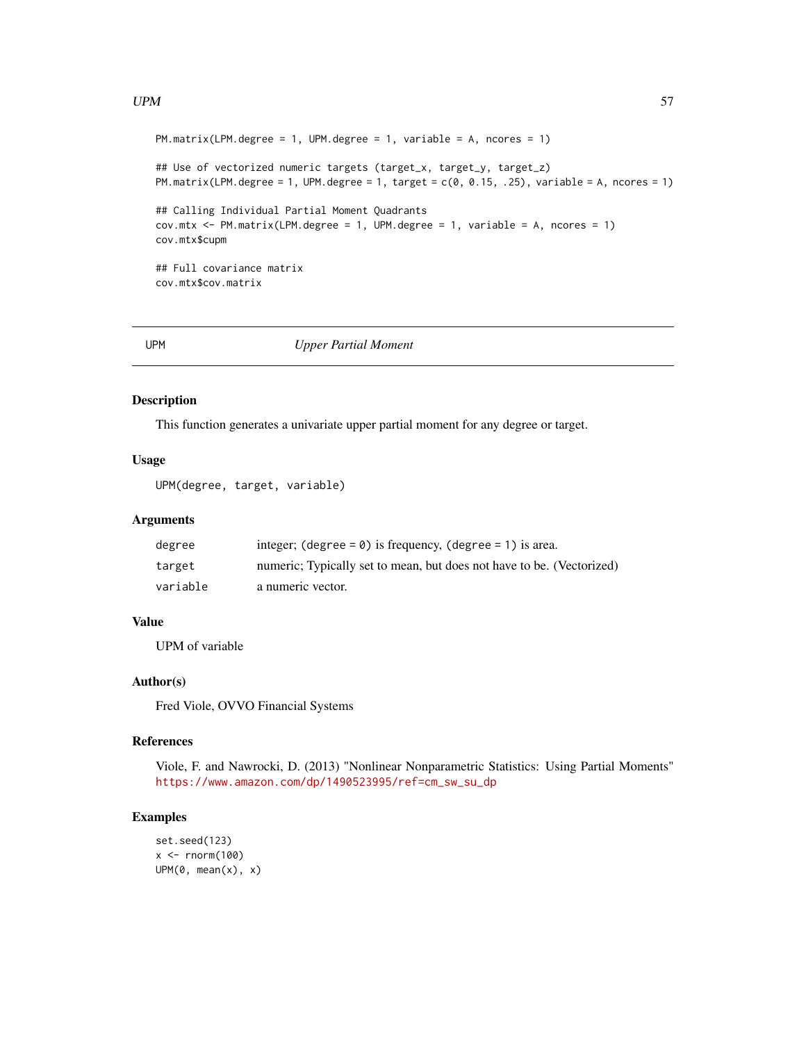#### <span id="page-56-0"></span> $UPM$  57

```
PM.matrix(LPM.degree = 1, UPM.degree = 1, variable = A, ncores = 1)
## Use of vectorized numeric targets (target_x, target_y, target_z)
PM.matrix(LPM.degree = 1, UPM.degree = 1, target = c(0, 0.15, .25), variable = A, ncores = 1)
## Calling Individual Partial Moment Quadrants
cov.mtx \le PM.matrix(LPM.degree = 1, UPM.degree = 1, variable = A, nores = 1)cov.mtx$cupm
## Full covariance matrix
cov.mtx$cov.matrix
```
UPM *Upper Partial Moment*

# Description

This function generates a univariate upper partial moment for any degree or target.

# Usage

UPM(degree, target, variable)

# Arguments

| degree   | integer; (degree = $\theta$ ) is frequency, (degree = 1) is area.     |
|----------|-----------------------------------------------------------------------|
| target   | numeric; Typically set to mean, but does not have to be. (Vectorized) |
| variable | a numeric vector.                                                     |

# Value

UPM of variable

# Author(s)

Fred Viole, OVVO Financial Systems

#### References

Viole, F. and Nawrocki, D. (2013) "Nonlinear Nonparametric Statistics: Using Partial Moments" [https://www.amazon.com/dp/1490523995/ref=cm\\_sw\\_su\\_dp](https://www.amazon.com/dp/1490523995/ref=cm_sw_su_dp)

```
set.seed(123)
x < - rnorm(100)
UPM(\emptyset, mean(x), x)
```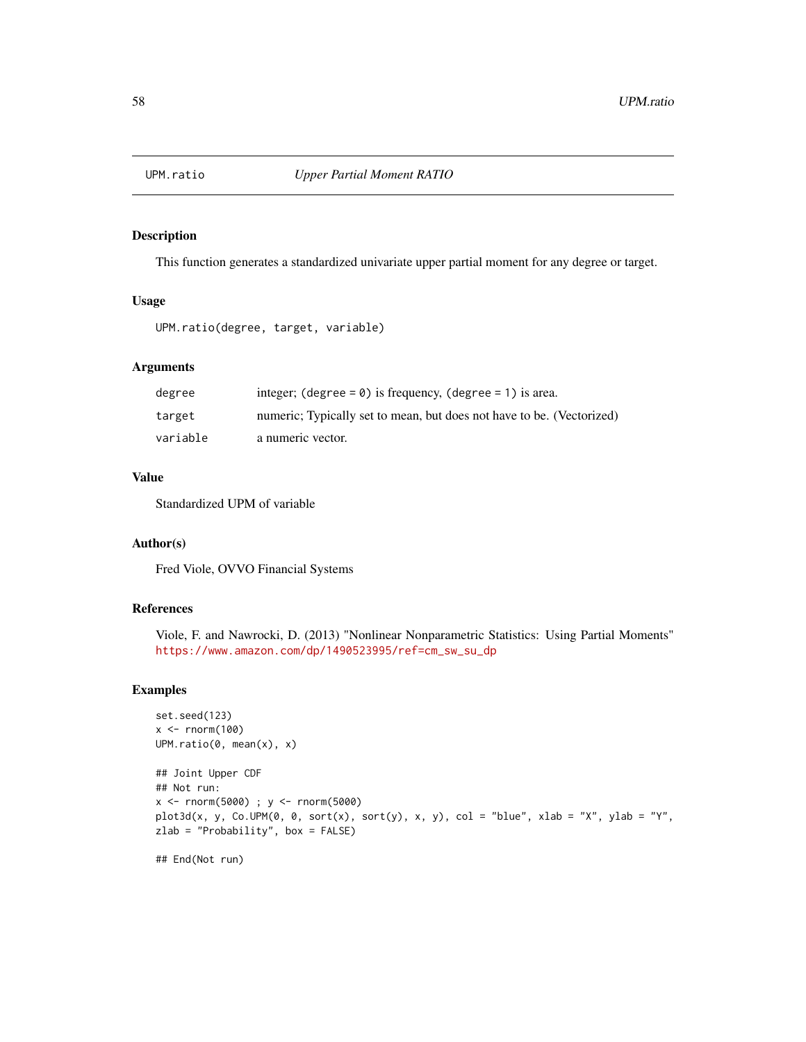<span id="page-57-0"></span>

This function generates a standardized univariate upper partial moment for any degree or target.

#### Usage

UPM.ratio(degree, target, variable)

#### Arguments

| degree   | integer; (degree = $\theta$ ) is frequency, (degree = 1) is area.     |
|----------|-----------------------------------------------------------------------|
| target   | numeric; Typically set to mean, but does not have to be. (Vectorized) |
| variable | a numeric vector.                                                     |

# Value

Standardized UPM of variable

# Author(s)

Fred Viole, OVVO Financial Systems

# References

Viole, F. and Nawrocki, D. (2013) "Nonlinear Nonparametric Statistics: Using Partial Moments" [https://www.amazon.com/dp/1490523995/ref=cm\\_sw\\_su\\_dp](https://www.amazon.com/dp/1490523995/ref=cm_sw_su_dp)

```
set.seed(123)
x \leq -rnorm(100)UPM.ratio(0, mean(x), x)
## Joint Upper CDF
## Not run:
x <- rnorm(5000) ; y <- rnorm(5000)
plot3d(x, y, Co.UPM(\emptyset, \emptyset, sort(x), sort(y), x, y), col = "blue", xlab = "X", ylab = "Y",zlab = "Probability", box = FALSE)
## End(Not run)
```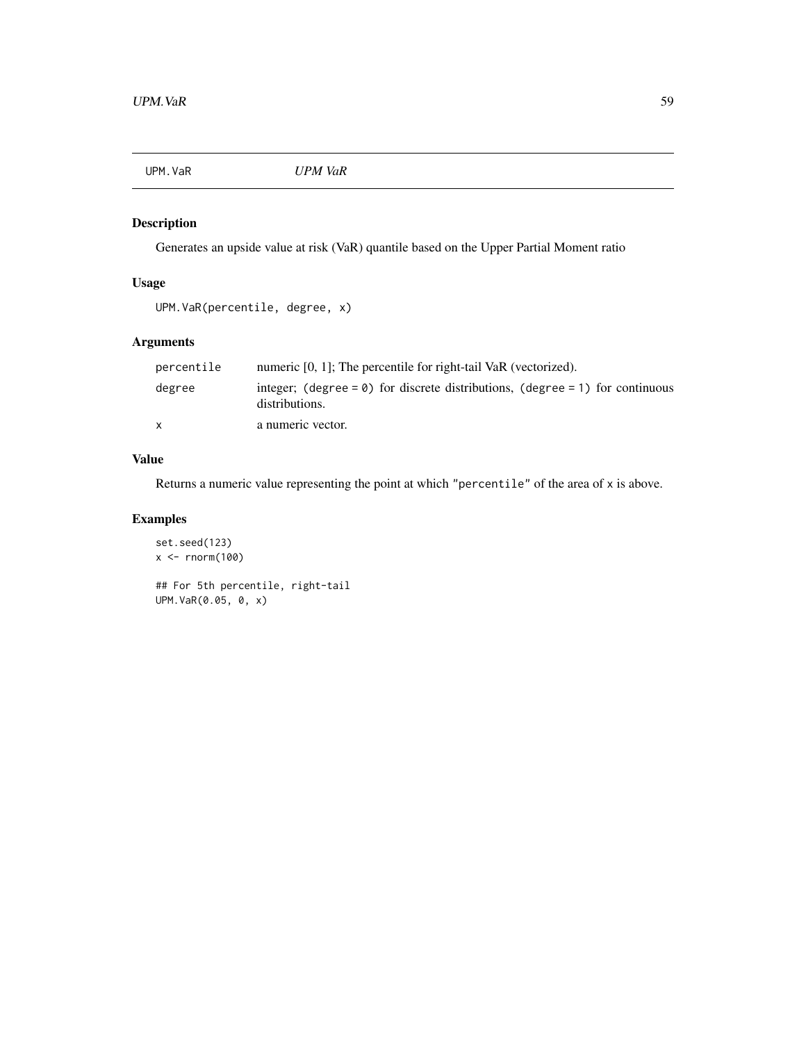<span id="page-58-0"></span>

Generates an upside value at risk (VaR) quantile based on the Upper Partial Moment ratio

# Usage

```
UPM.VaR(percentile, degree, x)
```
# Arguments

| percentile   | numeric [0, 1]; The percentile for right-tail VaR (vectorized).                                         |
|--------------|---------------------------------------------------------------------------------------------------------|
| degree       | integer; (degree = $\theta$ ) for discrete distributions, (degree = 1) for continuous<br>distributions. |
| $\mathsf{x}$ | a numeric vector.                                                                                       |

# Value

Returns a numeric value representing the point at which "percentile" of the area of x is above.

```
set.seed(123)
x \leftarrow \text{norm}(100)## For 5th percentile, right-tail
UPM.VaR(0.05, 0, x)
```